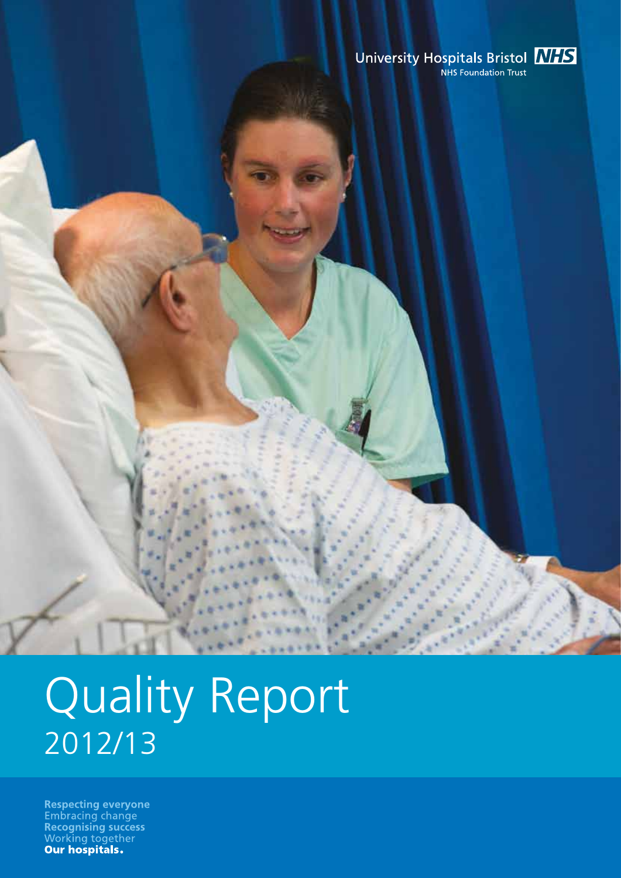# University Hospitals Bristol **MIS**

# Quality Report 2012/13

**Respecting everyone**<br>Embracing change<br>**Recognising success** Working together<br>Our hospitals.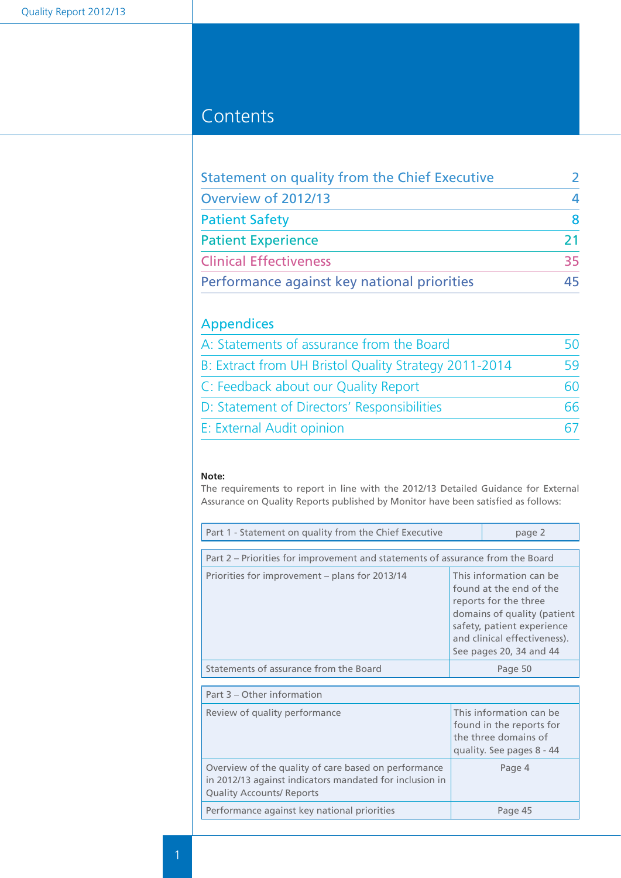## **Contents**

| Statement on quality from the Chief Executive | $\mathcal{L}$ |
|-----------------------------------------------|---------------|
| Overview of 2012/13                           | 4             |
| <b>Patient Safety</b>                         | 8             |
| <b>Patient Experience</b>                     | 21            |
| <b>Clinical Effectiveness</b>                 | 35            |
| Performance against key national priorities   | 45            |

## Appendices

| A: Statements of assurance from the Board             |    |
|-------------------------------------------------------|----|
| B: Extract from UH Bristol Quality Strategy 2011-2014 | 59 |
| C: Feedback about our Quality Report                  | 60 |
| D: Statement of Directors' Responsibilities           | 66 |
| E: External Audit opinion                             |    |

#### **Note:**

The requirements to report in line with the 2012/13 Detailed Guidance for External Assurance on Quality Reports published by Monitor have been satisfied as follows:

| Part 1 - Statement on quality from the Chief Executive                                                                                              |  | page 2                                                                                                                                                                                              |
|-----------------------------------------------------------------------------------------------------------------------------------------------------|--|-----------------------------------------------------------------------------------------------------------------------------------------------------------------------------------------------------|
| Part 2 – Priorities for improvement and statements of assurance from the Board                                                                      |  |                                                                                                                                                                                                     |
| Priorities for improvement – plans for 2013/14                                                                                                      |  | This information can be<br>found at the end of the<br>reports for the three<br>domains of quality (patient<br>safety, patient experience<br>and clinical effectiveness).<br>See pages 20, 34 and 44 |
| Statements of assurance from the Board                                                                                                              |  | Page 50                                                                                                                                                                                             |
| Part 3 – Other information                                                                                                                          |  |                                                                                                                                                                                                     |
| Review of quality performance                                                                                                                       |  | This information can be<br>found in the reports for<br>the three domains of<br>quality. See pages 8 - 44                                                                                            |
| Overview of the quality of care based on performance<br>in 2012/13 against indicators mandated for inclusion in<br><b>Quality Accounts/ Reports</b> |  | Page 4                                                                                                                                                                                              |
| Performance against key national priorities                                                                                                         |  | Page 45                                                                                                                                                                                             |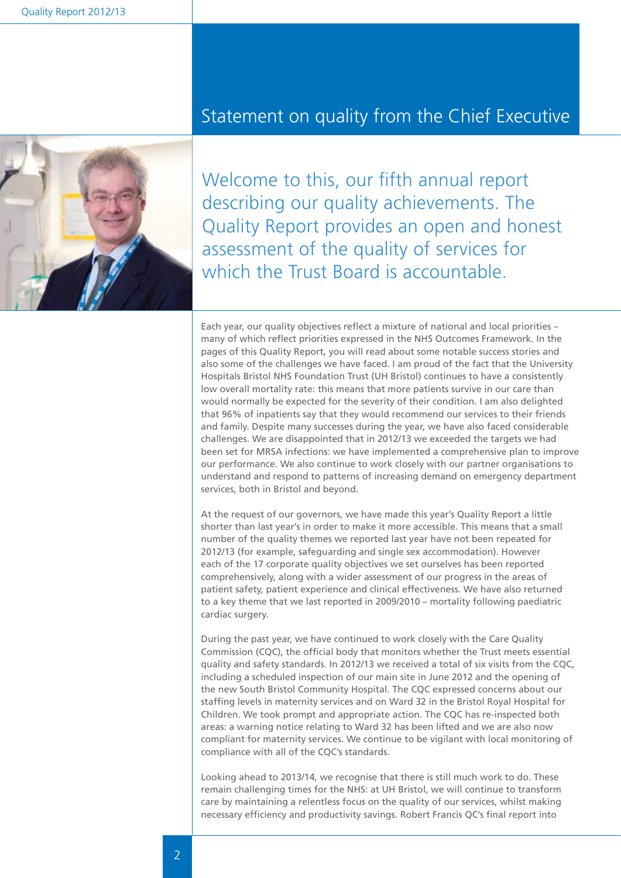

## Statement on quality from the Chief Executive

Welcome to this, our fifth annual report describing our quality achievements. The Quality Report provides an open and honest assessment of the quality of services for which the Trust Board is accountable.

Each year, our quality objectives reflect a mixture of national and local priorities – many of which reflect priorities expressed in the NHS Outcomes Framework. In the pages of this Quality Report, you will read about some notable success stories and also some of the challenges we have faced. I am proud of the fact that the University Hospitals Bristol NHS Foundation Trust (UH Bristol) continues to have a consistently low overall mortality rate: this means that more patients survive in our care than would normally be expected for the severity of their condition. I am also delighted that 96% of inpatients say that they would recommend our services to their friends and family. Despite many successes during the year, we have also faced considerable challenges. We are disappointed that in 2012/13 we exceeded the targets we had been set for MRSA infections: we have implemented a comprehensive plan to improve our performance. We also continue to work closely with our partner organisations to understand and respond to patterns of increasing demand on emergency department services, both in Bristol and beyond.

At the request of our governors, we have made this year's Quality Report a little shorter than last year's in order to make it more accessible. This means that a small number of the quality themes we reported last year have not been repeated for 2012/13 (for example, safeguarding and single sex accommodation). However each of the 17 corporate quality objectives we set ourselves has been reported comprehensively, along with a wider assessment of our progress in the areas of patient safety, patient experience and clinical effectiveness. We have also returned to a key theme that we last reported in 2009/2010 – mortality following paediatric cardiac surgery.

During the past year, we have continued to work closely with the Care Quality Commission (CQC), the official body that monitors whether the Trust meets essential quality and safety standards. In 2012/13 we received a total of six visits from the CQC, including a scheduled inspection of our main site in June 2012 and the opening of the new South Bristol Community Hospital. The CQC expressed concerns about our staffing levels in maternity services and on Ward 32 in the Bristol Royal Hospital for Children. We took prompt and appropriate action. The CQC has re-inspected both areas: a warning notice relating to Ward 32 has been lifted and we are also now compliant for maternity services. We continue to be vigilant with local monitoring of compliance with all of the CQC's standards.

Looking ahead to 2013/14, we recognise that there is still much work to do. These remain challenging times for the NHS: at UH Bristol, we will continue to transform care by maintaining a relentless focus on the quality of our services, whilst making necessary efficiency and productivity savings. Robert Francis QC's final report into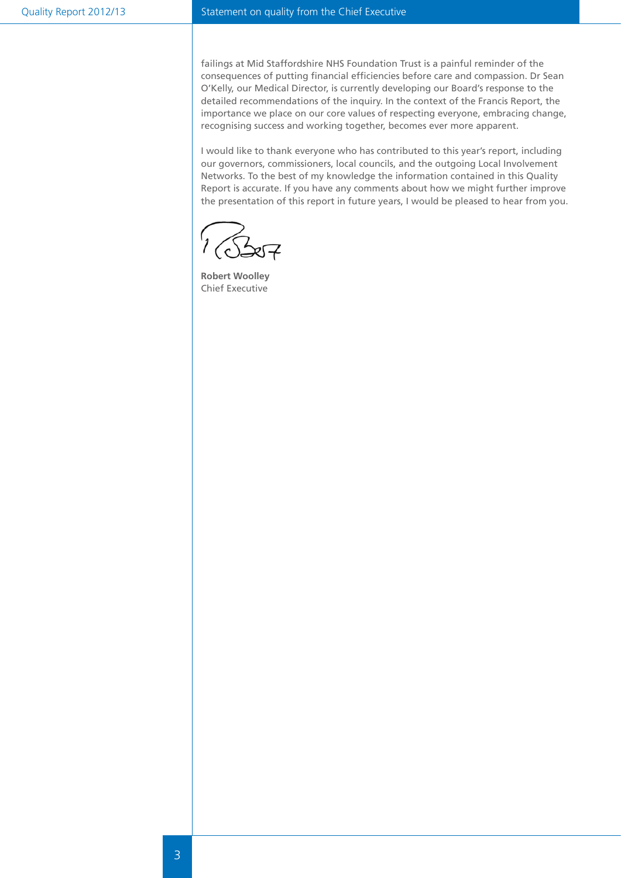#### Quality Report 2012/13 Statement on quality from the Chief Executive

failings at Mid Staffordshire NHS Foundation Trust is a painful reminder of the consequences of putting financial efficiencies before care and compassion. Dr Sean O'Kelly, our Medical Director, is currently developing our Board's response to the detailed recommendations of the inquiry. In the context of the Francis Report, the importance we place on our core values of respecting everyone, embracing change, recognising success and working together, becomes ever more apparent.

I would like to thank everyone who has contributed to this year's report, including our governors, commissioners, local councils, and the outgoing Local Involvement Networks. To the best of my knowledge the information contained in this Quality Report is accurate. If you have any comments about how we might further improve the presentation of this report in future years, I would be pleased to hear from you.

**Robert Woolley** Chief Executive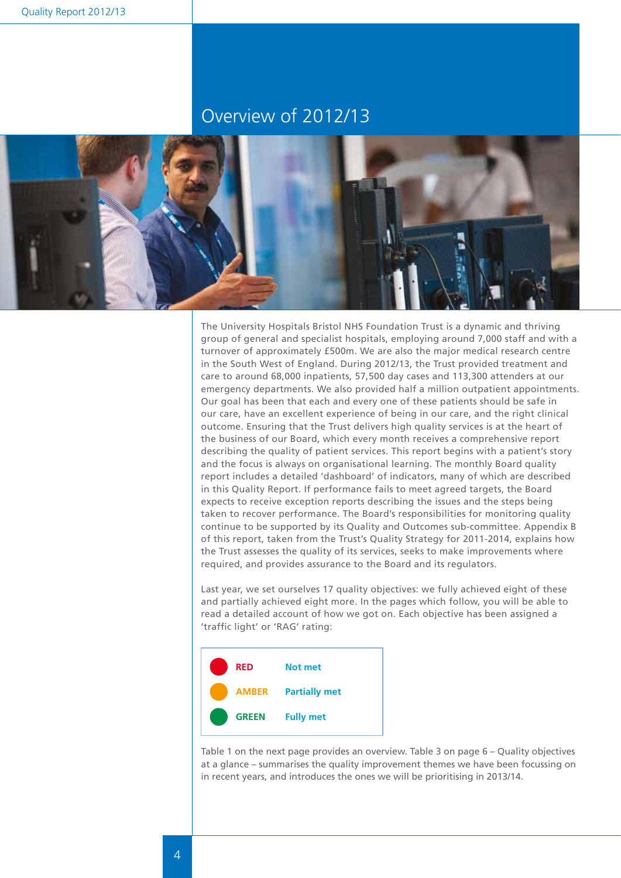## Overview of 2012/13



The University Hospitals Bristol NHS Foundation Trust is a dynamic and thriving group of general and specialist hospitals, employing around 7,000 staff and with a turnover of approximately £500m. We are also the major medical research centre in the South West of England. During 2012/13, the Trust provided treatment and care to around 68,000 inpatients, 57,500 day cases and 113,300 attenders at our emergency departments. We also provided half a million outpatient appointments. Our goal has been that each and every one of these patients should be safe in our care, have an excellent experience of being in our care, and the right clinical outcome. Ensuring that the Trust delivers high quality services is at the heart of the business of our Board, which every month receives a comprehensive report describing the quality of patient services. This report begins with a patient's story and the focus is always on organisational learning. The monthly Board quality report includes a detailed 'dashboard' of indicators, many of which are described in this Quality Report. If performance fails to meet agreed targets, the Board expects to receive exception reports describing the issues and the steps being taken to recover performance. The Board's responsibilities for monitoring quality continue to be supported by its Quality and Outcomes sub-committee. Appendix B of this report, taken from the Trust's Quality Strategy for 2011-2014, explains how the Trust assesses the quality of its services, seeks to make improvements where required, and provides assurance to the Board and its regulators.

Last year, we set ourselves 17 quality objectives: we fully achieved eight of these and partially achieved eight more. In the pages which follow, you will be able to read a detailed account of how we got on. Each objective has been assigned a 'traffic light' or 'RAG' rating:



Table 1 on the next page provides an overview. Table 3 on page 6 – Quality objectives at a glance – summarises the quality improvement themes we have been focussing on in recent years, and introduces the ones we will be prioritising in 2013/14.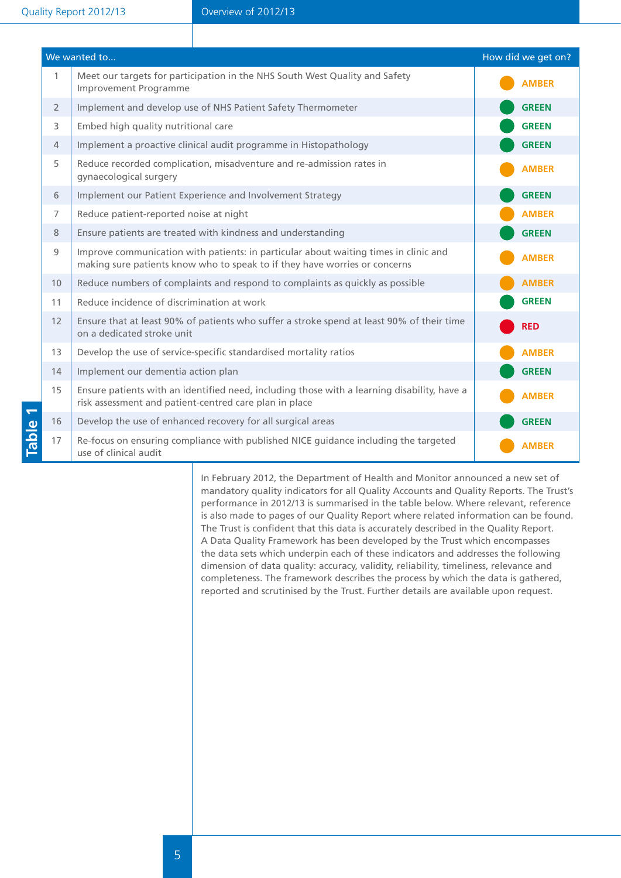|                | We wanted to                                                                                                                                                       | How did we get on? |
|----------------|--------------------------------------------------------------------------------------------------------------------------------------------------------------------|--------------------|
| $\mathbf{1}$   | Meet our targets for participation in the NHS South West Quality and Safety<br>Improvement Programme                                                               | <b>AMBER</b>       |
| $\overline{2}$ | Implement and develop use of NHS Patient Safety Thermometer                                                                                                        | <b>GREEN</b>       |
| 3              | Embed high quality nutritional care                                                                                                                                | <b>GREEN</b>       |
| $\overline{4}$ | Implement a proactive clinical audit programme in Histopathology                                                                                                   | <b>GREEN</b>       |
| 5              | Reduce recorded complication, misadventure and re-admission rates in<br>gynaecological surgery                                                                     | <b>AMBER</b>       |
| 6              | Implement our Patient Experience and Involvement Strategy                                                                                                          | <b>GREEN</b>       |
| 7              | Reduce patient-reported noise at night                                                                                                                             | <b>AMBER</b>       |
| 8              | Ensure patients are treated with kindness and understanding                                                                                                        | <b>GREEN</b>       |
| 9              | Improve communication with patients: in particular about waiting times in clinic and<br>making sure patients know who to speak to if they have worries or concerns | <b>AMBER</b>       |
| 10             | Reduce numbers of complaints and respond to complaints as quickly as possible                                                                                      | <b>AMBER</b>       |
| 11             | Reduce incidence of discrimination at work                                                                                                                         | <b>GREEN</b>       |
| 12             | Ensure that at least 90% of patients who suffer a stroke spend at least 90% of their time<br>on a dedicated stroke unit                                            | <b>RED</b>         |
| 13             | Develop the use of service-specific standardised mortality ratios                                                                                                  | <b>AMBER</b>       |
| 14             | Implement our dementia action plan                                                                                                                                 | <b>GREEN</b>       |
| 15             | Ensure patients with an identified need, including those with a learning disability, have a<br>risk assessment and patient-centred care plan in place              | <b>AMBER</b>       |
| 16             | Develop the use of enhanced recovery for all surgical areas                                                                                                        | <b>GREEN</b>       |
| 17             | Re-focus on ensuring compliance with published NICE guidance including the targeted<br>use of clinical audit                                                       | <b>AMBER</b>       |

In February 2012, the Department of Health and Monitor announced a new set of mandatory quality indicators for all Quality Accounts and Quality Reports. The Trust's performance in 2012/13 is summarised in the table below. Where relevant, reference is also made to pages of our Quality Report where related information can be found. The Trust is confident that this data is accurately described in the Quality Report. A Data Quality Framework has been developed by the Trust which encompasses the data sets which underpin each of these indicators and addresses the following dimension of data quality: accuracy, validity, reliability, timeliness, relevance and completeness. The framework describes the process by which the data is gathered, reported and scrutinised by the Trust. Further details are available upon request.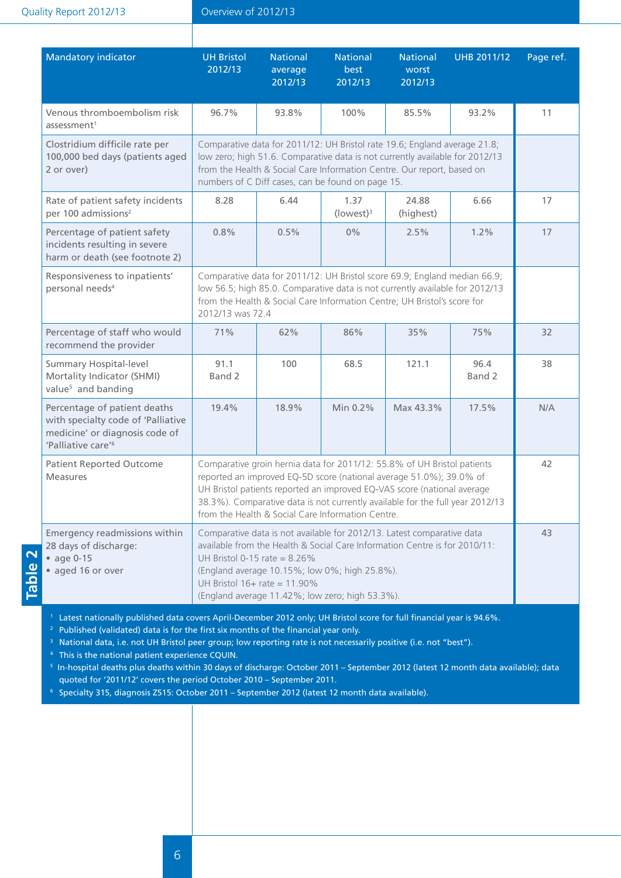Quality Report 2012/13

#### Overview of 2012/13

| <b>Mandatory indicator</b>                                                                                                             | <b>UH Bristol</b><br>2012/13                                                                                                                                                                                                                                                                                                                                    | <b>National</b><br>average<br>2012/13                                | <b>National</b><br>best<br>2012/13                                                               | <b>National</b><br>worst<br>2012/13                                                                                                                                                                                                 | <b>UHB 2011/12</b> | Page ref. |
|----------------------------------------------------------------------------------------------------------------------------------------|-----------------------------------------------------------------------------------------------------------------------------------------------------------------------------------------------------------------------------------------------------------------------------------------------------------------------------------------------------------------|----------------------------------------------------------------------|--------------------------------------------------------------------------------------------------|-------------------------------------------------------------------------------------------------------------------------------------------------------------------------------------------------------------------------------------|--------------------|-----------|
| Venous thromboembolism risk<br>assessment <sup>1</sup>                                                                                 | 96.7%                                                                                                                                                                                                                                                                                                                                                           | 93.8%                                                                | 100%                                                                                             | 85.5%                                                                                                                                                                                                                               | 93.2%              | 11        |
| Clostridium difficile rate per<br>100,000 bed days (patients aged<br>2 or over)                                                        |                                                                                                                                                                                                                                                                                                                                                                 |                                                                      | numbers of C Diff cases, can be found on page 15.                                                | Comparative data for 2011/12: UH Bristol rate 19.6; England average 21.8;<br>low zero; high 51.6. Comparative data is not currently available for 2012/13<br>from the Health & Social Care Information Centre. Our report, based on |                    |           |
| Rate of patient safety incidents<br>per 100 admissions <sup>2</sup>                                                                    | 8.28                                                                                                                                                                                                                                                                                                                                                            | 6.44                                                                 | 1.37<br>(lowest) <sup>3</sup>                                                                    | 24.88<br>(highest)                                                                                                                                                                                                                  | 6.66               | 17        |
| Percentage of patient safety<br>incidents resulting in severe<br>harm or death (see footnote 2)                                        | 0.8%                                                                                                                                                                                                                                                                                                                                                            | 0.5%                                                                 | $0\%$                                                                                            | 2.5%                                                                                                                                                                                                                                | 1.2%               | 17        |
| Responsiveness to inpatients'<br>personal needs <sup>4</sup>                                                                           | Comparative data for 2011/12: UH Bristol score 69.9; England median 66.9;<br>low 56.5; high 85.0. Comparative data is not currently available for 2012/13<br>from the Health & Social Care Information Centre; UH Bristol's score for<br>2012/13 was 72.4                                                                                                       |                                                                      |                                                                                                  |                                                                                                                                                                                                                                     |                    |           |
| Percentage of staff who would<br>recommend the provider                                                                                | 71%                                                                                                                                                                                                                                                                                                                                                             | 62%                                                                  | 86%                                                                                              | 35%                                                                                                                                                                                                                                 | 75%                | 32        |
| <b>Summary Hospital-level</b><br>Mortality Indicator (SHMI)<br>value <sup>5</sup> and banding                                          | 91.1<br>Band 2                                                                                                                                                                                                                                                                                                                                                  | 100                                                                  | 68.5                                                                                             | 121.1                                                                                                                                                                                                                               | 96.4<br>Band 2     | 38        |
| Percentage of patient deaths<br>with specialty code of 'Palliative<br>medicine' or diagnosis code of<br>'Palliative care' <sup>6</sup> | 19.4%                                                                                                                                                                                                                                                                                                                                                           | 18.9%                                                                | Min 0.2%                                                                                         | Max 43.3%                                                                                                                                                                                                                           | 17.5%              | N/A       |
| <b>Patient Reported Outcome</b><br><b>Measures</b>                                                                                     | Comparative groin hernia data for 2011/12: 55.8% of UH Bristol patients<br>reported an improved EQ-5D score (national average 51.0%); 39.0% of<br>UH Bristol patients reported an improved EQ-VAS score (national average<br>38.3%). Comparative data is not currently available for the full year 2012/13<br>from the Health & Social Care Information Centre. |                                                                      |                                                                                                  | 42                                                                                                                                                                                                                                  |                    |           |
| Emergency readmissions within<br>28 days of discharge:<br>• age 0-15<br>• aged 16 or over                                              |                                                                                                                                                                                                                                                                                                                                                                 | UH Bristol 0-15 rate = $8.26\%$<br>UH Bristol $16+$ rate = $11.90\%$ | (England average 10.15%; low 0%; high 25.8%).<br>(England average 11.42%; low zero; high 53.3%). | Comparative data is not available for 2012/13. Latest comparative data<br>available from the Health & Social Care Information Centre is for 2010/11:                                                                                |                    | 43        |

**Table 2**

<sup>1</sup> Latest nationally published data covers April-December 2012 only; UH Bristol score for full financial year is 94.6%.

 $^{\text{2}}\,$  Published (validated) data is for the first six months of the financial year only.

<sup>3</sup> National data, i.e. not UH Bristol peer group; low reporting rate is not necessarily positive (i.e. not "best").

<sup>4</sup> This is the national patient experience CQUIN.

5 In-hospital deaths plus deaths within 30 days of discharge: October 2011 – September 2012 (latest 12 month data available); data quoted for '2011/12' covers the period October 2010 – September 2011.

<sup>6</sup> Specialty 315, diagnosis Z515: October 2011 – September 2012 (latest 12 month data available).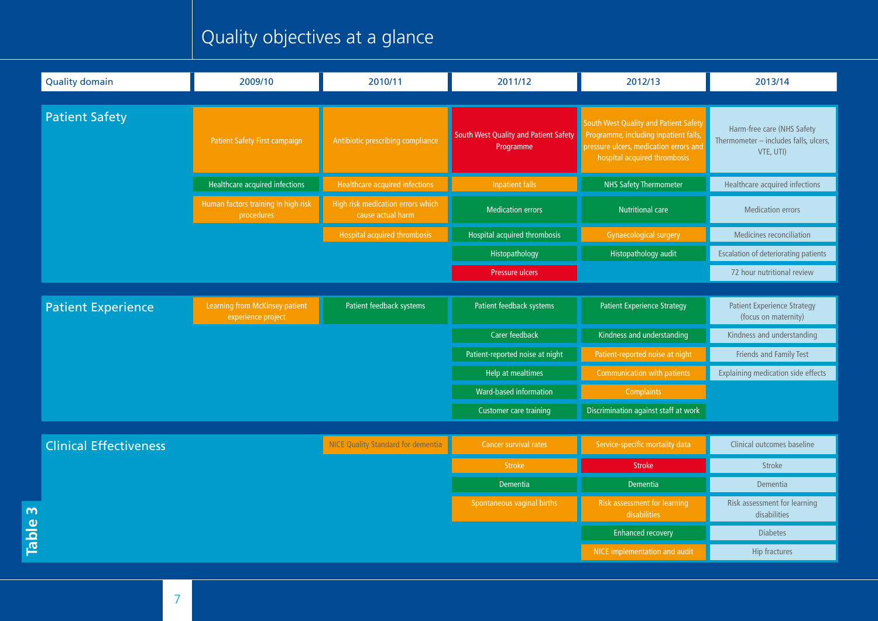## Quality objectives at a glance

|              | <b>Quality domain</b>         | 2009/10                                              | 2010/11                                                | 2011/12                                            | 2012/13                                                                                                                                                  | 2013/14                                                                          |
|--------------|-------------------------------|------------------------------------------------------|--------------------------------------------------------|----------------------------------------------------|----------------------------------------------------------------------------------------------------------------------------------------------------------|----------------------------------------------------------------------------------|
|              |                               |                                                      |                                                        |                                                    |                                                                                                                                                          |                                                                                  |
|              | <b>Patient Safety</b>         | Patient Safety First campaign                        | Antibiotic prescribing compliance                      | South West Quality and Patient Safety<br>Programme | South West Quality and Patient Safety<br>Programme, including inpatient falls,<br>pressure ulcers, medication errors and<br>hospital acquired thrombosis | Harm-free care (NHS Safety<br>Thermometer - includes falls, ulcers,<br>VTE, UTI) |
|              |                               | Healthcare acquired infections                       | Healthcare acquired infections                         | <b>Inpatient falls</b>                             | <b>NHS Safety Thermometer</b>                                                                                                                            | Healthcare acquired infections                                                   |
|              |                               | Human factors training in high risk<br>procedures    | High risk medication errors which<br>cause actual harm | <b>Medication errors</b>                           | <b>Nutritional care</b>                                                                                                                                  | <b>Medication errors</b>                                                         |
|              |                               |                                                      | Hospital acquired thrombosis                           | Hospital acquired thrombosis                       | <b>Gynaecological surgery</b>                                                                                                                            | Medicines reconciliation                                                         |
|              |                               |                                                      |                                                        | Histopathology                                     | Histopathology audit                                                                                                                                     | <b>Escalation of deteriorating patients</b>                                      |
|              |                               |                                                      |                                                        | Pressure ulcers                                    |                                                                                                                                                          | 72 hour nutritional review                                                       |
|              |                               |                                                      |                                                        |                                                    |                                                                                                                                                          |                                                                                  |
|              | <b>Patient Experience</b>     | Learning from McKinsey patient<br>experience project | Patient feedback systems                               | Patient feedback systems                           | <b>Patient Experience Strategy</b>                                                                                                                       | <b>Patient Experience Strategy</b><br>(focus on maternity)                       |
|              |                               |                                                      |                                                        | <b>Carer feedback</b>                              | Kindness and understanding                                                                                                                               | Kindness and understanding                                                       |
|              |                               |                                                      |                                                        | Patient-reported noise at night                    | Patient-reported noise at night                                                                                                                          | Friends and Family Test                                                          |
|              |                               |                                                      |                                                        | Help at mealtimes                                  | <b>Communication with patients</b>                                                                                                                       | <b>Explaining medication side effects</b>                                        |
|              |                               |                                                      |                                                        | Ward-based information                             | <b>Complaints</b>                                                                                                                                        |                                                                                  |
|              |                               |                                                      |                                                        | Customer care training                             | Discrimination against staff at work                                                                                                                     |                                                                                  |
|              |                               |                                                      |                                                        |                                                    |                                                                                                                                                          |                                                                                  |
|              | <b>Clinical Effectiveness</b> |                                                      | <b>NICE Quality Standard for dementia</b>              | Cancer survival rates                              | Service-specific mortality data                                                                                                                          | Clinical outcomes baseline                                                       |
|              |                               |                                                      |                                                        | <b>Stroke</b>                                      | <b>Stroke</b>                                                                                                                                            | <b>Stroke</b>                                                                    |
|              |                               |                                                      |                                                        | <b>Dementia</b>                                    | Dementia                                                                                                                                                 | Dementia                                                                         |
| $\mathsf{w}$ |                               |                                                      |                                                        | Spontaneous vaginal births                         | <b>Risk assessment for learning</b><br>disabilities                                                                                                      | Risk assessment for learning<br>disabilities                                     |
| <b>Table</b> |                               |                                                      |                                                        |                                                    | <b>Enhanced recovery</b>                                                                                                                                 | <b>Diabetes</b>                                                                  |
|              |                               |                                                      |                                                        |                                                    | NICE implementation and audit                                                                                                                            | <b>Hip fractures</b>                                                             |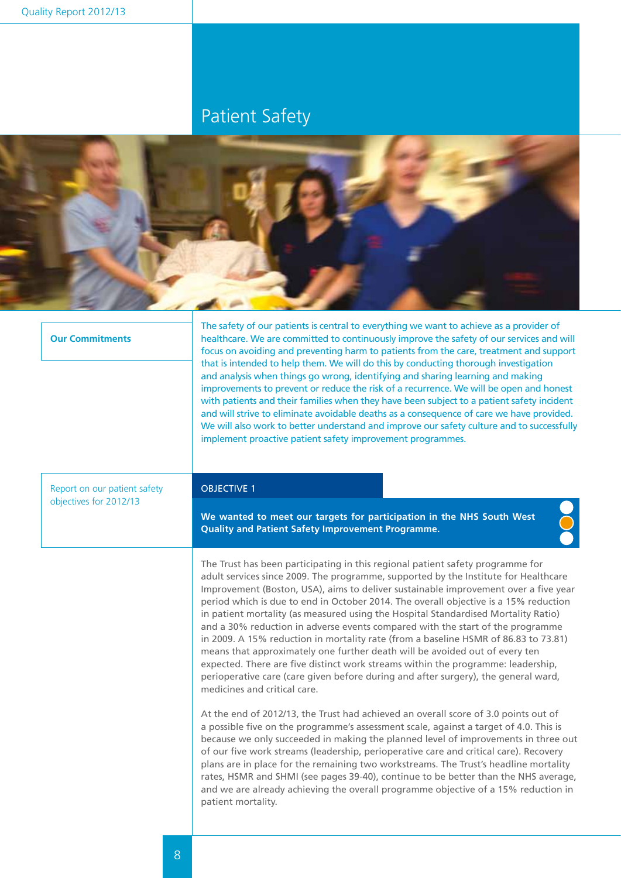## Patient Safety



#### **Our Commitments**

The safety of our patients is central to everything we want to achieve as a provider of healthcare. We are committed to continuously improve the safety of our services and will focus on avoiding and preventing harm to patients from the care, treatment and support that is intended to help them. We will do this by conducting thorough investigation and analysis when things go wrong, identifying and sharing learning and making improvements to prevent or reduce the risk of a recurrence. We will be open and honest with patients and their families when they have been subject to a patient safety incident and will strive to eliminate avoidable deaths as a consequence of care we have provided. We will also work to better understand and improve our safety culture and to successfully implement proactive patient safety improvement programmes.

Report on our patient safety objectives for 2012/13

#### OBJECTIVE 1

**We wanted to meet our targets for participation in the NHS South West Quality and Patient Safety Improvement Programme.**

The Trust has been participating in this regional patient safety programme for adult services since 2009. The programme, supported by the Institute for Healthcare Improvement (Boston, USA), aims to deliver sustainable improvement over a five year period which is due to end in October 2014. The overall objective is a 15% reduction in patient mortality (as measured using the Hospital Standardised Mortality Ratio) and a 30% reduction in adverse events compared with the start of the programme in 2009. A 15% reduction in mortality rate (from a baseline HSMR of 86.83 to 73.81) means that approximately one further death will be avoided out of every ten expected. There are five distinct work streams within the programme: leadership, perioperative care (care given before during and after surgery), the general ward, medicines and critical care.

At the end of 2012/13, the Trust had achieved an overall score of 3.0 points out of a possible five on the programme's assessment scale, against a target of 4.0. This is because we only succeeded in making the planned level of improvements in three out of our five work streams (leadership, perioperative care and critical care). Recovery plans are in place for the remaining two workstreams. The Trust's headline mortality rates, HSMR and SHMI (see pages 39-40), continue to be better than the NHS average, and we are already achieving the overall programme objective of a 15% reduction in patient mortality.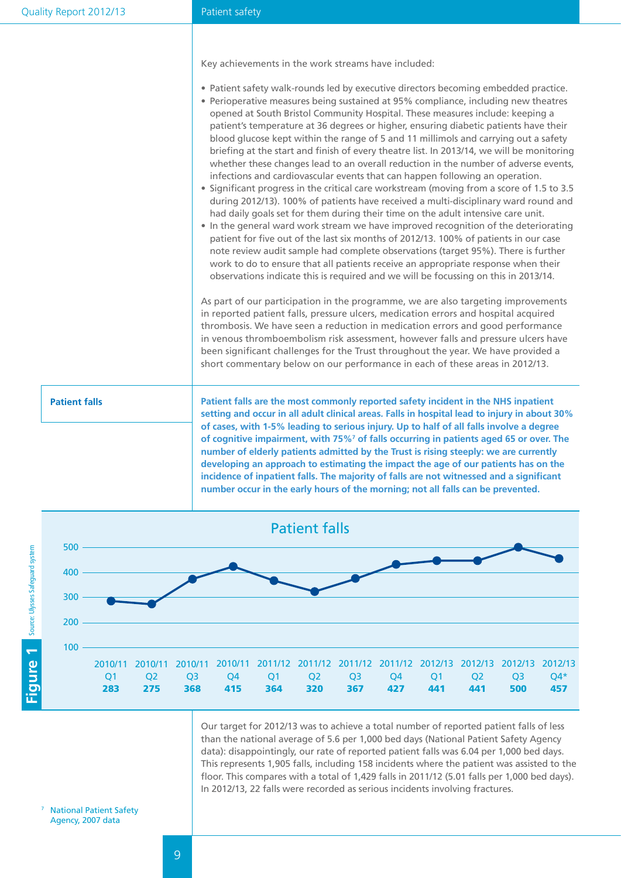#### Patient safety

Key achievements in the work streams have included:

- Patient safety walk-rounds led by executive directors becoming embedded practice.
- Perioperative measures being sustained at 95% compliance, including new theatres opened at South Bristol Community Hospital. These measures include: keeping a patient's temperature at 36 degrees or higher, ensuring diabetic patients have their blood glucose kept within the range of 5 and 11 millimols and carrying out a safety briefing at the start and finish of every theatre list. In 2013/14, we will be monitoring whether these changes lead to an overall reduction in the number of adverse events, infections and cardiovascular events that can happen following an operation.
- Significant progress in the critical care workstream (moving from a score of 1.5 to 3.5 during 2012/13). 100% of patients have received a multi-disciplinary ward round and had daily goals set for them during their time on the adult intensive care unit.
- In the general ward work stream we have improved recognition of the deteriorating patient for five out of the last six months of 2012/13. 100% of patients in our case note review audit sample had complete observations (target 95%). There is further work to do to ensure that all patients receive an appropriate response when their observations indicate this is required and we will be focussing on this in 2013/14.

As part of our participation in the programme, we are also targeting improvements in reported patient falls, pressure ulcers, medication errors and hospital acquired thrombosis. We have seen a reduction in medication errors and good performance in venous thromboembolism risk assessment, however falls and pressure ulcers have been significant challenges for the Trust throughout the year. We have provided a short commentary below on our performance in each of these areas in 2012/13.

**Patient falls Patient falls** are the most commonly reported safety incident in the NHS inpatient **setting and occur in all adult clinical areas. Falls in hospital lead to injury in about 30% of cases, with 1-5% leading to serious injury. Up to half of all falls involve a degree of cognitive impairment, with 75%7 of falls occurring in patients aged 65 or over. The number of elderly patients admitted by the Trust is rising steeply: we are currently developing an approach to estimating the impact the age of our patients has on the incidence of inpatient falls. The majority of falls are not witnessed and a significant number occur in the early hours of the morning; not all falls can be prevented.** 



Our target for 2012/13 was to achieve a total number of reported patient falls of less than the national average of 5.6 per 1,000 bed days (National Patient Safety Agency data): disappointingly, our rate of reported patient falls was 6.04 per 1,000 bed days. This represents 1,905 falls, including 158 incidents where the patient was assisted to the floor. This compares with a total of 1,429 falls in 2011/12 (5.01 falls per 1,000 bed days). In 2012/13, 22 falls were recorded as serious incidents involving fractures.

<sup>7</sup> National Patient Safety Agency, 2007 data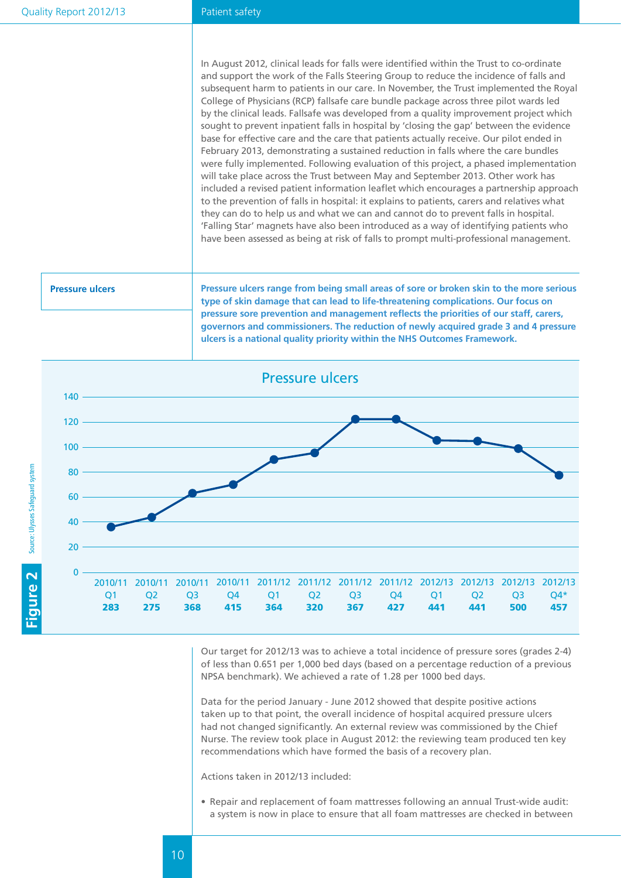#### Patient safety

In August 2012, clinical leads for falls were identified within the Trust to co-ordinate and support the work of the Falls Steering Group to reduce the incidence of falls and subsequent harm to patients in our care. In November, the Trust implemented the Royal College of Physicians (RCP) fallsafe care bundle package across three pilot wards led by the clinical leads. Fallsafe was developed from a quality improvement project which sought to prevent inpatient falls in hospital by 'closing the gap' between the evidence base for effective care and the care that patients actually receive. Our pilot ended in February 2013, demonstrating a sustained reduction in falls where the care bundles were fully implemented. Following evaluation of this project, a phased implementation will take place across the Trust between May and September 2013. Other work has included a revised patient information leaflet which encourages a partnership approach to the prevention of falls in hospital: it explains to patients, carers and relatives what they can do to help us and what we can and cannot do to prevent falls in hospital. 'Falling Star' magnets have also been introduced as a way of identifying patients who have been assessed as being at risk of falls to prompt multi-professional management.

**Pressure ulcers Pressure ulcers range from being small areas of sore or broken skin to the more serious type of skin damage that can lead to life-threatening complications. Our focus on pressure sore prevention and management reflects the priorities of our staff, carers, governors and commissioners. The reduction of newly acquired grade 3 and 4 pressure ulcers is a national quality priority within the NHS Outcomes Framework.** 



Our target for 2012/13 was to achieve a total incidence of pressure sores (grades 2-4) of less than 0.651 per 1,000 bed days (based on a percentage reduction of a previous NPSA benchmark). We achieved a rate of 1.28 per 1000 bed days.

Data for the period January - June 2012 showed that despite positive actions taken up to that point, the overall incidence of hospital acquired pressure ulcers had not changed significantly. An external review was commissioned by the Chief Nurse. The review took place in August 2012: the reviewing team produced ten key recommendations which have formed the basis of a recovery plan.

Actions taken in 2012/13 included:

• Repair and replacement of foam mattresses following an annual Trust-wide audit: a system is now in place to ensure that all foam mattresses are checked in between

10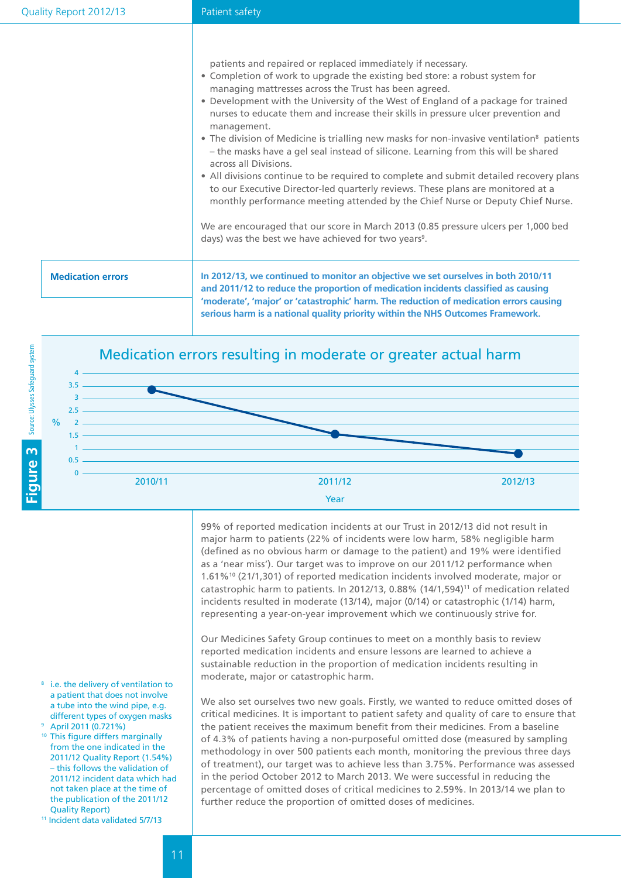|                          | patients and repaired or replaced immediately if necessary.<br>• Completion of work to upgrade the existing bed store: a robust system for<br>managing mattresses across the Trust has been agreed.<br>• Development with the University of the West of England of a package for trained<br>nurses to educate them and increase their skills in pressure ulcer prevention and<br>management.<br>• The division of Medicine is trialling new masks for non-invasive ventilation <sup>8</sup> patients<br>- the masks have a gel seal instead of silicone. Learning from this will be shared<br>across all Divisions.<br>• All divisions continue to be required to complete and submit detailed recovery plans<br>to our Executive Director-led quarterly reviews. These plans are monitored at a<br>monthly performance meeting attended by the Chief Nurse or Deputy Chief Nurse.<br>We are encouraged that our score in March 2013 (0.85 pressure ulcers per 1,000 bed<br>days) was the best we have achieved for two years <sup>9</sup> . |
|--------------------------|----------------------------------------------------------------------------------------------------------------------------------------------------------------------------------------------------------------------------------------------------------------------------------------------------------------------------------------------------------------------------------------------------------------------------------------------------------------------------------------------------------------------------------------------------------------------------------------------------------------------------------------------------------------------------------------------------------------------------------------------------------------------------------------------------------------------------------------------------------------------------------------------------------------------------------------------------------------------------------------------------------------------------------------------|
| <b>Medication errors</b> | In 2012/13, we continued to monitor an objective we set ourselves in both 2010/11<br>and 2011/12 to reduce the proportion of medication incidents classified as causing<br>'moderate', 'major' or 'catastrophic' harm. The reduction of medication errors causing<br>serious harm is a national quality priority within the NHS Outcomes Framework.                                                                                                                                                                                                                                                                                                                                                                                                                                                                                                                                                                                                                                                                                          |





99% of reported medication incidents at our Trust in 2012/13 did not result in major harm to patients (22% of incidents were low harm, 58% negligible harm (defined as no obvious harm or damage to the patient) and 19% were identified as a 'near miss'). Our target was to improve on our 2011/12 performance when 1.61%10 (21/1,301) of reported medication incidents involved moderate, major or catastrophic harm to patients. In 2012/13, 0.88% (14/1,594)<sup>11</sup> of medication related incidents resulted in moderate (13/14), major (0/14) or catastrophic (1/14) harm, representing a year-on-year improvement which we continuously strive for.

Our Medicines Safety Group continues to meet on a monthly basis to review reported medication incidents and ensure lessons are learned to achieve a sustainable reduction in the proportion of medication incidents resulting in moderate, major or catastrophic harm.

We also set ourselves two new goals. Firstly, we wanted to reduce omitted doses of critical medicines. It is important to patient safety and quality of care to ensure that the patient receives the maximum benefit from their medicines. From a baseline of 4.3% of patients having a non-purposeful omitted dose (measured by sampling methodology in over 500 patients each month, monitoring the previous three days of treatment), our target was to achieve less than 3.75%. Performance was assessed in the period October 2012 to March 2013. We were successful in reducing the percentage of omitted doses of critical medicines to 2.59%. In 2013/14 we plan to further reduce the proportion of omitted doses of medicines.

- 8 i.e. the delivery of ventilation to a patient that does not involve a tube into the wind pipe, e.g. different types of oxygen masks 9 April 2011 (0.721%)
- <sup>10</sup> This figure differs marginally from the one indicated in the 2011/12 Quality Report (1.54%) – this follows the validation of 2011/12 incident data which had not taken place at the time of the publication of the 2011/12 Quality Report)
- 11 Incident data validated 5/7/13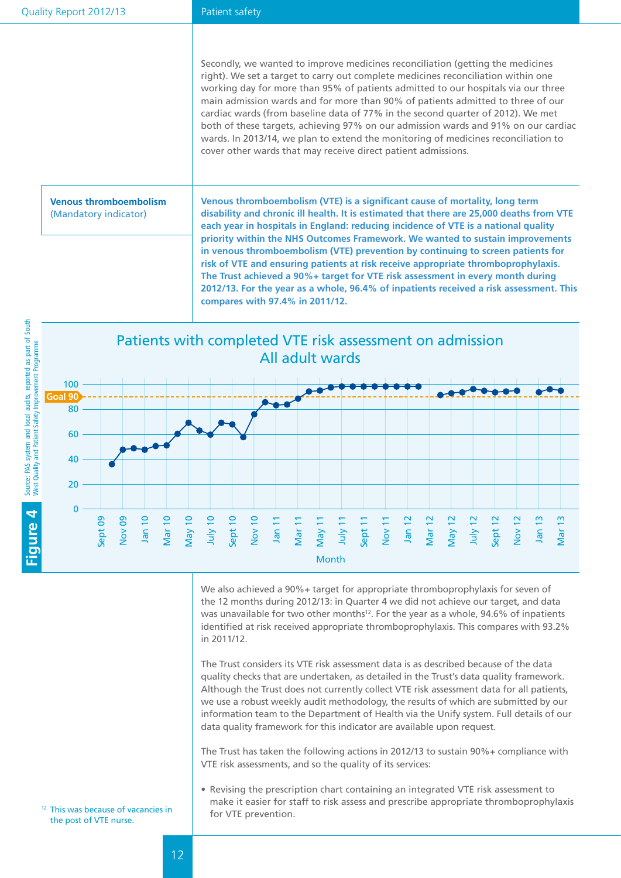Secondly, we wanted to improve medicines reconciliation (getting the medicines right). We set a target to carry out complete medicines reconciliation within one working day for more than 95% of patients admitted to our hospitals via our three main admission wards and for more than 90% of patients admitted to three of our cardiac wards (from baseline data of 77% in the second quarter of 2012). We met both of these targets, achieving 97% on our admission wards and 91% on our cardiac wards. In 2013/14, we plan to extend the monitoring of medicines reconciliation to cover other wards that may receive direct patient admissions.

**Venous thromboembolism** (Mandatory indicator)

**Venous thromboembolism (VTE) is a significant cause of mortality, long term disability and chronic ill health. It is estimated that there are 25,000 deaths from VTE each year in hospitals in England: reducing incidence of VTE is a national quality priority within the NHS Outcomes Framework. We wanted to sustain improvements in venous thromboembolism (VTE) prevention by continuing to screen patients for risk of VTE and ensuring patients at risk receive appropriate thromboprophylaxis. The Trust achieved a 90%+ target for VTE risk assessment in every month during 2012/13. For the year as a whole, 96.4% of inpatients received a risk assessment. This compares with 97.4% in 2011/12.** 



We also achieved a 90%+ target for appropriate thromboprophylaxis for seven of the 12 months during 2012/13: in Quarter 4 we did not achieve our target, and data was unavailable for two other months<sup>12</sup>. For the year as a whole,  $94.6\%$  of inpatients identified at risk received appropriate thromboprophylaxis. This compares with 93.2% in 2011/12.

The Trust considers its VTE risk assessment data is as described because of the data quality checks that are undertaken, as detailed in the Trust's data quality framework. Although the Trust does not currently collect VTE risk assessment data for all patients, we use a robust weekly audit methodology, the results of which are submitted by our information team to the Department of Health via the Unify system. Full details of our data quality framework for this indicator are available upon request.

The Trust has taken the following actions in 2012/13 to sustain 90%+ compliance with VTE risk assessments, and so the quality of its services:

• Revising the prescription chart containing an integrated VTE risk assessment to make it easier for staff to risk assess and prescribe appropriate thromboprophylaxis for VTE prevention.

<sup>12</sup> This was because of vacancies in the post of VTE nurse.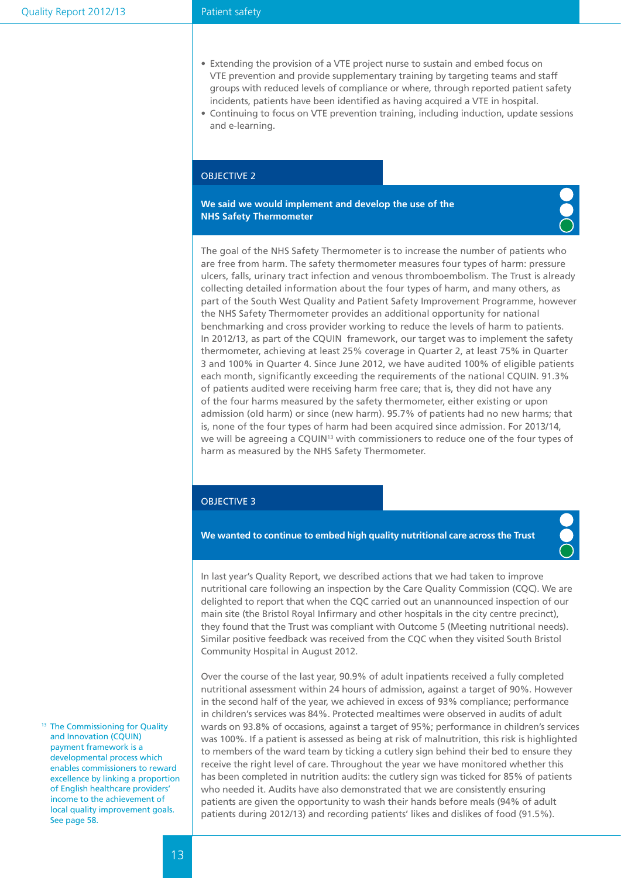#### Patient safety

- Extending the provision of a VTE project nurse to sustain and embed focus on VTE prevention and provide supplementary training by targeting teams and staff groups with reduced levels of compliance or where, through reported patient safety incidents, patients have been identified as having acquired a VTE in hospital.
- • Continuing to focus on VTE prevention training, including induction, update sessions and e-learning.

#### OBJECTIVE 2

**We said we would implement and develop the use of the NHS Safety Thermometer**



The goal of the NHS Safety Thermometer is to increase the number of patients who are free from harm. The safety thermometer measures four types of harm: pressure ulcers, falls, urinary tract infection and venous thromboembolism. The Trust is already collecting detailed information about the four types of harm, and many others, as part of the South West Quality and Patient Safety Improvement Programme, however the NHS Safety Thermometer provides an additional opportunity for national benchmarking and cross provider working to reduce the levels of harm to patients. In 2012/13, as part of the CQUIN framework, our target was to implement the safety thermometer, achieving at least 25% coverage in Quarter 2, at least 75% in Quarter 3 and 100% in Quarter 4. Since June 2012, we have audited 100% of eligible patients each month, significantly exceeding the requirements of the national CQUIN. 91.3% of patients audited were receiving harm free care; that is, they did not have any of the four harms measured by the safety thermometer, either existing or upon admission (old harm) or since (new harm). 95.7% of patients had no new harms; that is, none of the four types of harm had been acquired since admission. For 2013/14, we will be agreeing a CQUIN<sup>13</sup> with commissioners to reduce one of the four types of harm as measured by the NHS Safety Thermometer.

#### OBJECTIVE 3

**We wanted to continue to embed high quality nutritional care across the Trust**



In last year's Quality Report, we described actions that we had taken to improve nutritional care following an inspection by the Care Quality Commission (CQC). We are delighted to report that when the CQC carried out an unannounced inspection of our main site (the Bristol Royal Infirmary and other hospitals in the city centre precinct), they found that the Trust was compliant with Outcome 5 (Meeting nutritional needs). Similar positive feedback was received from the CQC when they visited South Bristol Community Hospital in August 2012.

Over the course of the last year, 90.9% of adult inpatients received a fully completed nutritional assessment within 24 hours of admission, against a target of 90%. However in the second half of the year, we achieved in excess of 93% compliance; performance in children's services was 84%. Protected mealtimes were observed in audits of adult wards on 93.8% of occasions, against a target of 95%; performance in children's services was 100%. If a patient is assessed as being at risk of malnutrition, this risk is highlighted to members of the ward team by ticking a cutlery sign behind their bed to ensure they receive the right level of care. Throughout the year we have monitored whether this has been completed in nutrition audits: the cutlery sign was ticked for 85% of patients who needed it. Audits have also demonstrated that we are consistently ensuring patients are given the opportunity to wash their hands before meals (94% of adult patients during 2012/13) and recording patients' likes and dislikes of food (91.5%).

<sup>13</sup> The Commissioning for Quality and Innovation (CQUIN) payment framework is a developmental process which enables commissioners to reward excellence by linking a proportion of English healthcare providers' income to the achievement of local quality improvement goals. See page 58.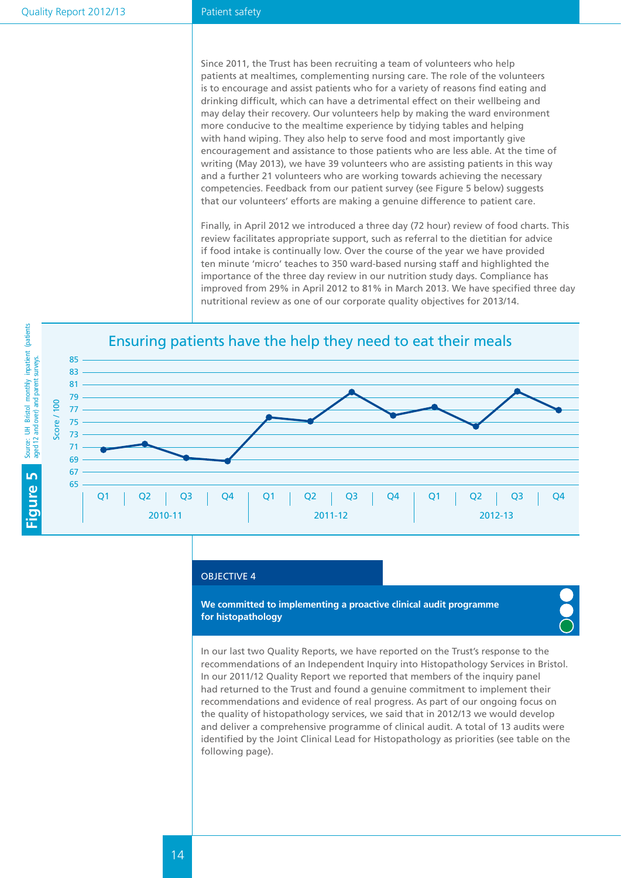#### Patient safety

Since 2011, the Trust has been recruiting a team of volunteers who help patients at mealtimes, complementing nursing care. The role of the volunteers is to encourage and assist patients who for a variety of reasons find eating and drinking difficult, which can have a detrimental effect on their wellbeing and may delay their recovery. Our volunteers help by making the ward environment more conducive to the mealtime experience by tidying tables and helping with hand wiping. They also help to serve food and most importantly give encouragement and assistance to those patients who are less able. At the time of writing (May 2013), we have 39 volunteers who are assisting patients in this way and a further 21 volunteers who are working towards achieving the necessary competencies. Feedback from our patient survey (see Figure 5 below) suggests that our volunteers' efforts are making a genuine difference to patient care.

Finally, in April 2012 we introduced a three day (72 hour) review of food charts. This review facilitates appropriate support, such as referral to the dietitian for advice if food intake is continually low. Over the course of the year we have provided ten minute 'micro' teaches to 350 ward-based nursing staff and highlighted the importance of the three day review in our nutrition study days. Compliance has improved from 29% in April 2012 to 81% in March 2013. We have specified three day nutritional review as one of our corporate quality objectives for 2013/14.



#### OBJECTIVE 4

**We committed to implementing a proactive clinical audit programme for histopathology**

In our last two Quality Reports, we have reported on the Trust's response to the recommendations of an Independent Inquiry into Histopathology Services in Bristol. In our 2011/12 Quality Report we reported that members of the inquiry panel had returned to the Trust and found a genuine commitment to implement their recommendations and evidence of real progress. As part of our ongoing focus on the quality of histopathology services, we said that in 2012/13 we would develop and deliver a comprehensive programme of clinical audit. A total of 13 audits were identified by the Joint Clinical Lead for Histopathology as priorities (see table on the following page).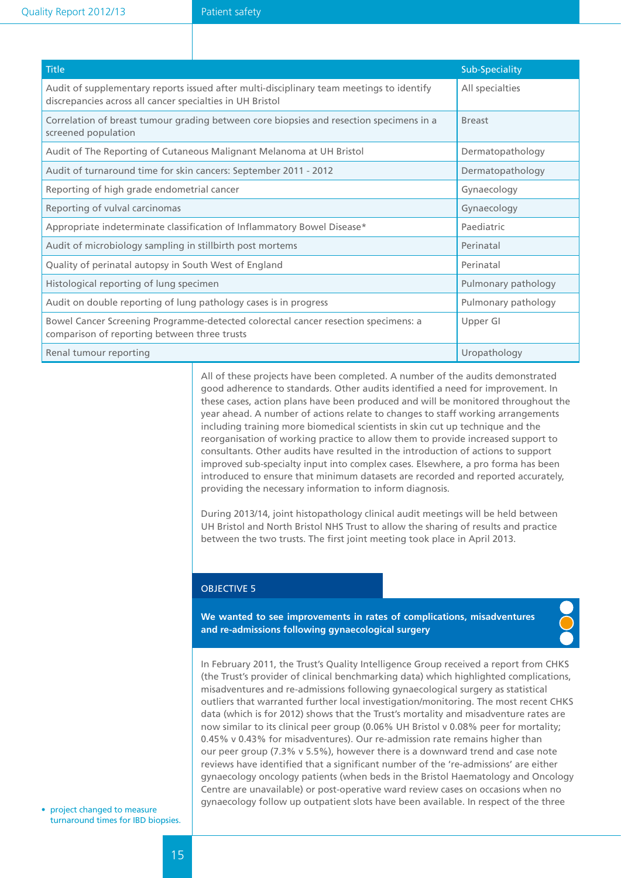| <b>Title</b>                                                                                                                                          | Sub-Speciality      |
|-------------------------------------------------------------------------------------------------------------------------------------------------------|---------------------|
| Audit of supplementary reports issued after multi-disciplinary team meetings to identify<br>discrepancies across all cancer specialties in UH Bristol | All specialties     |
| Correlation of breast tumour grading between core biopsies and resection specimens in a<br>screened population                                        | <b>Breast</b>       |
| Audit of The Reporting of Cutaneous Malignant Melanoma at UH Bristol                                                                                  | Dermatopathology    |
| Audit of turnaround time for skin cancers: September 2011 - 2012                                                                                      | Dermatopathology    |
| Reporting of high grade endometrial cancer                                                                                                            | Gynaecology         |
| Reporting of vulval carcinomas                                                                                                                        | Gynaecology         |
| Appropriate indeterminate classification of Inflammatory Bowel Disease*                                                                               | Paediatric          |
| Audit of microbiology sampling in stillbirth post mortems                                                                                             | Perinatal           |
| Quality of perinatal autopsy in South West of England                                                                                                 | Perinatal           |
| Histological reporting of lung specimen                                                                                                               | Pulmonary pathology |
| Audit on double reporting of lung pathology cases is in progress                                                                                      | Pulmonary pathology |
| Bowel Cancer Screening Programme-detected colorectal cancer resection specimens: a<br>comparison of reporting between three trusts                    | Upper GI            |
| Renal tumour reporting                                                                                                                                | Uropathology        |

All of these projects have been completed. A number of the audits demonstrated good adherence to standards. Other audits identified a need for improvement. In these cases, action plans have been produced and will be monitored throughout the year ahead. A number of actions relate to changes to staff working arrangements including training more biomedical scientists in skin cut up technique and the reorganisation of working practice to allow them to provide increased support to consultants. Other audits have resulted in the introduction of actions to support improved sub-specialty input into complex cases. Elsewhere, a pro forma has been introduced to ensure that minimum datasets are recorded and reported accurately, providing the necessary information to inform diagnosis.

During 2013/14, joint histopathology clinical audit meetings will be held between UH Bristol and North Bristol NHS Trust to allow the sharing of results and practice between the two trusts. The first joint meeting took place in April 2013.

#### OBJECTIVE 5

**We wanted to see improvements in rates of complications, misadventures and re-admissions following gynaecological surgery**



In February 2011, the Trust's Quality Intelligence Group received a report from CHKS (the Trust's provider of clinical benchmarking data) which highlighted complications, misadventures and re-admissions following gynaecological surgery as statistical outliers that warranted further local investigation/monitoring. The most recent CHKS data (which is for 2012) shows that the Trust's mortality and misadventure rates are now similar to its clinical peer group (0.06% UH Bristol v 0.08% peer for mortality; 0.45% v 0.43% for misadventures). Our re-admission rate remains higher than our peer group (7.3% v 5.5%), however there is a downward trend and case note reviews have identified that a significant number of the 're-admissions' are either gynaecology oncology patients (when beds in the Bristol Haematology and Oncology Centre are unavailable) or post-operative ward review cases on occasions when no gynaecology follow up outpatient slots have been available. In respect of the three

• project changed to measure turnaround times for IBD biopsies.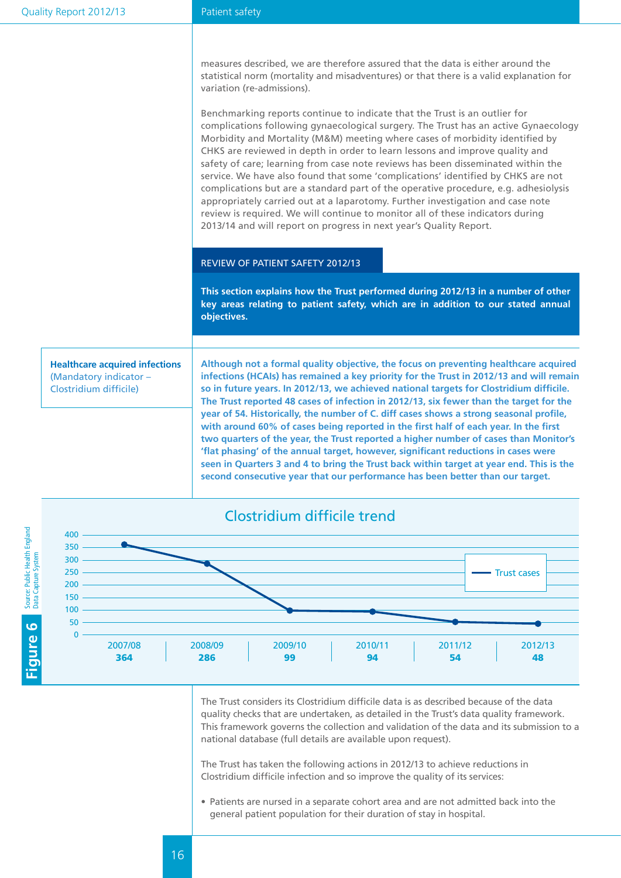#### Patient safety

measures described, we are therefore assured that the data is either around the statistical norm (mortality and misadventures) or that there is a valid explanation for variation (re-admissions).

Benchmarking reports continue to indicate that the Trust is an outlier for complications following gynaecological surgery. The Trust has an active Gynaecology Morbidity and Mortality (M&M) meeting where cases of morbidity identified by CHKS are reviewed in depth in order to learn lessons and improve quality and safety of care; learning from case note reviews has been disseminated within the service. We have also found that some 'complications' identified by CHKS are not complications but are a standard part of the operative procedure, e.g. adhesiolysis appropriately carried out at a laparotomy. Further investigation and case note review is required. We will continue to monitor all of these indicators during 2013/14 and will report on progress in next year's Quality Report.

#### Review of patient safety 2012/13

**This section explains how the Trust performed during 2012/13 in a number of other key areas relating to patient safety, which are in addition to our stated annual objectives.**

**Healthcare acquired infections** (Mandatory indicator – Clostridium difficile)

**Although not a formal quality objective, the focus on preventing healthcare acquired infections (HCAIs) has remained a key priority for the Trust in 2012/13 and will remain so in future years. In 2012/13, we achieved national targets for Clostridium difficile. The Trust reported 48 cases of infection in 2012/13, six fewer than the target for the year of 54. Historically, the number of C. diff cases shows a strong seasonal profile, with around 60% of cases being reported in the first half of each year. In the first two quarters of the year, the Trust reported a higher number of cases than Monitor's 'flat phasing' of the annual target, however, significant reductions in cases were seen in Quarters 3 and 4 to bring the Trust back within target at year end. This is the second consecutive year that our performance has been better than our target.** 



The Trust considers its Clostridium difficile data is as described because of the data quality checks that are undertaken, as detailed in the Trust's data quality framework. This framework governs the collection and validation of the data and its submission to a national database (full details are available upon request).

The Trust has taken the following actions in 2012/13 to achieve reductions in Clostridium difficile infection and so improve the quality of its services:

• Patients are nursed in a separate cohort area and are not admitted back into the general patient population for their duration of stay in hospital.

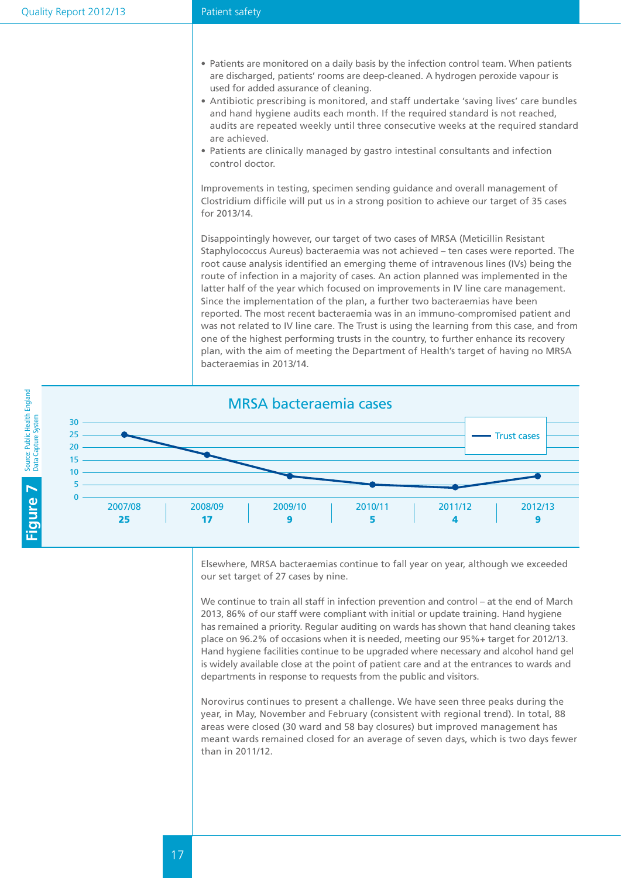- Patients are monitored on a daily basis by the infection control team. When patients are discharged, patients' rooms are deep-cleaned. A hydrogen peroxide vapour is used for added assurance of cleaning.
- • Antibiotic prescribing is monitored, and staff undertake 'saving lives' care bundles and hand hygiene audits each month. If the required standard is not reached, audits are repeated weekly until three consecutive weeks at the required standard are achieved.
- Patients are clinically managed by gastro intestinal consultants and infection control doctor.

Improvements in testing, specimen sending guidance and overall management of Clostridium difficile will put us in a strong position to achieve our target of 35 cases for 2013/14.

Disappointingly however, our target of two cases of MRSA (Meticillin Resistant Staphylococcus Aureus) bacteraemia was not achieved – ten cases were reported. The root cause analysis identified an emerging theme of intravenous lines (IVs) being the route of infection in a majority of cases. An action planned was implemented in the latter half of the year which focused on improvements in IV line care management. Since the implementation of the plan, a further two bacteraemias have been reported. The most recent bacteraemia was in an immuno-compromised patient and was not related to IV line care. The Trust is using the learning from this case, and from one of the highest performing trusts in the country, to further enhance its recovery plan, with the aim of meeting the Department of Health's target of having no MRSA bacteraemias in 2013/14.



Elsewhere, MRSA bacteraemias continue to fall year on year, although we exceeded our set target of 27 cases by nine.

We continue to train all staff in infection prevention and control – at the end of March 2013, 86% of our staff were compliant with initial or update training. Hand hygiene has remained a priority. Regular auditing on wards has shown that hand cleaning takes place on 96.2% of occasions when it is needed, meeting our 95%+ target for 2012/13. Hand hygiene facilities continue to be upgraded where necessary and alcohol hand gel is widely available close at the point of patient care and at the entrances to wards and departments in response to requests from the public and visitors.

Norovirus continues to present a challenge. We have seen three peaks during the year, in May, November and February (consistent with regional trend). In total, 88 areas were closed (30 ward and 58 bay closures) but improved management has meant wards remained closed for an average of seven days, which is two days fewer than in 2011/12.

17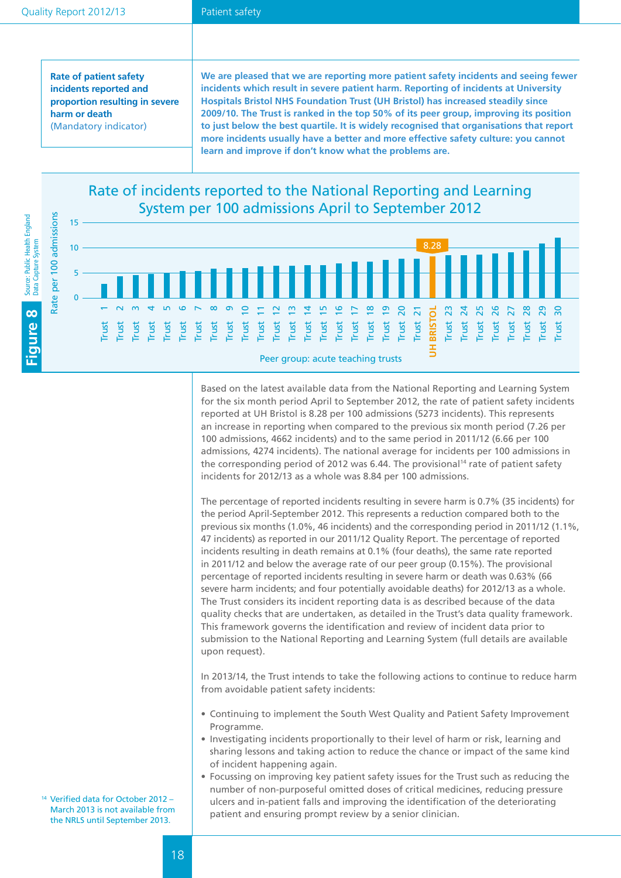#### Patient safety

**Rate of patient safety incidents reported and proportion resulting in severe harm or death** (Mandatory indicator)

**We are pleased that we are reporting more patient safety incidents and seeing fewer incidents which result in severe patient harm. Reporting of incidents at University Hospitals Bristol NHS Foundation Trust (UH Bristol) has increased steadily since 2009/10. The Trust is ranked in the top 50% of its peer group, improving its position to just below the best quartile. It is widely recognised that organisations that report more incidents usually have a better and more effective safety culture: you cannot learn and improve if don't know what the problems are.**

Rate of incidents reported to the National Reporting and Learning System per 100 admissions April to September 2012



Based on the latest available data from the National Reporting and Learning System for the six month period April to September 2012, the rate of patient safety incidents reported at UH Bristol is 8.28 per 100 admissions (5273 incidents). This represents an increase in reporting when compared to the previous six month period (7.26 per 100 admissions, 4662 incidents) and to the same period in 2011/12 (6.66 per 100 admissions, 4274 incidents). The national average for incidents per 100 admissions in the corresponding period of 2012 was 6.44. The provisional<sup>14</sup> rate of patient safety incidents for 2012/13 as a whole was 8.84 per 100 admissions.

The percentage of reported incidents resulting in severe harm is 0.7% (35 incidents) for the period April-September 2012. This represents a reduction compared both to the previous six months (1.0%, 46 incidents) and the corresponding period in 2011/12 (1.1%, 47 incidents) as reported in our 2011/12 Quality Report. The percentage of reported incidents resulting in death remains at 0.1% (four deaths), the same rate reported in 2011/12 and below the average rate of our peer group (0.15%). The provisional percentage of reported incidents resulting in severe harm or death was 0.63% (66 severe harm incidents; and four potentially avoidable deaths) for 2012/13 as a whole. The Trust considers its incident reporting data is as described because of the data quality checks that are undertaken, as detailed in the Trust's data quality framework. This framework governs the identification and review of incident data prior to submission to the National Reporting and Learning System (full details are available upon request).

In 2013/14, the Trust intends to take the following actions to continue to reduce harm from avoidable patient safety incidents:

- • Continuing to implement the South West Quality and Patient Safety Improvement Programme.
- Investigating incidents proportionally to their level of harm or risk, learning and sharing lessons and taking action to reduce the chance or impact of the same kind of incident happening again.
- • Focussing on improving key patient safety issues for the Trust such as reducing the number of non-purposeful omitted doses of critical medicines, reducing pressure ulcers and in-patient falls and improving the identification of the deteriorating patient and ensuring prompt review by a senior clinician.

<sup>14</sup> Verified data for October 2012 – March 2013 is not available from the NRLS until September 2013.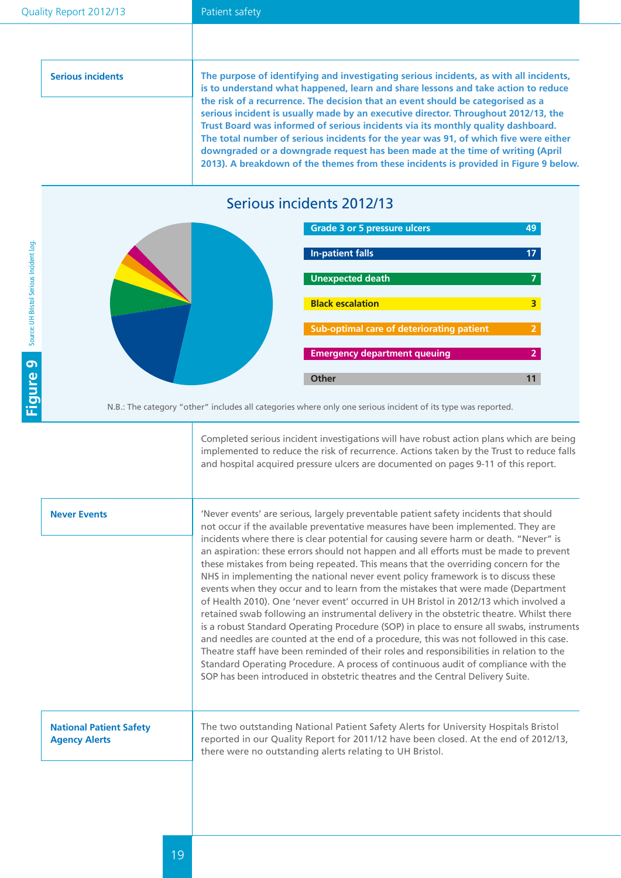#### Patient safety

| <b>Serious incidents</b> | The purpose of identifying and investigating serious incidents, as with all incidents,<br>is to understand what happened, learn and share lessons and take action to reduce<br>the risk of a recurrence. The decision that an event should be categorised as a |
|--------------------------|----------------------------------------------------------------------------------------------------------------------------------------------------------------------------------------------------------------------------------------------------------------|
|                          | serious incident is usually made by an executive director. Throughout 2012/13, the<br>Trust Board was informed of serious incidents via its monthly quality dashboard.                                                                                         |
|                          | The total number of serious incidents for the year was 91, of which five were either<br>downgraded or a downgrade request has been made at the time of writing (April<br>2013). A breakdown of the themes from these incidents is provided in Figure 9 below.  |

## Serious incidents 2012/13





N.B.: The category "other" includes all categories where only one serious incident of its type was reported.

Completed serious incident investigations will have robust action plans which are being implemented to reduce the risk of recurrence. Actions taken by the Trust to reduce falls and hospital acquired pressure ulcers are documented on pages 9-11 of this report.

| <b>Never Events</b>                                    | 'Never events' are serious, largely preventable patient safety incidents that should<br>not occur if the available preventative measures have been implemented. They are<br>incidents where there is clear potential for causing severe harm or death. "Never" is<br>an aspiration: these errors should not happen and all efforts must be made to prevent<br>these mistakes from being repeated. This means that the overriding concern for the<br>NHS in implementing the national never event policy framework is to discuss these<br>events when they occur and to learn from the mistakes that were made (Department<br>of Health 2010). One 'never event' occurred in UH Bristol in 2012/13 which involved a<br>retained swab following an instrumental delivery in the obstetric theatre. Whilst there<br>is a robust Standard Operating Procedure (SOP) in place to ensure all swabs, instruments<br>and needles are counted at the end of a procedure, this was not followed in this case.<br>Theatre staff have been reminded of their roles and responsibilities in relation to the<br>Standard Operating Procedure. A process of continuous audit of compliance with the<br>SOP has been introduced in obstetric theatres and the Central Delivery Suite. |
|--------------------------------------------------------|-----------------------------------------------------------------------------------------------------------------------------------------------------------------------------------------------------------------------------------------------------------------------------------------------------------------------------------------------------------------------------------------------------------------------------------------------------------------------------------------------------------------------------------------------------------------------------------------------------------------------------------------------------------------------------------------------------------------------------------------------------------------------------------------------------------------------------------------------------------------------------------------------------------------------------------------------------------------------------------------------------------------------------------------------------------------------------------------------------------------------------------------------------------------------------------------------------------------------------------------------------------------------|
| <b>National Patient Safety</b><br><b>Agency Alerts</b> | The two outstanding National Patient Safety Alerts for University Hospitals Bristol<br>reported in our Quality Report for 2011/12 have been closed. At the end of 2012/13,<br>there were no outstanding alerts relating to UH Bristol.                                                                                                                                                                                                                                                                                                                                                                                                                                                                                                                                                                                                                                                                                                                                                                                                                                                                                                                                                                                                                                |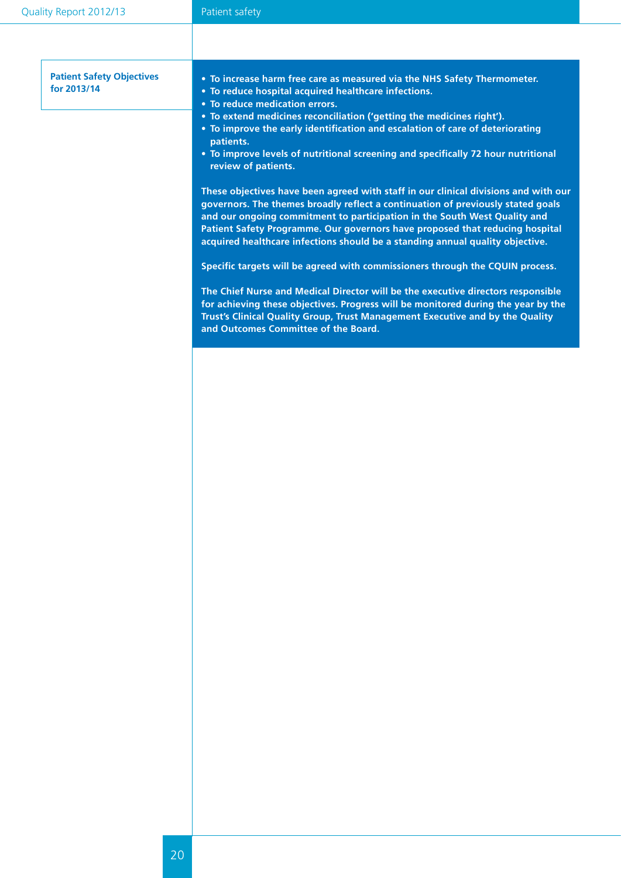| <b>Patient Safety Objectives</b><br>for 2013/14 | • To increase harm free care as measured via the NHS Safety Thermometer.<br>• To reduce hospital acquired healthcare infections.<br>• To reduce medication errors.<br>• To extend medicines reconciliation ('getting the medicines right').<br>• To improve the early identification and escalation of care of deteriorating<br>patients.<br>• To improve levels of nutritional screening and specifically 72 hour nutritional |
|-------------------------------------------------|--------------------------------------------------------------------------------------------------------------------------------------------------------------------------------------------------------------------------------------------------------------------------------------------------------------------------------------------------------------------------------------------------------------------------------|
|                                                 | review of patients.                                                                                                                                                                                                                                                                                                                                                                                                            |
|                                                 | These objectives have been agreed with staff in our clinical divisions and with our<br>governors. The themes broadly reflect a continuation of previously stated goals<br>and our ongoing commitment to participation in the South West Quality and<br>Patient Safety Programme. Our governors have proposed that reducing hospital<br>acquired healthcare infections should be a standing annual quality objective.           |
|                                                 | Specific targets will be agreed with commissioners through the CQUIN process.                                                                                                                                                                                                                                                                                                                                                  |
|                                                 | The Chief Nurse and Medical Director will be the executive directors responsible<br>for achieving these objectives. Progress will be monitored during the year by the<br>Trust's Clinical Quality Group, Trust Management Executive and by the Quality<br>and Outcomes Committee of the Board.                                                                                                                                 |
|                                                 |                                                                                                                                                                                                                                                                                                                                                                                                                                |
|                                                 |                                                                                                                                                                                                                                                                                                                                                                                                                                |
|                                                 |                                                                                                                                                                                                                                                                                                                                                                                                                                |
|                                                 |                                                                                                                                                                                                                                                                                                                                                                                                                                |
|                                                 |                                                                                                                                                                                                                                                                                                                                                                                                                                |
|                                                 |                                                                                                                                                                                                                                                                                                                                                                                                                                |
|                                                 |                                                                                                                                                                                                                                                                                                                                                                                                                                |
|                                                 |                                                                                                                                                                                                                                                                                                                                                                                                                                |
|                                                 |                                                                                                                                                                                                                                                                                                                                                                                                                                |
|                                                 |                                                                                                                                                                                                                                                                                                                                                                                                                                |
|                                                 |                                                                                                                                                                                                                                                                                                                                                                                                                                |
|                                                 |                                                                                                                                                                                                                                                                                                                                                                                                                                |
|                                                 |                                                                                                                                                                                                                                                                                                                                                                                                                                |
|                                                 |                                                                                                                                                                                                                                                                                                                                                                                                                                |
|                                                 |                                                                                                                                                                                                                                                                                                                                                                                                                                |
|                                                 |                                                                                                                                                                                                                                                                                                                                                                                                                                |
|                                                 |                                                                                                                                                                                                                                                                                                                                                                                                                                |
|                                                 |                                                                                                                                                                                                                                                                                                                                                                                                                                |
|                                                 |                                                                                                                                                                                                                                                                                                                                                                                                                                |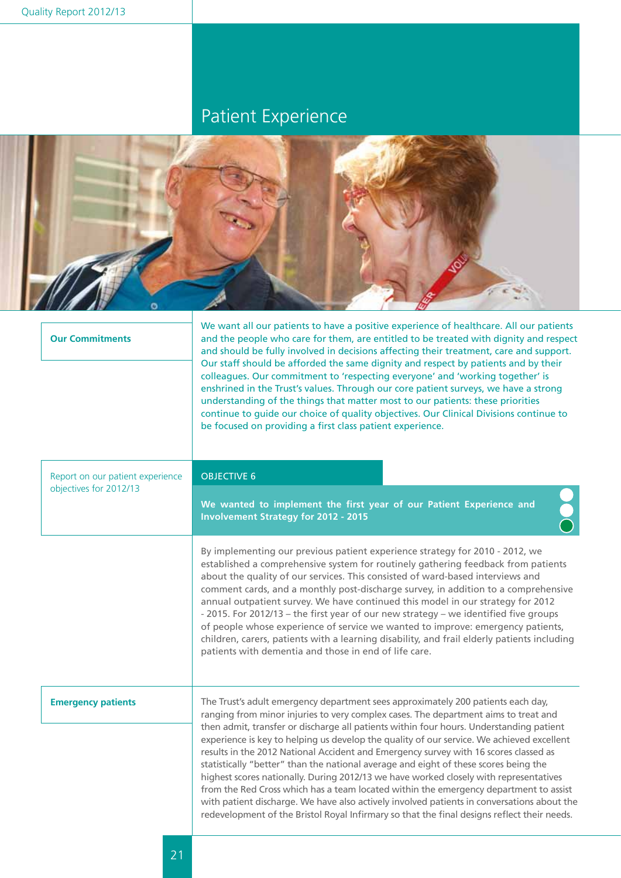## Patient Experience



| <b>Our Commitments</b>                                     | we want an our patients to have a positive experience or nearthcare. An our patients<br>and the people who care for them, are entitled to be treated with dignity and respect<br>and should be fully involved in decisions affecting their treatment, care and support.<br>Our staff should be afforded the same dignity and respect by patients and by their<br>colleagues. Our commitment to 'respecting everyone' and 'working together' is<br>enshrined in the Trust's values. Through our core patient surveys, we have a strong<br>understanding of the things that matter most to our patients: these priorities<br>continue to guide our choice of quality objectives. Our Clinical Divisions continue to<br>be focused on providing a first class patient experience.                                                                                                                                                 |
|------------------------------------------------------------|--------------------------------------------------------------------------------------------------------------------------------------------------------------------------------------------------------------------------------------------------------------------------------------------------------------------------------------------------------------------------------------------------------------------------------------------------------------------------------------------------------------------------------------------------------------------------------------------------------------------------------------------------------------------------------------------------------------------------------------------------------------------------------------------------------------------------------------------------------------------------------------------------------------------------------|
| Report on our patient experience<br>objectives for 2012/13 | <b>OBJECTIVE 6</b>                                                                                                                                                                                                                                                                                                                                                                                                                                                                                                                                                                                                                                                                                                                                                                                                                                                                                                             |
|                                                            | We wanted to implement the first year of our Patient Experience and<br><b>Involvement Strategy for 2012 - 2015</b>                                                                                                                                                                                                                                                                                                                                                                                                                                                                                                                                                                                                                                                                                                                                                                                                             |
|                                                            | By implementing our previous patient experience strategy for 2010 - 2012, we<br>established a comprehensive system for routinely gathering feedback from patients<br>about the quality of our services. This consisted of ward-based interviews and<br>comment cards, and a monthly post-discharge survey, in addition to a comprehensive<br>annual outpatient survey. We have continued this model in our strategy for 2012<br>- 2015. For 2012/13 - the first year of our new strategy - we identified five groups<br>of people whose experience of service we wanted to improve: emergency patients,<br>children, carers, patients with a learning disability, and frail elderly patients including<br>patients with dementia and those in end of life care.                                                                                                                                                                |
| <b>Emergency patients</b>                                  | The Trust's adult emergency department sees approximately 200 patients each day,<br>ranging from minor injuries to very complex cases. The department aims to treat and<br>then admit, transfer or discharge all patients within four hours. Understanding patient<br>experience is key to helping us develop the quality of our service. We achieved excellent<br>results in the 2012 National Accident and Emergency survey with 16 scores classed as<br>statistically "better" than the national average and eight of these scores being the<br>highest scores nationally. During 2012/13 we have worked closely with representatives<br>from the Red Cross which has a team located within the emergency department to assist<br>with patient discharge. We have also actively involved patients in conversations about the<br>redevelopment of the Bristol Royal Infirmary so that the final designs reflect their needs. |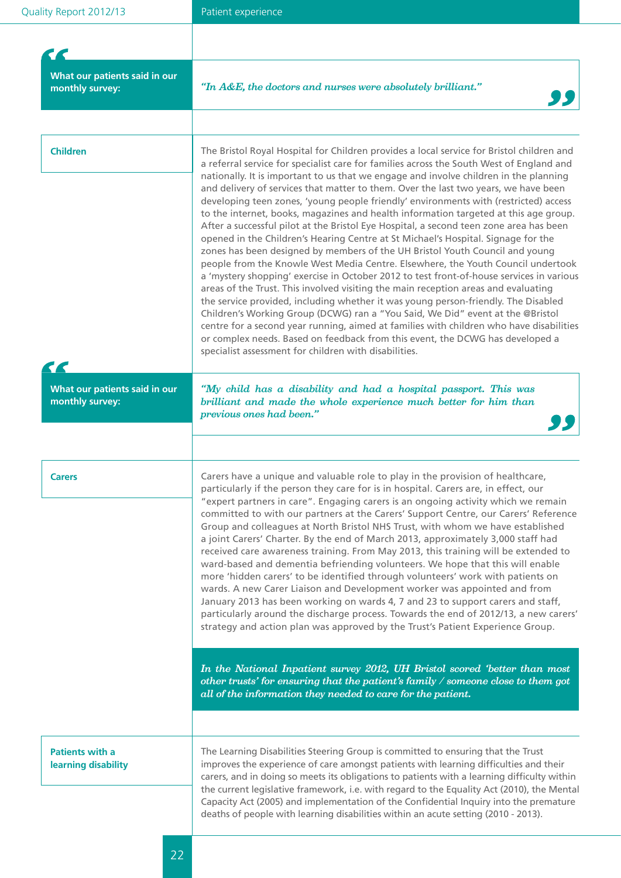| What our patients said in our<br>monthly survey: | "In A&E, the doctors and nurses were absolutely brilliant."                                                                                                                                                                                                                                                                                                                                                                                                                                                                                                                                                                                                                                                                                                                                                                                                                                                                                                                                                                                                                                                                                                                                                                                                                                                                                                                                                                                                                                             |
|--------------------------------------------------|---------------------------------------------------------------------------------------------------------------------------------------------------------------------------------------------------------------------------------------------------------------------------------------------------------------------------------------------------------------------------------------------------------------------------------------------------------------------------------------------------------------------------------------------------------------------------------------------------------------------------------------------------------------------------------------------------------------------------------------------------------------------------------------------------------------------------------------------------------------------------------------------------------------------------------------------------------------------------------------------------------------------------------------------------------------------------------------------------------------------------------------------------------------------------------------------------------------------------------------------------------------------------------------------------------------------------------------------------------------------------------------------------------------------------------------------------------------------------------------------------------|
|                                                  |                                                                                                                                                                                                                                                                                                                                                                                                                                                                                                                                                                                                                                                                                                                                                                                                                                                                                                                                                                                                                                                                                                                                                                                                                                                                                                                                                                                                                                                                                                         |
| <b>Children</b>                                  | The Bristol Royal Hospital for Children provides a local service for Bristol children and<br>a referral service for specialist care for families across the South West of England and<br>nationally. It is important to us that we engage and involve children in the planning<br>and delivery of services that matter to them. Over the last two years, we have been<br>developing teen zones, 'young people friendly' environments with (restricted) access<br>to the internet, books, magazines and health information targeted at this age group.<br>After a successful pilot at the Bristol Eye Hospital, a second teen zone area has been<br>opened in the Children's Hearing Centre at St Michael's Hospital. Signage for the<br>zones has been designed by members of the UH Bristol Youth Council and young<br>people from the Knowle West Media Centre. Elsewhere, the Youth Council undertook<br>a 'mystery shopping' exercise in October 2012 to test front-of-house services in various<br>areas of the Trust. This involved visiting the main reception areas and evaluating<br>the service provided, including whether it was young person-friendly. The Disabled<br>Children's Working Group (DCWG) ran a "You Said, We Did" event at the @Bristol<br>centre for a second year running, aimed at families with children who have disabilities<br>or complex needs. Based on feedback from this event, the DCWG has developed a<br>specialist assessment for children with disabilities. |
| What our patients said in our<br>monthly survey: | "My child has a disability and had a hospital passport. This was<br>brilliant and made the whole experience much better for him than<br>previous ones had been."                                                                                                                                                                                                                                                                                                                                                                                                                                                                                                                                                                                                                                                                                                                                                                                                                                                                                                                                                                                                                                                                                                                                                                                                                                                                                                                                        |
| <b>Carers</b>                                    | Carers have a unique and valuable role to play in the provision of healthcare,<br>particularly if the person they care for is in hospital. Carers are, in effect, our<br>"expert partners in care". Engaging carers is an ongoing activity which we remain<br>committed to with our partners at the Carers' Support Centre, our Carers' Reference<br>Group and colleagues at North Bristol NHS Trust, with whom we have established<br>a joint Carers' Charter. By the end of March 2013, approximately 3,000 staff had<br>received care awareness training. From May 2013, this training will be extended to<br>ward-based and dementia befriending volunteers. We hope that this will enable<br>more 'hidden carers' to be identified through volunteers' work with patients on<br>wards. A new Carer Liaison and Development worker was appointed and from<br>January 2013 has been working on wards 4, 7 and 23 to support carers and staff,<br>particularly around the discharge process. Towards the end of 2012/13, a new carers'<br>strategy and action plan was approved by the Trust's Patient Experience Group.                                                                                                                                                                                                                                                                                                                                                                              |
|                                                  | In the National Inpatient survey 2012, UH Bristol scored 'better than most<br>other trusts' for ensuring that the patient's family $\ell$ someone close to them got<br>all of the information they needed to care for the patient.                                                                                                                                                                                                                                                                                                                                                                                                                                                                                                                                                                                                                                                                                                                                                                                                                                                                                                                                                                                                                                                                                                                                                                                                                                                                      |
| <b>Patients with a</b><br>learning disability    | The Learning Disabilities Steering Group is committed to ensuring that the Trust<br>improves the experience of care amongst patients with learning difficulties and their<br>carers, and in doing so meets its obligations to patients with a learning difficulty within<br>the current legislative framework, i.e. with regard to the Equality Act (2010), the Mental<br>Capacity Act (2005) and implementation of the Confidential Inquiry into the premature<br>deaths of people with learning disabilities within an acute setting (2010 - 2013).                                                                                                                                                                                                                                                                                                                                                                                                                                                                                                                                                                                                                                                                                                                                                                                                                                                                                                                                                   |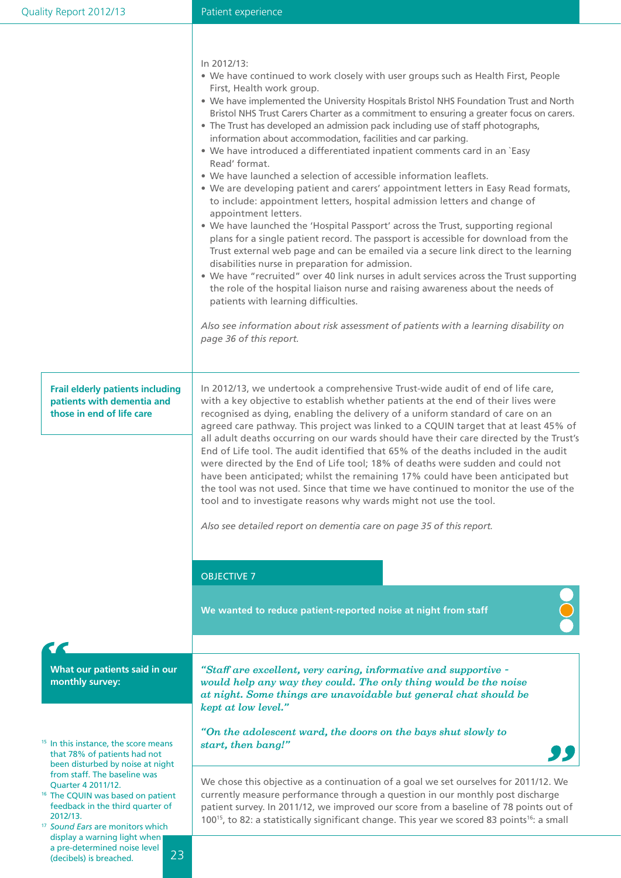#### Patient experience

In 2012/13:

- We have continued to work closely with user groups such as Health First, People First, Health work group.
- We have implemented the University Hospitals Bristol NHS Foundation Trust and North Bristol NHS Trust Carers Charter as a commitment to ensuring a greater focus on carers.
- The Trust has developed an admission pack including use of staff photographs, information about accommodation, facilities and car parking.
- We have introduced a differentiated inpatient comments card in an `Easy Read' format.
- We have launched a selection of accessible information leaflets.
- We are developing patient and carers' appointment letters in Easy Read formats, to include: appointment letters, hospital admission letters and change of appointment letters.
- We have launched the 'Hospital Passport' across the Trust, supporting regional plans for a single patient record. The passport is accessible for download from the Trust external web page and can be emailed via a secure link direct to the learning disabilities nurse in preparation for admission.
- We have "recruited" over 40 link nurses in adult services across the Trust supporting the role of the hospital liaison nurse and raising awareness about the needs of patients with learning difficulties.

*Also see information about risk assessment of patients with a learning disability on page 36 of this report.*

**Frail elderly patients including patients with dementia and those in end of life care**

In 2012/13, we undertook a comprehensive Trust-wide audit of end of life care, with a key objective to establish whether patients at the end of their lives were recognised as dying, enabling the delivery of a uniform standard of care on an agreed care pathway. This project was linked to a CQUIN target that at least 45% of all adult deaths occurring on our wards should have their care directed by the Trust's End of Life tool. The audit identified that 65% of the deaths included in the audit were directed by the End of Life tool; 18% of deaths were sudden and could not have been anticipated; whilst the remaining 17% could have been anticipated but the tool was not used. Since that time we have continued to monitor the use of the tool and to investigate reasons why wards might not use the tool.

*Also see detailed report on dementia care on page 35 of this report.*

#### OBJECTIVE 7

**We wanted to reduce patient-reported noise at night from staff**

**What our patients said in our monthly survey:**

<sup>15</sup> In this instance, the score means that 78% of patients had not been disturbed by noise at night from staff. The baseline was<br>Ouarter 4 2011/12.

- <sup>16</sup> The CQUIN was based on patient feedback in the third quarter of 2012/13.
- <sup>17</sup> *Sound Ears* are monitors which display a warning light when a pre-determined noise level (decibels) is breached.

*"Staff are excellent, very caring, informative and supportive would help any way they could. The only thing would be the noise at night. Some things are unavoidable but general chat should be kept at low level."*

*"On the adolescent ward, the doors on the bays shut slowly to start, then bang!"*



We chose this objective as a continuation of a goal we set ourselves for 2011/12. We currently measure performance through a question in our monthly post discharge patient survey. In 2011/12, we improved our score from a baseline of 78 points out of 100<sup>15</sup>, to 82: a statistically significant change. This year we scored 83 points<sup>16</sup>: a small

23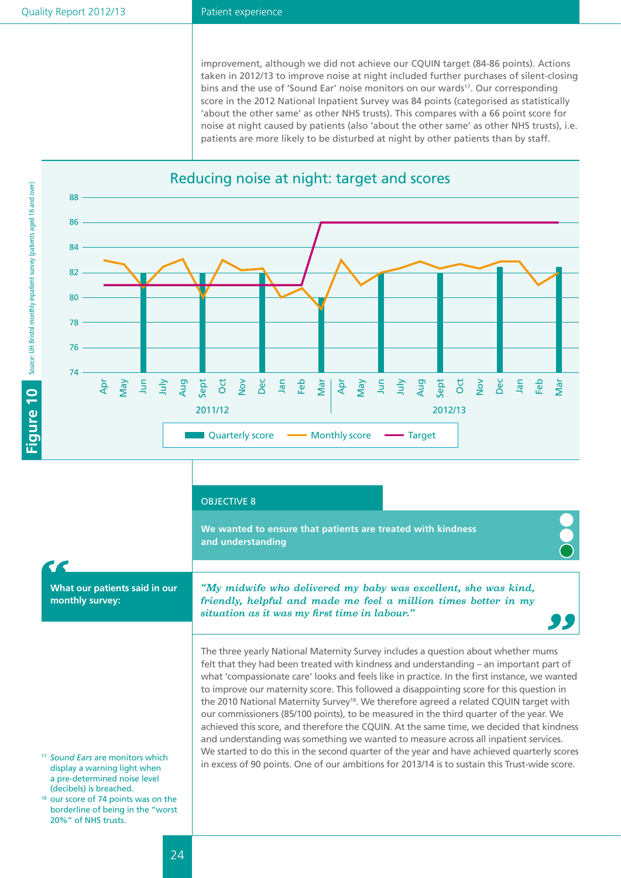#### Patient experience

improvement, although we did not achieve our CQUIN target (84-86 points). Actions taken in 2012/13 to improve noise at night included further purchases of silent-closing bins and the use of 'Sound Ear' noise monitors on our wards<sup>17</sup>. Our corresponding score in the 2012 National Inpatient Survey was 84 points (categorised as statistically 'about the other same' as other NHS trusts). This compares with a 66 point score for noise at night caused by patients (also 'about the other same' as other NHS trusts), i.e. patients are more likely to be disturbed at night by other patients than by staff.



#### OBJECTIVE 8

**We wanted to ensure that patients are treated with kindness and understanding**

## **What our patients said in our**

**monthly survey:**

*"My midwife who delivered my baby was excellent, she was kind, friendly, helpful and made me feel a million times better in my situation as it was my first time in labour."*

The three yearly National Maternity Survey includes a question about whether mums felt that they had been treated with kindness and understanding – an important part of what 'compassionate care' looks and feels like in practice. In the first instance, we wanted to improve our maternity score. This followed a disappointing score for this question in the 2010 National Maternity Survey<sup>18</sup>. We therefore agreed a related CQUIN target with our commissioners (85/100 points), to be measured in the third quarter of the year. We achieved this score, and therefore the CQUIN. At the same time, we decided that kindness and understanding was something we wanted to measure across all inpatient services. We started to do this in the second quarter of the year and have achieved quarterly scores in excess of 90 points. One of our ambitions for 2013/14 is to sustain this Trust-wide score.

- <sup>17</sup> *Sound Ears* are monitors which display a warning light when a pre-determined noise level (decibels) is breached.
- <sup>18</sup> our score of 74 points was on the borderline of being in the "worst 20%" of NHS trusts.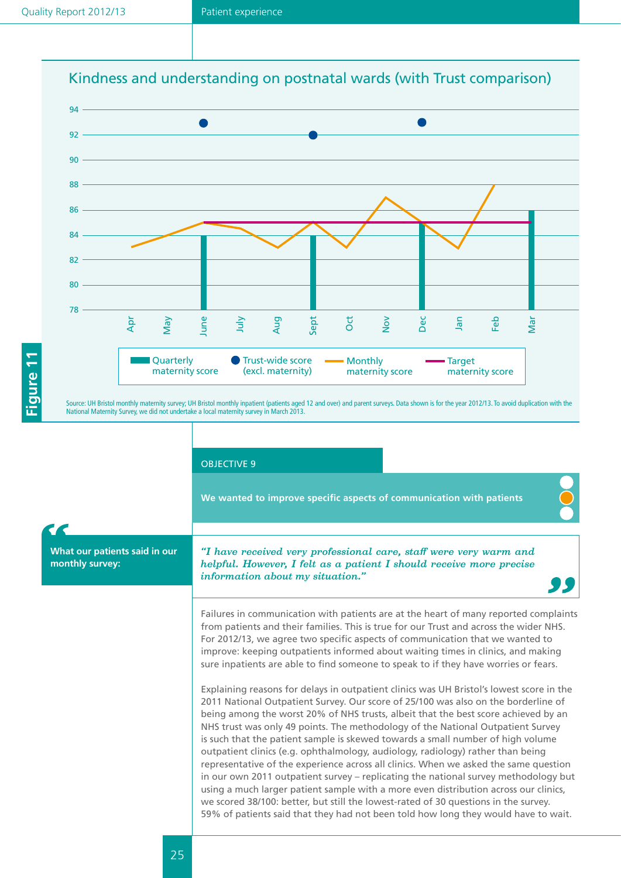



Source: UH Bristol monthly maternity survey; UH Bristol monthly inpatient (patients aged 12 and over) and parent surveys. Data shown is for the year 2012/13. To avoid duplication with the National Maternity Survey, we did not undertake a local maternity survey in March 2013.

OBJECTIVE 9

**We wanted to improve specific aspects of communication with patients**

*"I have received very professional care, staff were very warm and helpful. However, I felt as a patient I should receive more precise information about my situation."*

Failures in communication with patients are at the heart of many reported complaints from patients and their families. This is true for our Trust and across the wider NHS. For 2012/13, we agree two specific aspects of communication that we wanted to improve: keeping outpatients informed about waiting times in clinics, and making sure inpatients are able to find someone to speak to if they have worries or fears.

Explaining reasons for delays in outpatient clinics was UH Bristol's lowest score in the 2011 National Outpatient Survey. Our score of 25/100 was also on the borderline of being among the worst 20% of NHS trusts, albeit that the best score achieved by an NHS trust was only 49 points. The methodology of the National Outpatient Survey is such that the patient sample is skewed towards a small number of high volume outpatient clinics (e.g. ophthalmology, audiology, radiology) rather than being representative of the experience across all clinics. When we asked the same question in our own 2011 outpatient survey – replicating the national survey methodology but using a much larger patient sample with a more even distribution across our clinics, we scored 38/100: better, but still the lowest-rated of 30 questions in the survey. 59% of patients said that they had not been told how long they would have to wait.

**What our patients said in our** 

**monthly survey:**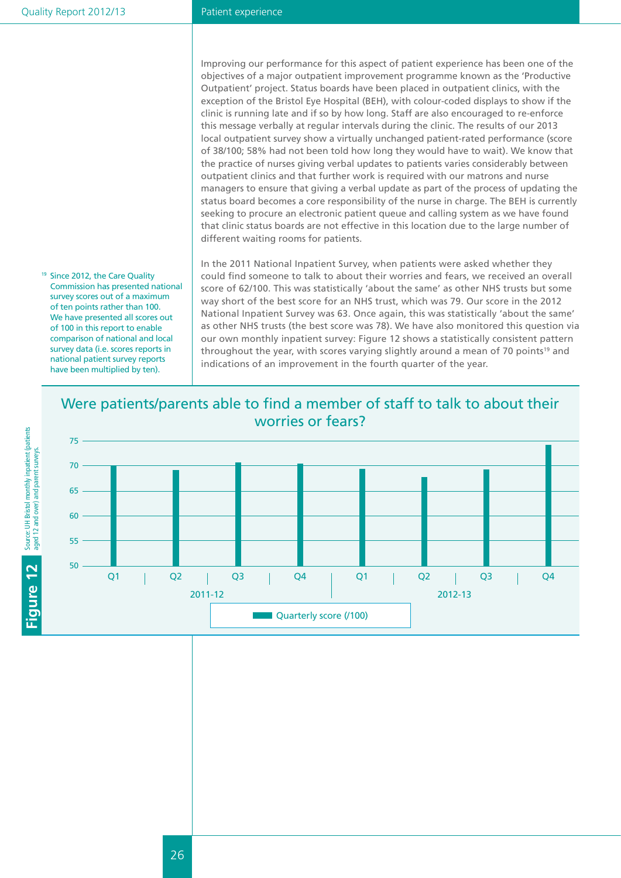#### Patient experience

Improving our performance for this aspect of patient experience has been one of the objectives of a major outpatient improvement programme known as the 'Productive Outpatient' project. Status boards have been placed in outpatient clinics, with the exception of the Bristol Eye Hospital (BEH), with colour-coded displays to show if the clinic is running late and if so by how long. Staff are also encouraged to re-enforce this message verbally at regular intervals during the clinic. The results of our 2013 local outpatient survey show a virtually unchanged patient-rated performance (score of 38/100; 58% had not been told how long they would have to wait). We know that the practice of nurses giving verbal updates to patients varies considerably between outpatient clinics and that further work is required with our matrons and nurse managers to ensure that giving a verbal update as part of the process of updating the status board becomes a core responsibility of the nurse in charge. The BEH is currently seeking to procure an electronic patient queue and calling system as we have found that clinic status boards are not effective in this location due to the large number of different waiting rooms for patients.

In the 2011 National Inpatient Survey, when patients were asked whether they could find someone to talk to about their worries and fears, we received an overall score of 62/100. This was statistically 'about the same' as other NHS trusts but some way short of the best score for an NHS trust, which was 79. Our score in the 2012 National Inpatient Survey was 63. Once again, this was statistically 'about the same' as other NHS trusts (the best score was 78). We have also monitored this question via our own monthly inpatient survey: Figure 12 shows a statistically consistent pattern throughout the year, with scores varying slightly around a mean of 70 points<sup>19</sup> and indications of an improvement in the fourth quarter of the year.

### Were patients/parents able to find a member of staff to talk to about their worries or fears?



<sup>19</sup> Since 2012, the Care Quality Commission has presented national survey scores out of a maximum of ten points rather than 100. We have presented all scores out of 100 in this report to enable comparison of national and local survey data (i.e. scores reports in national patient survey reports have been multiplied by ten).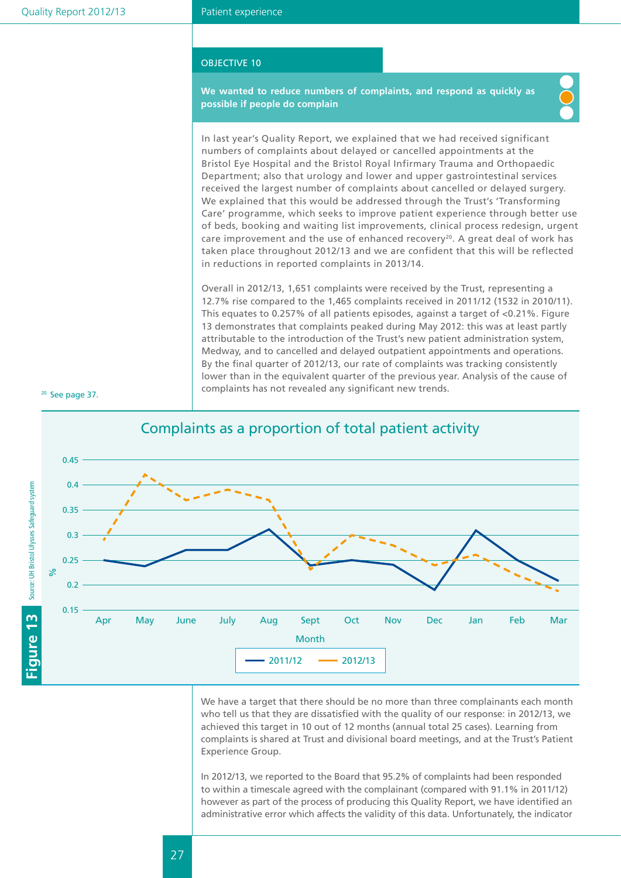#### OBJECTIVE 10

**We wanted to reduce numbers of complaints, and respond as quickly as possible if people do complain**



In last year's Quality Report, we explained that we had received significant numbers of complaints about delayed or cancelled appointments at the Bristol Eye Hospital and the Bristol Royal Infirmary Trauma and Orthopaedic Department; also that urology and lower and upper gastrointestinal services received the largest number of complaints about cancelled or delayed surgery. We explained that this would be addressed through the Trust's 'Transforming Care' programme, which seeks to improve patient experience through better use of beds, booking and waiting list improvements, clinical process redesign, urgent care improvement and the use of enhanced recovery<sup>20</sup>. A great deal of work has taken place throughout 2012/13 and we are confident that this will be reflected in reductions in reported complaints in 2013/14.

Overall in 2012/13, 1,651 complaints were received by the Trust, representing a 12.7% rise compared to the 1,465 complaints received in 2011/12 (1532 in 2010/11). This equates to 0.257% of all patients episodes, against a target of <0.21%. Figure 13 demonstrates that complaints peaked during May 2012: this was at least partly attributable to the introduction of the Trust's new patient administration system, Medway, and to cancelled and delayed outpatient appointments and operations. By the final quarter of 2012/13, our rate of complaints was tracking consistently lower than in the equivalent quarter of the previous year. Analysis of the cause of complaints has not revealed any significant new trends.





Complaints as a proportion of total patient activity

We have a target that there should be no more than three complainants each month who tell us that they are dissatisfied with the quality of our response: in 2012/13, we achieved this target in 10 out of 12 months (annual total 25 cases). Learning from complaints is shared at Trust and divisional board meetings, and at the Trust's Patient Experience Group.

In 2012/13, we reported to the Board that 95.2% of complaints had been responded to within a timescale agreed with the complainant (compared with 91.1% in 2011/12) however as part of the process of producing this Quality Report, we have identified an administrative error which affects the validity of this data. Unfortunately, the indicator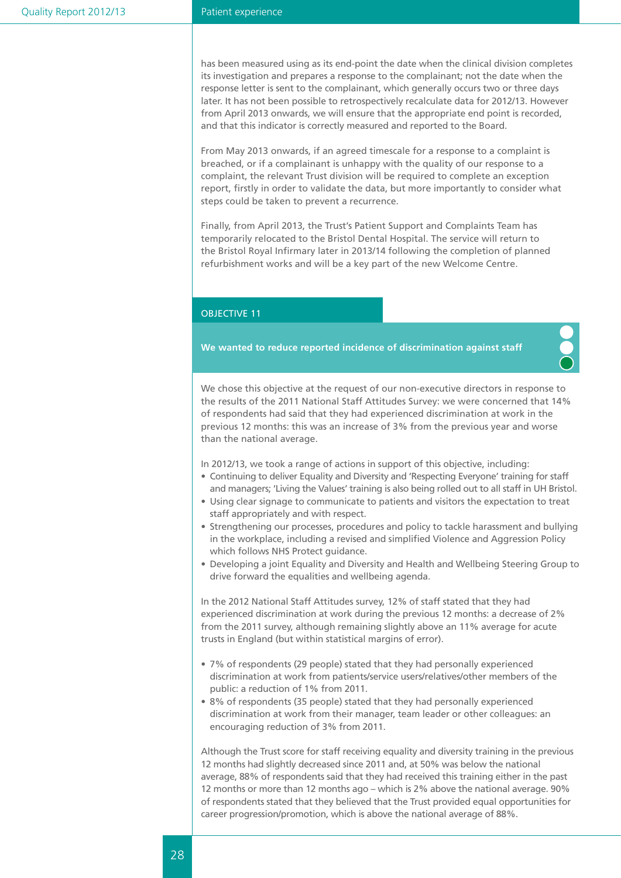#### Patient experience

has been measured using as its end-point the date when the clinical division completes its investigation and prepares a response to the complainant; not the date when the response letter is sent to the complainant, which generally occurs two or three days later. It has not been possible to retrospectively recalculate data for 2012/13. However from April 2013 onwards, we will ensure that the appropriate end point is recorded, and that this indicator is correctly measured and reported to the Board.

From May 2013 onwards, if an agreed timescale for a response to a complaint is breached, or if a complainant is unhappy with the quality of our response to a complaint, the relevant Trust division will be required to complete an exception report, firstly in order to validate the data, but more importantly to consider what steps could be taken to prevent a recurrence.

Finally, from April 2013, the Trust's Patient Support and Complaints Team has temporarily relocated to the Bristol Dental Hospital. The service will return to the Bristol Royal Infirmary later in 2013/14 following the completion of planned refurbishment works and will be a key part of the new Welcome Centre.

#### OBJECTIVE 11

**We wanted to reduce reported incidence of discrimination against staff**

We chose this objective at the request of our non-executive directors in response to the results of the 2011 National Staff Attitudes Survey: we were concerned that 14% of respondents had said that they had experienced discrimination at work in the previous 12 months: this was an increase of 3% from the previous year and worse than the national average.

In 2012/13, we took a range of actions in support of this objective, including:

- • Continuing to deliver Equality and Diversity and 'Respecting Everyone' training for staff and managers; 'Living the Values' training is also being rolled out to all staff in UH Bristol.
- • Using clear signage to communicate to patients and visitors the expectation to treat staff appropriately and with respect.
- Strengthening our processes, procedures and policy to tackle harassment and bullying in the workplace, including a revised and simplified Violence and Aggression Policy which follows NHS Protect guidance.
- Developing a joint Equality and Diversity and Health and Wellbeing Steering Group to drive forward the equalities and wellbeing agenda.

In the 2012 National Staff Attitudes survey, 12% of staff stated that they had experienced discrimination at work during the previous 12 months: a decrease of 2% from the 2011 survey, although remaining slightly above an 11% average for acute trusts in England (but within statistical margins of error).

- 7% of respondents (29 people) stated that they had personally experienced discrimination at work from patients/service users/relatives/other members of the public: a reduction of 1% from 2011.
- 8% of respondents (35 people) stated that they had personally experienced discrimination at work from their manager, team leader or other colleagues: an encouraging reduction of 3% from 2011.

Although the Trust score for staff receiving equality and diversity training in the previous 12 months had slightly decreased since 2011 and, at 50% was below the national average, 88% of respondents said that they had received this training either in the past 12 months or more than 12 months ago – which is 2% above the national average. 90% of respondents stated that they believed that the Trust provided equal opportunities for career progression/promotion, which is above the national average of 88%.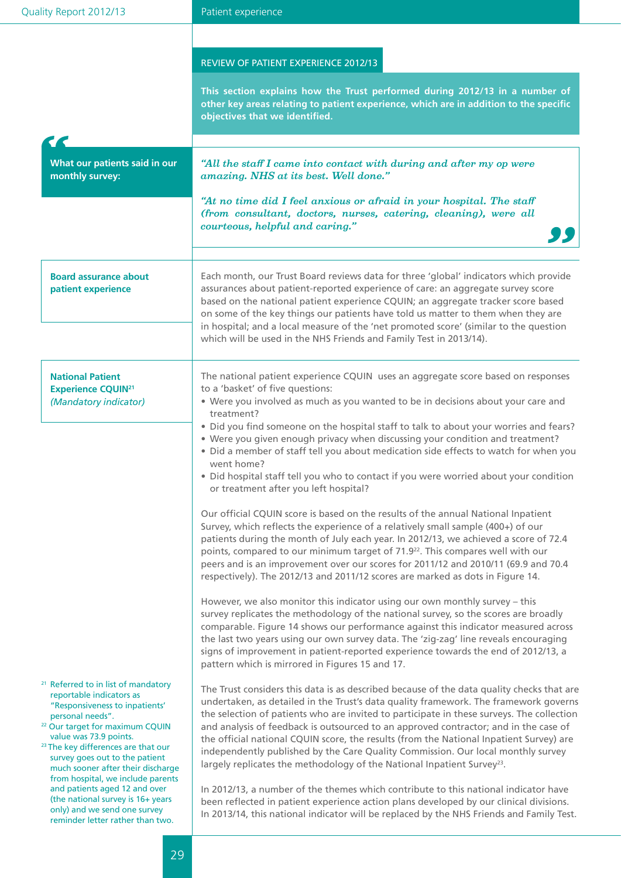| Quality Report 2012/13                                                                                                                                                                                                                                                                                                                                                                                                                                                                                           | Patient experience                                                                                                                                                                                                                                                                                                                                                                                                                                                                                                                                                                                                                                                                                                                                                                                                                                                                                                                                                                                                                                                |  |  |  |  |
|------------------------------------------------------------------------------------------------------------------------------------------------------------------------------------------------------------------------------------------------------------------------------------------------------------------------------------------------------------------------------------------------------------------------------------------------------------------------------------------------------------------|-------------------------------------------------------------------------------------------------------------------------------------------------------------------------------------------------------------------------------------------------------------------------------------------------------------------------------------------------------------------------------------------------------------------------------------------------------------------------------------------------------------------------------------------------------------------------------------------------------------------------------------------------------------------------------------------------------------------------------------------------------------------------------------------------------------------------------------------------------------------------------------------------------------------------------------------------------------------------------------------------------------------------------------------------------------------|--|--|--|--|
|                                                                                                                                                                                                                                                                                                                                                                                                                                                                                                                  |                                                                                                                                                                                                                                                                                                                                                                                                                                                                                                                                                                                                                                                                                                                                                                                                                                                                                                                                                                                                                                                                   |  |  |  |  |
|                                                                                                                                                                                                                                                                                                                                                                                                                                                                                                                  | REVIEW OF PATIENT EXPERIENCE 2012/13<br>This section explains how the Trust performed during 2012/13 in a number of<br>other key areas relating to patient experience, which are in addition to the specific<br>objectives that we identified.                                                                                                                                                                                                                                                                                                                                                                                                                                                                                                                                                                                                                                                                                                                                                                                                                    |  |  |  |  |
| What our patients said in our<br>monthly survey:                                                                                                                                                                                                                                                                                                                                                                                                                                                                 | "All the staff I came into contact with during and after my op were<br>amazing. NHS at its best. Well done."<br>"At no time did I feel anxious or afraid in your hospital. The staff<br>(from consultant, doctors, nurses, catering, cleaning), were all<br>courteous, helpful and caring."                                                                                                                                                                                                                                                                                                                                                                                                                                                                                                                                                                                                                                                                                                                                                                       |  |  |  |  |
| <b>Board assurance about</b><br>patient experience                                                                                                                                                                                                                                                                                                                                                                                                                                                               | Each month, our Trust Board reviews data for three 'global' indicators which provide<br>assurances about patient-reported experience of care: an aggregate survey score<br>based on the national patient experience CQUIN; an aggregate tracker score based<br>on some of the key things our patients have told us matter to them when they are<br>in hospital; and a local measure of the 'net promoted score' (similar to the question<br>which will be used in the NHS Friends and Family Test in 2013/14).                                                                                                                                                                                                                                                                                                                                                                                                                                                                                                                                                    |  |  |  |  |
| <b>National Patient</b><br><b>Experience CQUIN21</b><br>(Mandatory indicator)                                                                                                                                                                                                                                                                                                                                                                                                                                    | The national patient experience CQUIN uses an aggregate score based on responses<br>to a 'basket' of five questions:<br>• Were you involved as much as you wanted to be in decisions about your care and<br>treatment?<br>• Did you find someone on the hospital staff to talk to about your worries and fears?<br>• Were you given enough privacy when discussing your condition and treatment?<br>. Did a member of staff tell you about medication side effects to watch for when you<br>went home?<br>• Did hospital staff tell you who to contact if you were worried about your condition<br>or treatment after you left hospital?                                                                                                                                                                                                                                                                                                                                                                                                                          |  |  |  |  |
|                                                                                                                                                                                                                                                                                                                                                                                                                                                                                                                  | Our official CQUIN score is based on the results of the annual National Inpatient<br>Survey, which reflects the experience of a relatively small sample (400+) of our<br>patients during the month of July each year. In 2012/13, we achieved a score of 72.4<br>points, compared to our minimum target of 71.9 <sup>22</sup> . This compares well with our<br>peers and is an improvement over our scores for 2011/12 and 2010/11 (69.9 and 70.4<br>respectively). The 2012/13 and 2011/12 scores are marked as dots in Figure 14.<br>However, we also monitor this indicator using our own monthly survey - this<br>survey replicates the methodology of the national survey, so the scores are broadly<br>comparable. Figure 14 shows our performance against this indicator measured across<br>the last two years using our own survey data. The 'zig-zag' line reveals encouraging                                                                                                                                                                           |  |  |  |  |
| <sup>21</sup> Referred to in list of mandatory<br>reportable indicators as<br>"Responsiveness to inpatients'<br>personal needs".<br><sup>22</sup> Our target for maximum CQUIN<br>value was 73.9 points.<br><sup>23</sup> The key differences are that our<br>survey goes out to the patient<br>much sooner after their discharge<br>from hospital, we include parents<br>and patients aged 12 and over<br>(the national survey is 16+ years<br>only) and we send one survey<br>reminder letter rather than two. | signs of improvement in patient-reported experience towards the end of 2012/13, a<br>pattern which is mirrored in Figures 15 and 17.<br>The Trust considers this data is as described because of the data quality checks that are<br>undertaken, as detailed in the Trust's data quality framework. The framework governs<br>the selection of patients who are invited to participate in these surveys. The collection<br>and analysis of feedback is outsourced to an approved contractor; and in the case of<br>the official national CQUIN score, the results (from the National Inpatient Survey) are<br>independently published by the Care Quality Commission. Our local monthly survey<br>largely replicates the methodology of the National Inpatient Survey <sup>23</sup> .<br>In 2012/13, a number of the themes which contribute to this national indicator have<br>been reflected in patient experience action plans developed by our clinical divisions.<br>In 2013/14, this national indicator will be replaced by the NHS Friends and Family Test. |  |  |  |  |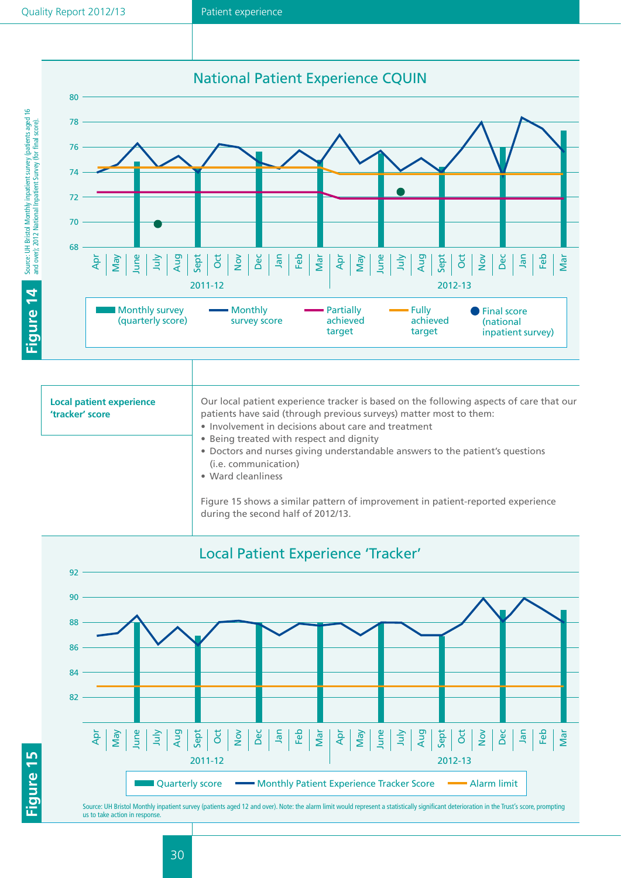



| <b>Local patient experience</b><br>'tracker' score | Our local patient experience tracker is based on the following aspects of care that our<br>patients have said (through previous surveys) matter most to them:<br>• Involvement in decisions about care and treatment<br>• Being treated with respect and dignity |
|----------------------------------------------------|------------------------------------------------------------------------------------------------------------------------------------------------------------------------------------------------------------------------------------------------------------------|
|                                                    | • Doctors and nurses giving understandable answers to the patient's questions<br>(i.e. communication)<br>• Ward cleanliness                                                                                                                                      |
|                                                    | Figure 15 shows a similar pattern of improvement in patient-reported experience<br>during the second half of 2012/13.                                                                                                                                            |

![](_page_30_Figure_5.jpeg)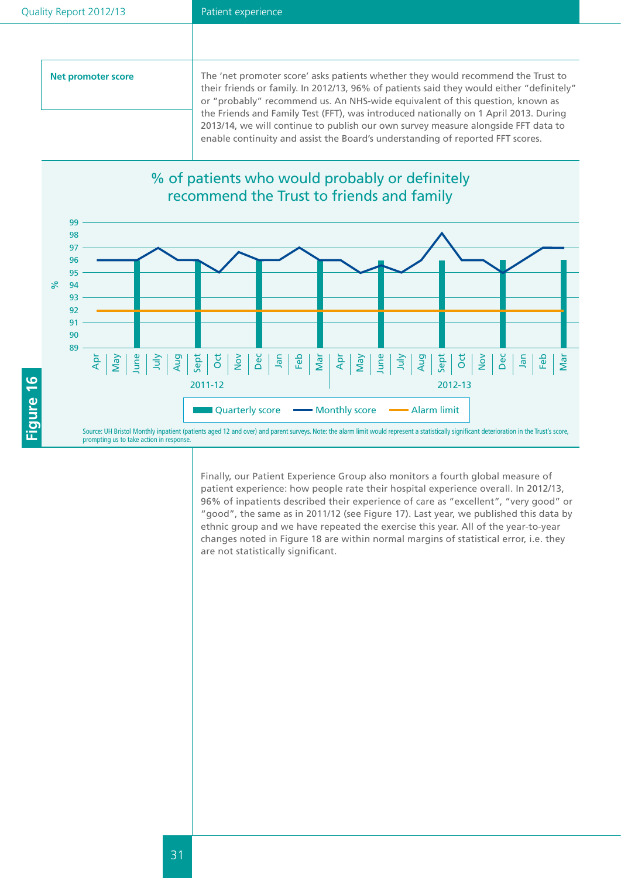| Net promoter score | The 'net promoter score' asks patients whether they would recommend the Trust to<br>their friends or family. In 2012/13, 96% of patients said they would either "definitely"<br>or "probably" recommend us. An NHS-wide equivalent of this question, known as |
|--------------------|---------------------------------------------------------------------------------------------------------------------------------------------------------------------------------------------------------------------------------------------------------------|
|                    | the Friends and Family Test (FFT), was introduced nationally on 1 April 2013. During<br>2013/14, we will continue to publish our own survey measure alongside FFT data to<br>enable continuity and assist the Board's understanding of reported FFT scores.   |

## % of patients who would probably or definitely recommend the Trust to friends and family

![](_page_31_Figure_4.jpeg)

Finally, our Patient Experience Group also monitors a fourth global measure of patient experience: how people rate their hospital experience overall. In 2012/13, 96% of inpatients described their experience of care as "excellent", "very good" or "good", the same as in 2011/12 (see Figure 17). Last year, we published this data by ethnic group and we have repeated the exercise this year. All of the year-to-year changes noted in Figure 18 are within normal margins of statistical error, i.e. they are not statistically significant.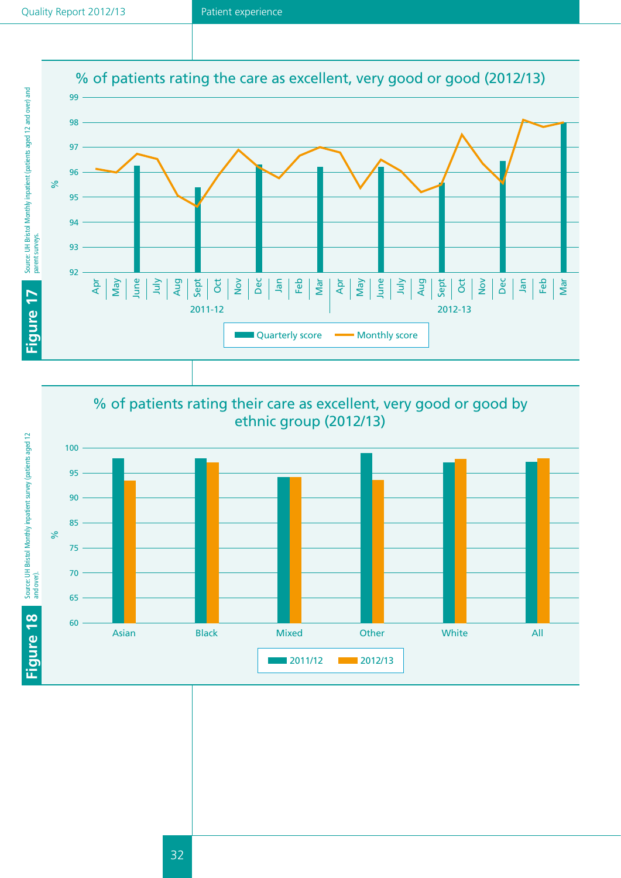![](_page_32_Figure_2.jpeg)

![](_page_32_Figure_3.jpeg)

![](_page_32_Figure_4.jpeg)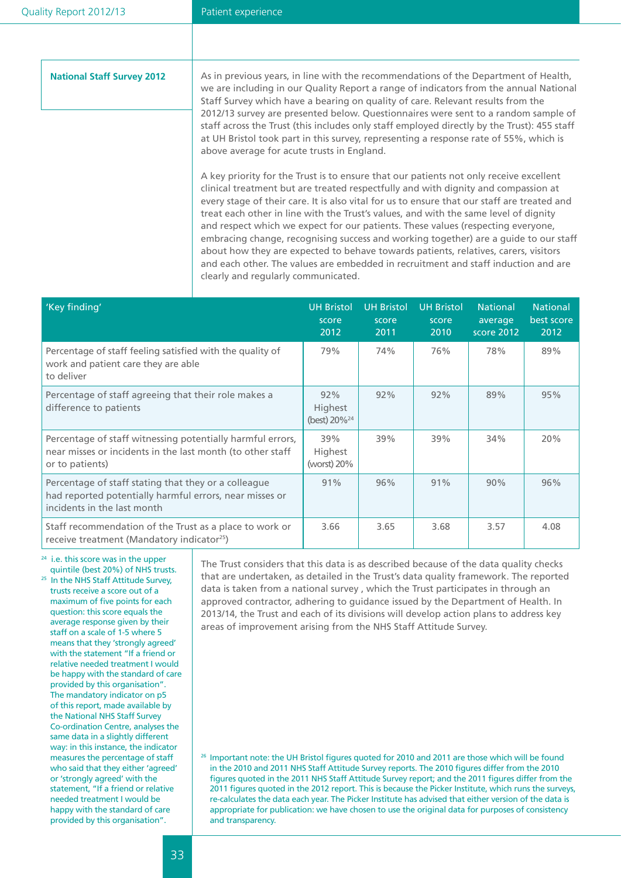| <b>National Staff Survey 2012</b> | As in previous years, in line with the recommendations of the Department of Health,<br>we are including in our Quality Report a range of indicators from the annual National<br>Staff Survey which have a bearing on quality of care. Relevant results from the<br>2012/13 survey are presented below. Questionnaires were sent to a random sample of<br>staff across the Trust (this includes only staff employed directly by the Trust): 455 staff<br>at UH Bristol took part in this survey, representing a response rate of 55%, which is<br>above average for acute trusts in England.                                                                                                                                                                         |
|-----------------------------------|---------------------------------------------------------------------------------------------------------------------------------------------------------------------------------------------------------------------------------------------------------------------------------------------------------------------------------------------------------------------------------------------------------------------------------------------------------------------------------------------------------------------------------------------------------------------------------------------------------------------------------------------------------------------------------------------------------------------------------------------------------------------|
|                                   | A key priority for the Trust is to ensure that our patients not only receive excellent<br>clinical treatment but are treated respectfully and with dignity and compassion at<br>every stage of their care. It is also vital for us to ensure that our staff are treated and<br>treat each other in line with the Trust's values, and with the same level of dignity<br>and respect which we expect for our patients. These values (respecting everyone,<br>embracing change, recognising success and working together) are a guide to our staff<br>about how they are expected to behave towards patients, relatives, carers, visitors<br>and each other. The values are embedded in recruitment and staff induction and are<br>clearly and regularly communicated. |

| 'Key finding'                                                                                                                                  | <b>UH Bristol</b><br>score<br>2012   | <b>UH Bristol</b><br>score<br>2011 | <b>UH Bristol</b><br>score<br>2010 | <b>National</b><br>average<br>score 2012 | <b>National</b><br>best score<br>2012 |
|------------------------------------------------------------------------------------------------------------------------------------------------|--------------------------------------|------------------------------------|------------------------------------|------------------------------------------|---------------------------------------|
| Percentage of staff feeling satisfied with the quality of<br>work and patient care they are able<br>to deliver                                 | 79%                                  | 74%                                | 76%                                | 78%                                      | 89%                                   |
| Percentage of staff agreeing that their role makes a<br>difference to patients                                                                 | 92%<br>Highest<br>(best) $20\%^{24}$ | 92%                                | 92%                                | 89%                                      | 95%                                   |
| Percentage of staff witnessing potentially harmful errors,<br>near misses or incidents in the last month (to other staff<br>or to patients)    | 39%<br>Highest<br>(worst) $20\%$     | 39%                                | 39%                                | 34%                                      | 20%                                   |
| Percentage of staff stating that they or a colleague<br>had reported potentially harmful errors, near misses or<br>incidents in the last month | 91%                                  | 96%                                | 91%                                | 90%                                      | 96%                                   |
| Staff recommendation of the Trust as a place to work or<br>receive treatment (Mandatory indicator <sup>25</sup> )                              | 3.66                                 | 3.65                               | 3.68                               | 3.57                                     | 4.08                                  |

24 i.e. this score was in the upper quintile (best 20%) of NHS trusts. <sup>25</sup> In the NHS Staff Attitude Survey, trusts receive a score out of a maximum of five points for each question: this score equals the average response given by their staff on a scale of 1-5 where 5 means that they 'strongly agreed' with the statement "If a friend or relative needed treatment I would be happy with the standard of care

provided by this organisation". The mandatory indicator on p5 of this report, made available by the National NHS Staff Survey Co-ordination Centre, analyses the same data in a slightly different way: in this instance, the indicator measures the percentage of staff who said that they either 'agreed' or 'strongly agreed' with the statement, "If a friend or relative needed treatment I would be happy with the standard of care provided by this organisation".

The Trust considers that this data is as described because of the data quality checks that are undertaken, as detailed in the Trust's data quality framework. The reported data is taken from a national survey , which the Trust participates in through an approved contractor, adhering to guidance issued by the Department of Health. In 2013/14, the Trust and each of its divisions will develop action plans to address key areas of improvement arising from the NHS Staff Attitude Survey.

<sup>26</sup> Important note: the UH Bristol figures quoted for 2010 and 2011 are those which will be found in the 2010 and 2011 NHS Staff Attitude Survey reports. The 2010 figures differ from the 2010 figures quoted in the 2011 NHS Staff Attitude Survey report; and the 2011 figures differ from the 2011 figures quoted in the 2012 report. This is because the Picker Institute, which runs the surveys, re-calculates the data each year. The Picker Institute has advised that either version of the data is appropriate for publication: we have chosen to use the original data for purposes of consistency and transparency.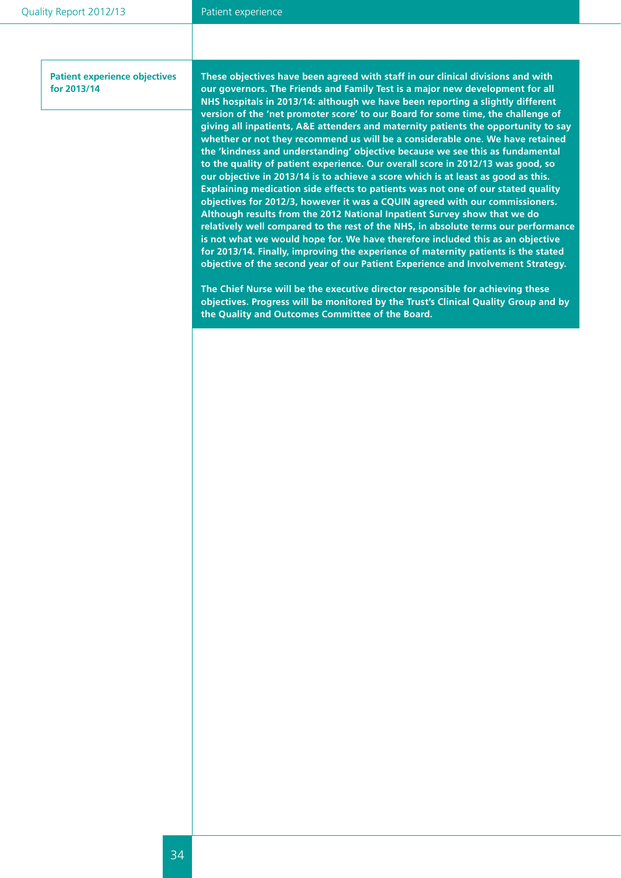**Patient experience objectives for 2013/14**

**• We will implement the NHS Friends and Family Test. These objectives have been agreed with staff in our clinical divisions and with**  our governors. The Friends and Family Test is a major new development for all NHS hospitals in 2013/14: although we have been reporting a slightly different version of the 'net promoter score' to our Board for some time, the challenge of **giving all inpatients, A&E attenders and maternity patients the opportunity to say whether or not they recommend us will be a considerable one. We have retained the 'kindness and understanding' objective because we see this as fundamental to the quality of patient experience. Our overall score in 2012/13 was good, so our objective in 2013/14 is to achieve a score which is at least as good as this. Explaining medication side effects to patients was not one of our stated quality objectives for 2012/3, however it was a CQUIN agreed with our commissioners. Although results from the 2012 National Inpatient Survey show that we do relatively well compared to the rest of the NHS, in absolute terms our performance is not what we would hope for. We have therefore included this as an objective for 2013/14. Finally, improving the experience of maternity patients is the stated objective of the second year of our Patient Experience and Involvement Strategy.** 

**The Chief Nurse will be the executive director responsible for achieving these objectives. Progress will be monitored by the Trust's Clinical Quality Group and by the Quality and Outcomes Committee of the Board.**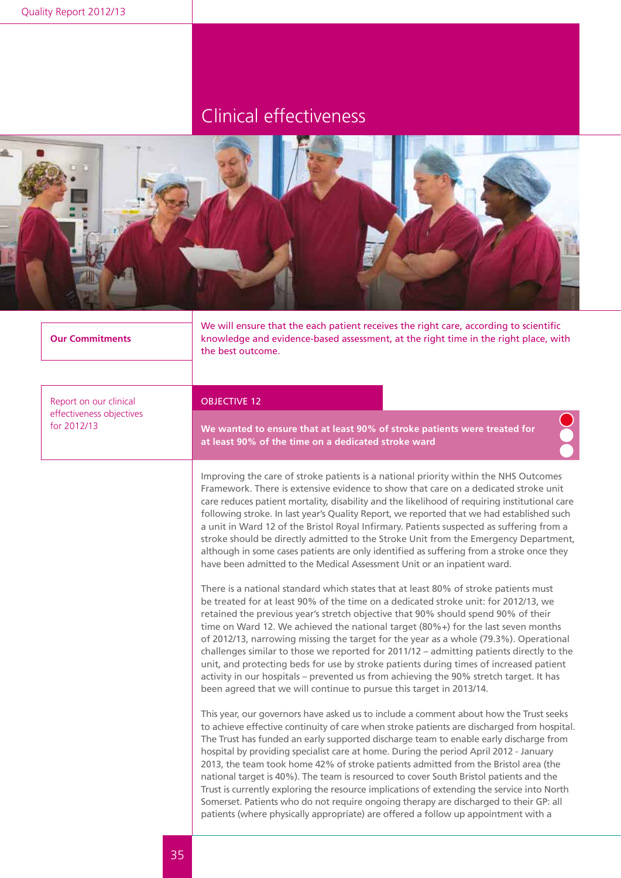![](_page_35_Picture_2.jpeg)

| <b>Our Commitments</b>                  | we will ensure that the each patient receives the right care, according to scientific<br>knowledge and evidence-based assessment, at the right time in the right place, with<br>the best outcome.                                                                                                                                                                                                                                                                                                                                                                                                                                                                                                                                                                                                                                                                                                                                                                                                                                                                                                                                                                                                                                                                                                                                                                                                                                                                                                                                                                                                                                                                                                                                                                                                                                                                                                                                                                                                                                                                                                                                                                                                                                                                                                                                                                                   |  |  |  |  |
|-----------------------------------------|-------------------------------------------------------------------------------------------------------------------------------------------------------------------------------------------------------------------------------------------------------------------------------------------------------------------------------------------------------------------------------------------------------------------------------------------------------------------------------------------------------------------------------------------------------------------------------------------------------------------------------------------------------------------------------------------------------------------------------------------------------------------------------------------------------------------------------------------------------------------------------------------------------------------------------------------------------------------------------------------------------------------------------------------------------------------------------------------------------------------------------------------------------------------------------------------------------------------------------------------------------------------------------------------------------------------------------------------------------------------------------------------------------------------------------------------------------------------------------------------------------------------------------------------------------------------------------------------------------------------------------------------------------------------------------------------------------------------------------------------------------------------------------------------------------------------------------------------------------------------------------------------------------------------------------------------------------------------------------------------------------------------------------------------------------------------------------------------------------------------------------------------------------------------------------------------------------------------------------------------------------------------------------------------------------------------------------------------------------------------------------------|--|--|--|--|
| Report on our clinical                  | <b>OBJECTIVE 12</b>                                                                                                                                                                                                                                                                                                                                                                                                                                                                                                                                                                                                                                                                                                                                                                                                                                                                                                                                                                                                                                                                                                                                                                                                                                                                                                                                                                                                                                                                                                                                                                                                                                                                                                                                                                                                                                                                                                                                                                                                                                                                                                                                                                                                                                                                                                                                                                 |  |  |  |  |
| effectiveness objectives<br>for 2012/13 | We wanted to ensure that at least 90% of stroke patients were treated for<br>at least 90% of the time on a dedicated stroke ward                                                                                                                                                                                                                                                                                                                                                                                                                                                                                                                                                                                                                                                                                                                                                                                                                                                                                                                                                                                                                                                                                                                                                                                                                                                                                                                                                                                                                                                                                                                                                                                                                                                                                                                                                                                                                                                                                                                                                                                                                                                                                                                                                                                                                                                    |  |  |  |  |
|                                         | Improving the care of stroke patients is a national priority within the NHS Outcomes<br>Framework. There is extensive evidence to show that care on a dedicated stroke unit<br>care reduces patient mortality, disability and the likelihood of requiring institutional care<br>following stroke. In last year's Quality Report, we reported that we had established such<br>a unit in Ward 12 of the Bristol Royal Infirmary. Patients suspected as suffering from a<br>stroke should be directly admitted to the Stroke Unit from the Emergency Department,<br>although in some cases patients are only identified as suffering from a stroke once they<br>have been admitted to the Medical Assessment Unit or an inpatient ward.<br>There is a national standard which states that at least 80% of stroke patients must<br>be treated for at least 90% of the time on a dedicated stroke unit: for 2012/13, we<br>retained the previous year's stretch objective that 90% should spend 90% of their<br>time on Ward 12. We achieved the national target (80%+) for the last seven months<br>of 2012/13, narrowing missing the target for the year as a whole (79.3%). Operational<br>challenges similar to those we reported for 2011/12 - admitting patients directly to the<br>unit, and protecting beds for use by stroke patients during times of increased patient<br>activity in our hospitals - prevented us from achieving the 90% stretch target. It has<br>been agreed that we will continue to pursue this target in 2013/14.<br>This year, our governors have asked us to include a comment about how the Trust seeks<br>to achieve effective continuity of care when stroke patients are discharged from hospital.<br>The Trust has funded an early supported discharge team to enable early discharge from<br>hospital by providing specialist care at home. During the period April 2012 - January<br>2013, the team took home 42% of stroke patients admitted from the Bristol area (the<br>national target is 40%). The team is resourced to cover South Bristol patients and the<br>Trust is currently exploring the resource implications of extending the service into North<br>Somerset. Patients who do not require ongoing therapy are discharged to their GP: all<br>patients (where physically appropriate) are offered a follow up appointment with a |  |  |  |  |
|                                         |                                                                                                                                                                                                                                                                                                                                                                                                                                                                                                                                                                                                                                                                                                                                                                                                                                                                                                                                                                                                                                                                                                                                                                                                                                                                                                                                                                                                                                                                                                                                                                                                                                                                                                                                                                                                                                                                                                                                                                                                                                                                                                                                                                                                                                                                                                                                                                                     |  |  |  |  |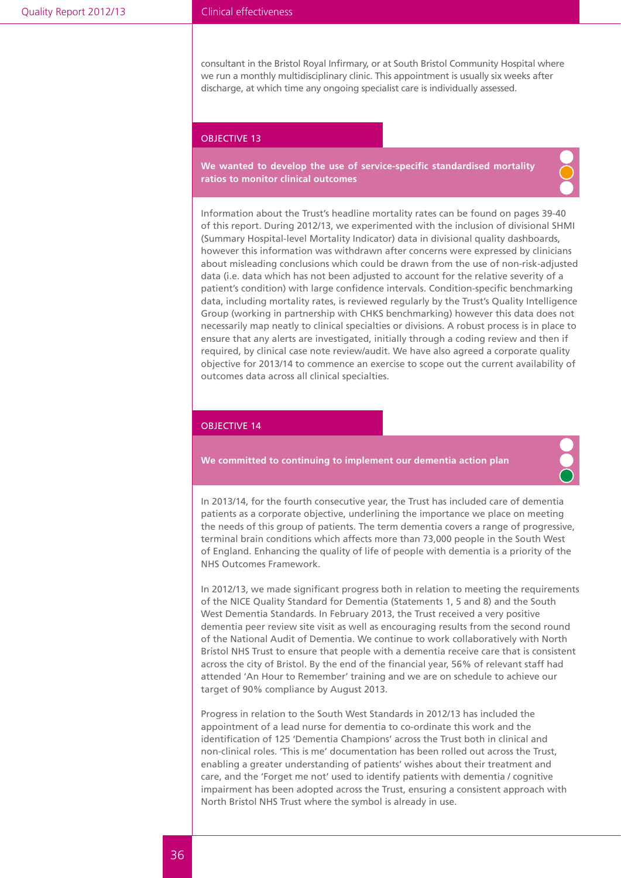consultant in the Bristol Royal Infirmary, or at South Bristol Community Hospital where we run a monthly multidisciplinary clinic. This appointment is usually six weeks after discharge, at which time any ongoing specialist care is individually assessed.

#### OBJECTIVE 13

**We wanted to develop the use of service-specific standardised mortality ratios to monitor clinical outcomes**

![](_page_36_Picture_5.jpeg)

Information about the Trust's headline mortality rates can be found on pages 39-40 of this report. During 2012/13, we experimented with the inclusion of divisional SHMI (Summary Hospital-level Mortality Indicator) data in divisional quality dashboards, however this information was withdrawn after concerns were expressed by clinicians about misleading conclusions which could be drawn from the use of non-risk-adjusted data (i.e. data which has not been adjusted to account for the relative severity of a patient's condition) with large confidence intervals. Condition-specific benchmarking data, including mortality rates, is reviewed regularly by the Trust's Quality Intelligence Group (working in partnership with CHKS benchmarking) however this data does not necessarily map neatly to clinical specialties or divisions. A robust process is in place to ensure that any alerts are investigated, initially through a coding review and then if required, by clinical case note review/audit. We have also agreed a corporate quality objective for 2013/14 to commence an exercise to scope out the current availability of outcomes data across all clinical specialties.

#### OBJECTIVE 14

#### **We committed to continuing to implement our dementia action plan**

![](_page_36_Picture_9.jpeg)

In 2013/14, for the fourth consecutive year, the Trust has included care of dementia patients as a corporate objective, underlining the importance we place on meeting the needs of this group of patients. The term dementia covers a range of progressive, terminal brain conditions which affects more than 73,000 people in the South West of England. Enhancing the quality of life of people with dementia is a priority of the NHS Outcomes Framework.

In 2012/13, we made significant progress both in relation to meeting the requirements of the NICE Quality Standard for Dementia (Statements 1, 5 and 8) and the South West Dementia Standards. In February 2013, the Trust received a very positive dementia peer review site visit as well as encouraging results from the second round of the National Audit of Dementia. We continue to work collaboratively with North Bristol NHS Trust to ensure that people with a dementia receive care that is consistent across the city of Bristol. By the end of the financial year, 56% of relevant staff had attended 'An Hour to Remember' training and we are on schedule to achieve our target of 90% compliance by August 2013.

Progress in relation to the South West Standards in 2012/13 has included the appointment of a lead nurse for dementia to co-ordinate this work and the identification of 125 'Dementia Champions' across the Trust both in clinical and non-clinical roles. 'This is me' documentation has been rolled out across the Trust, enabling a greater understanding of patients' wishes about their treatment and care, and the 'Forget me not' used to identify patients with dementia / cognitive impairment has been adopted across the Trust, ensuring a consistent approach with North Bristol NHS Trust where the symbol is already in use.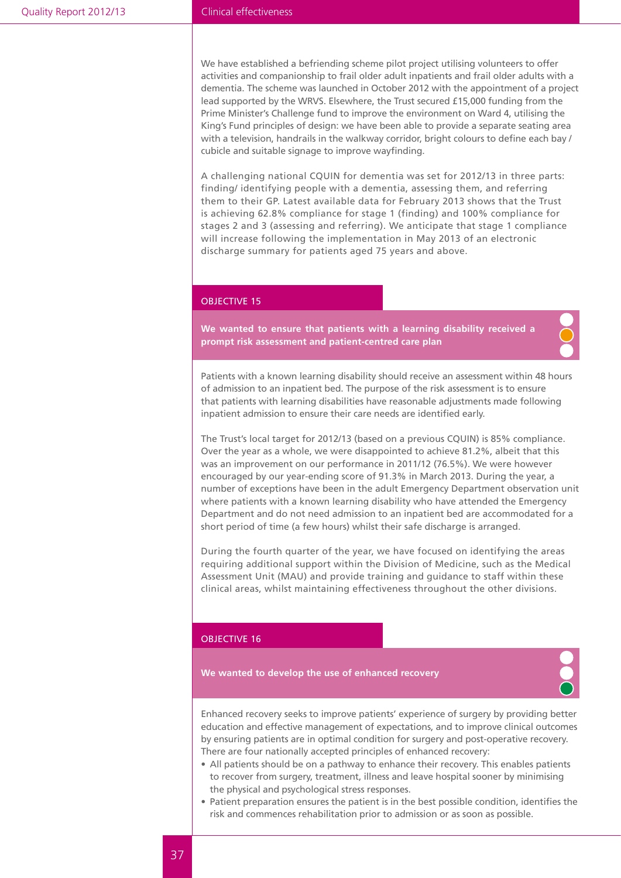We have established a befriending scheme pilot project utilising volunteers to offer activities and companionship to frail older adult inpatients and frail older adults with a dementia. The scheme was launched in October 2012 with the appointment of a project lead supported by the WRVS. Elsewhere, the Trust secured £15,000 funding from the Prime Minister's Challenge fund to improve the environment on Ward 4, utilising the King's Fund principles of design: we have been able to provide a separate seating area with a television, handrails in the walkway corridor, bright colours to define each bay / cubicle and suitable signage to improve wayfinding.

A challenging national CQUIN for dementia was set for 2012/13 in three parts: finding/ identifying people with a dementia, assessing them, and referring them to their GP. Latest available data for February 2013 shows that the Trust is achieving 62.8% compliance for stage 1 (finding) and 100% compliance for stages 2 and 3 (assessing and referring). We anticipate that stage 1 compliance will increase following the implementation in May 2013 of an electronic discharge summary for patients aged 75 years and above.

#### OBJECTIVE 15

**We wanted to ensure that patients with a learning disability received a prompt risk assessment and patient-centred care plan**

Patients with a known learning disability should receive an assessment within 48 hours of admission to an inpatient bed. The purpose of the risk assessment is to ensure that patients with learning disabilities have reasonable adjustments made following inpatient admission to ensure their care needs are identified early.

The Trust's local target for 2012/13 (based on a previous CQUIN) is 85% compliance. Over the year as a whole, we were disappointed to achieve 81.2%, albeit that this was an improvement on our performance in 2011/12 (76.5%). We were however encouraged by our year-ending score of 91.3% in March 2013. During the year, a number of exceptions have been in the adult Emergency Department observation unit where patients with a known learning disability who have attended the Emergency Department and do not need admission to an inpatient bed are accommodated for a short period of time (a few hours) whilst their safe discharge is arranged.

During the fourth quarter of the year, we have focused on identifying the areas requiring additional support within the Division of Medicine, such as the Medical Assessment Unit (MAU) and provide training and guidance to staff within these clinical areas, whilst maintaining effectiveness throughout the other divisions.

#### OBJECTIVE 16

**We wanted to develop the use of enhanced recovery** 

![](_page_37_Picture_11.jpeg)

Enhanced recovery seeks to improve patients' experience of surgery by providing better education and effective management of expectations, and to improve clinical outcomes by ensuring patients are in optimal condition for surgery and post-operative recovery. There are four nationally accepted principles of enhanced recovery:

- All patients should be on a pathway to enhance their recovery. This enables patients to recover from surgery, treatment, illness and leave hospital sooner by minimising the physical and psychological stress responses.
- Patient preparation ensures the patient is in the best possible condition, identifies the risk and commences rehabilitation prior to admission or as soon as possible.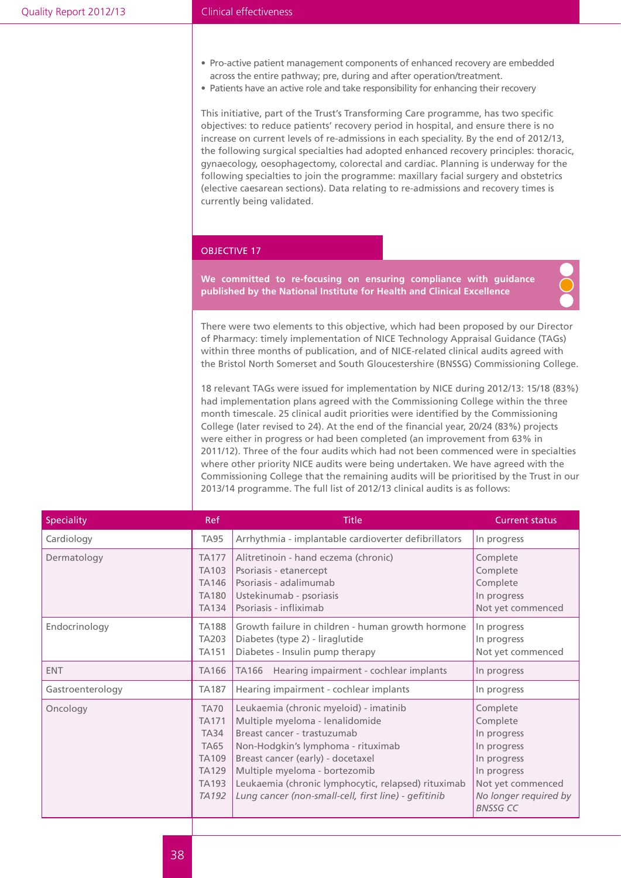- Pro-active patient management components of enhanced recovery are embedded across the entire pathway; pre, during and after operation/treatment.
- Patients have an active role and take responsibility for enhancing their recovery

This initiative, part of the Trust's Transforming Care programme, has two specific objectives: to reduce patients' recovery period in hospital, and ensure there is no increase on current levels of re-admissions in each speciality. By the end of 2012/13, the following surgical specialties had adopted enhanced recovery principles: thoracic, gynaecology, oesophagectomy, colorectal and cardiac. Planning is underway for the following specialties to join the programme: maxillary facial surgery and obstetrics (elective caesarean sections). Data relating to re-admissions and recovery times is currently being validated.

#### OBJECTIVE 17

**We committed to re-focusing on ensuring compliance with guidance published by the National Institute for Health and Clinical Excellence**

![](_page_38_Picture_7.jpeg)

There were two elements to this objective, which had been proposed by our Director of Pharmacy: timely implementation of NICE Technology Appraisal Guidance (TAGs) within three months of publication, and of NICE-related clinical audits agreed with the Bristol North Somerset and South Gloucestershire (BNSSG) Commissioning College.

18 relevant TAGs were issued for implementation by NICE during 2012/13: 15/18 (83%) had implementation plans agreed with the Commissioning College within the three month timescale. 25 clinical audit priorities were identified by the Commissioning College (later revised to 24). At the end of the financial year, 20/24 (83%) projects were either in progress or had been completed (an improvement from 63% in 2011/12). Three of the four audits which had not been commenced were in specialties where other priority NICE audits were being undertaken. We have agreed with the Commissioning College that the remaining audits will be prioritised by the Trust in our 2013/14 programme. The full list of 2012/13 clinical audits is as follows:

| <b>Speciality</b> | <b>Ref</b>                                                                                                                     | <b>Title</b>                                                                                                                                                                                                                                                                                                                        | <b>Current status</b>                                                                                                                             |
|-------------------|--------------------------------------------------------------------------------------------------------------------------------|-------------------------------------------------------------------------------------------------------------------------------------------------------------------------------------------------------------------------------------------------------------------------------------------------------------------------------------|---------------------------------------------------------------------------------------------------------------------------------------------------|
| Cardiology        | <b>TA95</b>                                                                                                                    | Arrhythmia - implantable cardioverter defibrillators                                                                                                                                                                                                                                                                                | In progress                                                                                                                                       |
| Dermatology       | <b>TA177</b><br>TA103<br><b>TA146</b><br><b>TA180</b><br><b>TA134</b>                                                          | Alitretinoin - hand eczema (chronic)<br>Psoriasis - etanercept<br>Psoriasis - adalimumab<br>Ustekinumab - psoriasis<br>Psoriasis - infliximab                                                                                                                                                                                       | Complete<br>Complete<br>Complete<br>In progress<br>Not yet commenced                                                                              |
| Endocrinology     | <b>TA188</b><br><b>TA203</b><br><b>TA151</b>                                                                                   | Growth failure in children - human growth hormone<br>Diabetes (type 2) - liraglutide<br>Diabetes - Insulin pump therapy                                                                                                                                                                                                             | In progress<br>In progress<br>Not yet commenced                                                                                                   |
| <b>ENT</b>        | <b>TA166</b>                                                                                                                   | Hearing impairment - cochlear implants<br><b>TA166</b>                                                                                                                                                                                                                                                                              | In progress                                                                                                                                       |
| Gastroenterology  | <b>TA187</b>                                                                                                                   | Hearing impairment - cochlear implants                                                                                                                                                                                                                                                                                              | In progress                                                                                                                                       |
| Oncology          | <b>TA70</b><br><b>TA171</b><br><b>TA34</b><br><b>TA65</b><br><b>TA109</b><br><b>TA129</b><br><b>TA193</b><br>TA <sub>192</sub> | Leukaemia (chronic myeloid) - imatinib<br>Multiple myeloma - lenalidomide<br>Breast cancer - trastuzumab<br>Non-Hodgkin's lymphoma - rituximab<br>Breast cancer (early) - docetaxel<br>Multiple myeloma - bortezomib<br>Leukaemia (chronic lymphocytic, relapsed) rituximab<br>Lung cancer (non-small-cell, first line) - gefitinib | Complete<br>Complete<br>In progress<br>In progress<br>In progress<br>In progress<br>Not yet commenced<br>No longer required by<br><b>BNSSG CC</b> |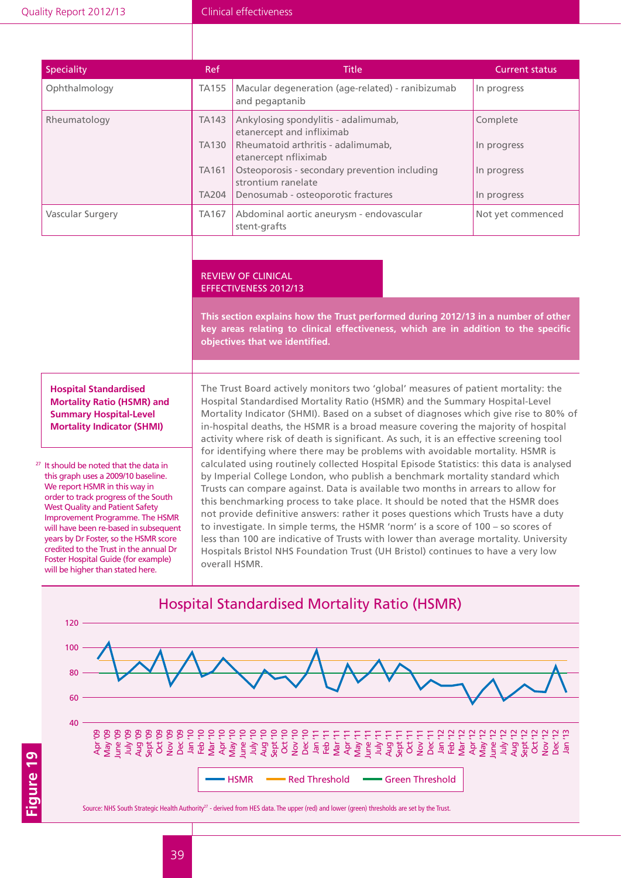| <b>Speciality</b> | Ref                                                          | <b>Title</b>                                                                                                                                                                                                                                 | <b>Current status</b>                                 |
|-------------------|--------------------------------------------------------------|----------------------------------------------------------------------------------------------------------------------------------------------------------------------------------------------------------------------------------------------|-------------------------------------------------------|
| Ophthalmology     | <b>TA155</b>                                                 | Macular degeneration (age-related) - ranibizumab<br>and pegaptanib                                                                                                                                                                           | In progress                                           |
| Rheumatology      | <b>TA143</b><br><b>TA130</b><br><b>TA161</b><br><b>TA204</b> | Ankylosing spondylitis - adalimumab,<br>etanercept and infliximab<br>Rheumatoid arthritis - adalimumab,<br>etanercept nfliximab<br>Osteoporosis - secondary prevention including<br>strontium ranelate<br>Denosumab - osteoporotic fractures | Complete<br>In progress<br>In progress<br>In progress |
| Vascular Surgery  | <b>TA167</b>                                                 | Abdominal aortic aneurysm - endovascular<br>stent-grafts                                                                                                                                                                                     | Not yet commenced                                     |

#### Review of clinical effectiveness 2012/13

**This section explains how the Trust performed during 2012/13 in a number of other key areas relating to clinical effectiveness, which are in addition to the specific objectives that we identified.** 

#### **Hospital Standardised Mortality Ratio (HSMR) and Summary Hospital-Level Mortality Indicator (SHMI)**

<sup>27</sup> It should be noted that the data in this graph uses a 2009/10 baseline. We report HSMR in this way in order to track progress of the South West Quality and Patient Safety Improvement Programme. The HSMR will have been re-based in subsequent years by Dr Foster, so the HSMR score credited to the Trust in the annual Dr Foster Hospital Guide (for example) will be higher than stated here.

The Trust Board actively monitors two 'global' measures of patient mortality: the Hospital Standardised Mortality Ratio (HSMR) and the Summary Hospital-Level Mortality Indicator (SHMI). Based on a subset of diagnoses which give rise to 80% of in-hospital deaths, the HSMR is a broad measure covering the majority of hospital activity where risk of death is significant. As such, it is an effective screening tool for identifying where there may be problems with avoidable mortality. HSMR is calculated using routinely collected Hospital Episode Statistics: this data is analysed by Imperial College London, who publish a benchmark mortality standard which Trusts can compare against. Data is available two months in arrears to allow for this benchmarking process to take place. It should be noted that the HSMR does not provide definitive answers: rather it poses questions which Trusts have a duty to investigate. In simple terms, the HSMR 'norm' is a score of 100 – so scores of less than 100 are indicative of Trusts with lower than average mortality. University Hospitals Bristol NHS Foundation Trust (UH Bristol) continues to have a very low overall HSMR.

![](_page_39_Figure_8.jpeg)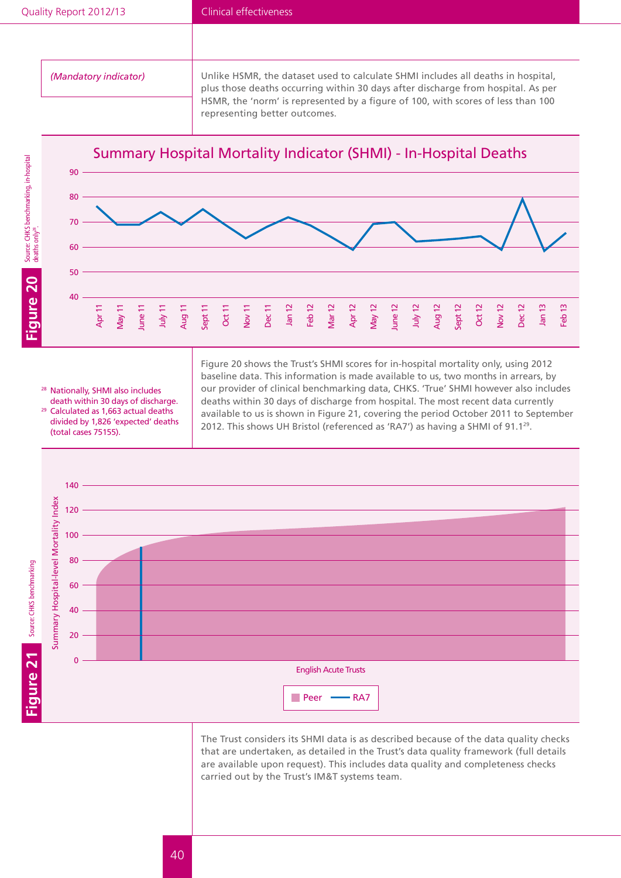*(Mandatory indicator)* Unlike HSMR, the dataset used to calculate SHMI includes all deaths in hospital, plus those deaths occurring within 30 days after discharge from hospital. As per HSMR, the 'norm' is represented by a figure of 100, with scores of less than 100 representing better outcomes.

![](_page_40_Figure_4.jpeg)

<sup>28</sup> Nationally, SHMI also includes death within 30 days of discharge. <sup>29</sup> Calculated as 1,663 actual deaths divided by 1,826 'expected' deaths

(total cases 75155).

Figure 20 shows the Trust's SHMI scores for in-hospital mortality only, using 2012 baseline data. This information is made available to us, two months in arrears, by our provider of clinical benchmarking data, CHKS. 'True' SHMI however also includes deaths within 30 days of discharge from hospital. The most recent data currently available to us is shown in Figure 21, covering the period October 2011 to September 2012. This shows UH Bristol (referenced as 'RA7') as having a SHMI of 91.1<sup>29</sup>.

![](_page_40_Figure_7.jpeg)

The Trust considers its SHMI data is as described because of the data quality checks that are undertaken, as detailed in the Trust's data quality framework (full details are available upon request). This includes data quality and completeness checks carried out by the Trust's IM&T systems team.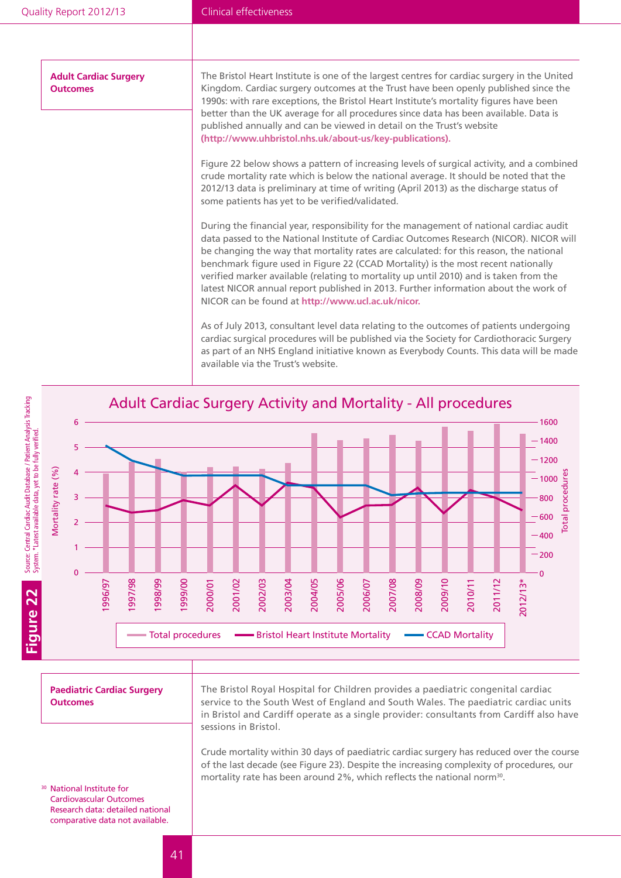**Adult Cardiac Surgery Outcomes**

The Bristol Heart Institute is one of the largest centres for cardiac surgery in the United Kingdom. Cardiac surgery outcomes at the Trust have been openly published since the 1990s: with rare exceptions, the Bristol Heart Institute's mortality figures have been better than the UK average for all procedures since data has been available. Data is published annually and can be viewed in detail on the Trust's website **(http://www.uhbristol.nhs.uk/about-us/key-publications).**

Figure 22 below shows a pattern of increasing levels of surgical activity, and a combined crude mortality rate which is below the national average. It should be noted that the 2012/13 data is preliminary at time of writing (April 2013) as the discharge status of some patients has yet to be verified/validated.

During the financial year, responsibility for the management of national cardiac audit data passed to the National Institute of Cardiac Outcomes Research (NICOR). NICOR will be changing the way that mortality rates are calculated: for this reason, the national benchmark figure used in Figure 22 (CCAD Mortality) is the most recent nationally verified marker available (relating to mortality up until 2010) and is taken from the latest NICOR annual report published in 2013. Further information about the work of NICOR can be found at **http://www.ucl.ac.uk/nicor.**

As of July 2013, consultant level data relating to the outcomes of patients undergoing cardiac surgical procedures will be published via the Society for Cardiothoracic Surgery as part of an NHS England initiative known as Everybody Counts. This data will be made available via the Trust's website.

![](_page_41_Figure_7.jpeg)

**Paediatric Cardiac Surgery Outcomes**

The Bristol Royal Hospital for Children provides a paediatric congenital cardiac service to the South West of England and South Wales. The paediatric cardiac units in Bristol and Cardiff operate as a single provider: consultants from Cardiff also have sessions in Bristol.

Crude mortality within 30 days of paediatric cardiac surgery has reduced over the course of the last decade (see Figure 23). Despite the increasing complexity of procedures, our mortality rate has been around 2%, which reflects the national norm<sup>30</sup>.

<sup>30</sup> National Institute for Cardiovascular Outcomes Research data: detailed national comparative data not available.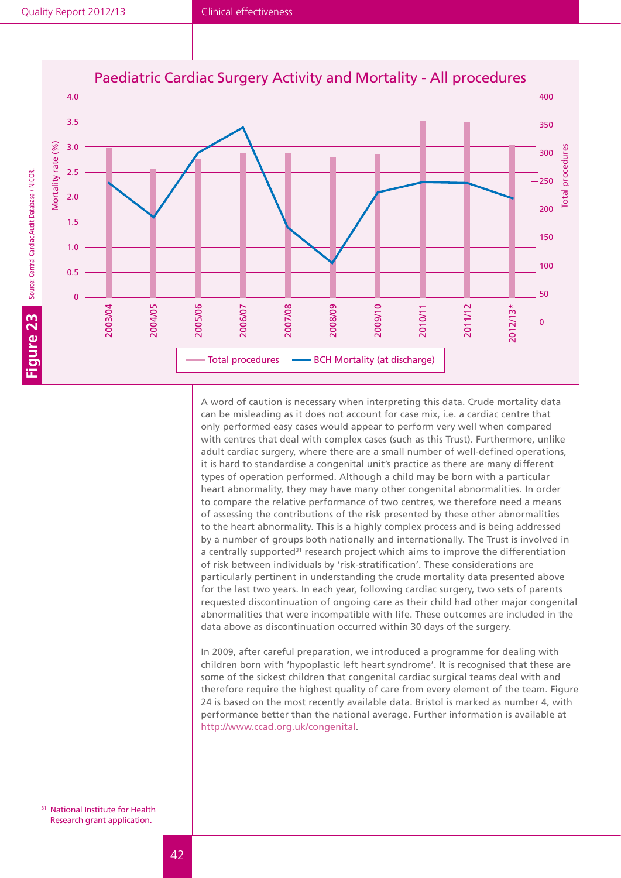![](_page_42_Figure_2.jpeg)

A word of caution is necessary when interpreting this data. Crude mortality data can be misleading as it does not account for case mix, i.e. a cardiac centre that only performed easy cases would appear to perform very well when compared with centres that deal with complex cases (such as this Trust). Furthermore, unlike adult cardiac surgery, where there are a small number of well-defined operations, it is hard to standardise a congenital unit's practice as there are many different types of operation performed. Although a child may be born with a particular heart abnormality, they may have many other congenital abnormalities. In order to compare the relative performance of two centres, we therefore need a means of assessing the contributions of the risk presented by these other abnormalities to the heart abnormality. This is a highly complex process and is being addressed by a number of groups both nationally and internationally. The Trust is involved in a centrally supported<sup>31</sup> research project which aims to improve the differentiation of risk between individuals by 'risk-stratification'. These considerations are particularly pertinent in understanding the crude mortality data presented above for the last two years. In each year, following cardiac surgery, two sets of parents requested discontinuation of ongoing care as their child had other major congenital abnormalities that were incompatible with life. These outcomes are included in the data above as discontinuation occurred within 30 days of the surgery.

In 2009, after careful preparation, we introduced a programme for dealing with children born with 'hypoplastic left heart syndrome'. It is recognised that these are some of the sickest children that congenital cardiac surgical teams deal with and therefore require the highest quality of care from every element of the team. Figure 24 is based on the most recently available data. Bristol is marked as number 4, with performance better than the national average. Further information is available at http://www.ccad.org.uk/congenital.

<sup>31</sup> National Institute for Health Research grant application.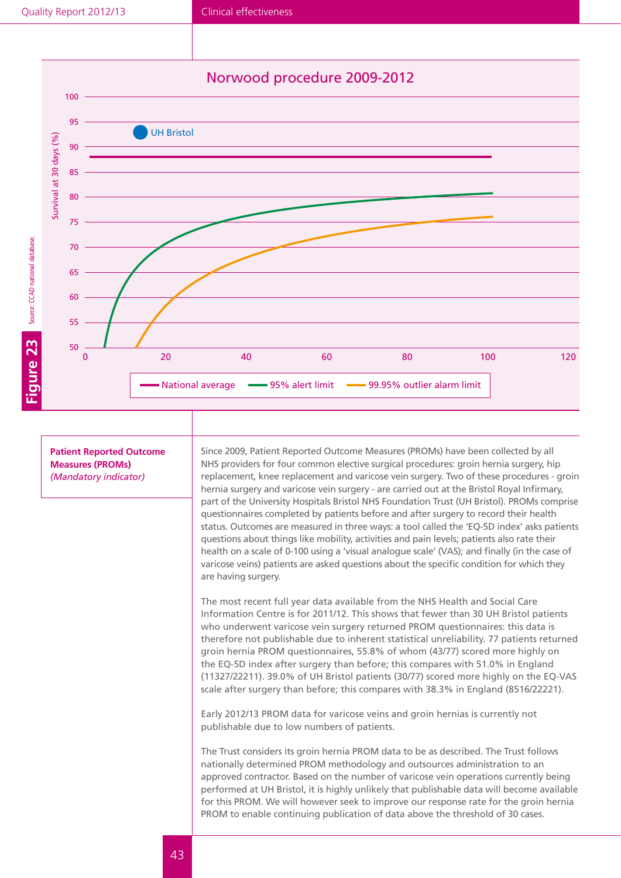### Norwood procedure 2009-2012

![](_page_43_Figure_3.jpeg)

**Patient Reported Outcome Measures (PROMs)** *(Mandatory indicator)*

Since 2009, Patient Reported Outcome Measures (PROMs) have been collected by all NHS providers for four common elective surgical procedures: groin hernia surgery, hip replacement, knee replacement and varicose vein surgery. Two of these procedures - groin hernia surgery and varicose vein surgery - are carried out at the Bristol Royal Infirmary, part of the University Hospitals Bristol NHS Foundation Trust (UH Bristol). PROMs comprise questionnaires completed by patients before and after surgery to record their health status. Outcomes are measured in three ways: a tool called the 'EQ-5D index' asks patients questions about things like mobility, activities and pain levels; patients also rate their health on a scale of 0-100 using a 'visual analogue scale' (VAS); and finally (in the case of varicose veins) patients are asked questions about the specific condition for which they are having surgery.

The most recent full year data available from the NHS Health and Social Care Information Centre is for 2011/12. This shows that fewer than 30 UH Bristol patients who underwent varicose vein surgery returned PROM questionnaires: this data is therefore not publishable due to inherent statistical unreliability. 77 patients returned groin hernia PROM questionnaires, 55.8% of whom (43/77) scored more highly on the EQ-5D index after surgery than before; this compares with 51.0% in England (11327/22211). 39.0% of UH Bristol patients (30/77) scored more highly on the EQ-VAS scale after surgery than before; this compares with 38.3% in England (8516/22221).

Early 2012/13 PROM data for varicose veins and groin hernias is currently not publishable due to low numbers of patients.

The Trust considers its groin hernia PROM data to be as described. The Trust follows nationally determined PROM methodology and outsources administration to an approved contractor. Based on the number of varicose vein operations currently being performed at UH Bristol, it is highly unlikely that publishable data will become available for this PROM. We will however seek to improve our response rate for the groin hernia PROM to enable continuing publication of data above the threshold of 30 cases.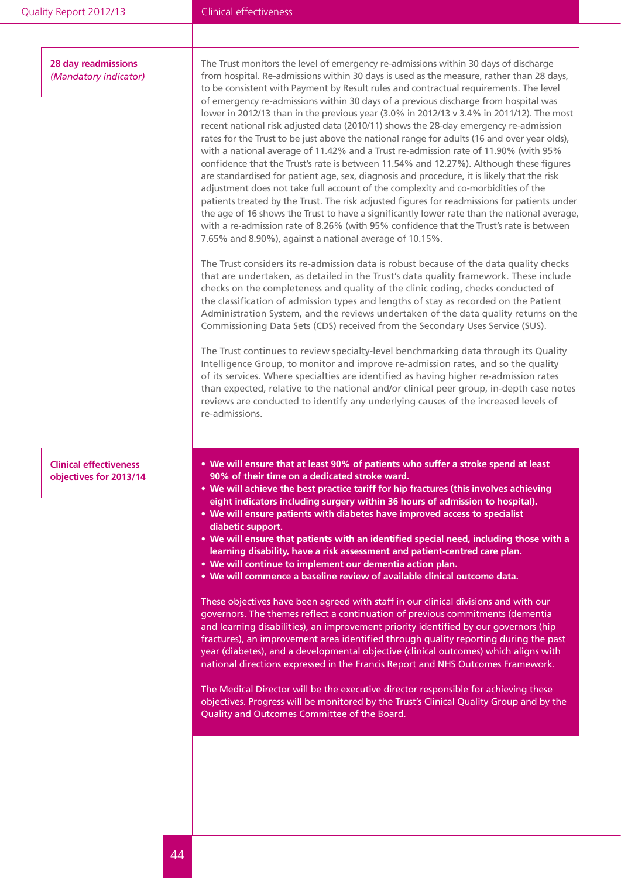| Quality Report 2012/13                                  | Clinical effectiveness                                                                                                                                                                                                                                                                                                                                                                                                                                                                                                                                                                                                                                                                                                                                                                                                                                                                                                                                                                                                                                                                                                                                                                                                                                                                                                                                                                                                                                                                                                                                                                                                                                                                                                                                                                                                                                                                                                                                                                                                                                                                                                                                                                                                                                                                                                                                                                      |
|---------------------------------------------------------|---------------------------------------------------------------------------------------------------------------------------------------------------------------------------------------------------------------------------------------------------------------------------------------------------------------------------------------------------------------------------------------------------------------------------------------------------------------------------------------------------------------------------------------------------------------------------------------------------------------------------------------------------------------------------------------------------------------------------------------------------------------------------------------------------------------------------------------------------------------------------------------------------------------------------------------------------------------------------------------------------------------------------------------------------------------------------------------------------------------------------------------------------------------------------------------------------------------------------------------------------------------------------------------------------------------------------------------------------------------------------------------------------------------------------------------------------------------------------------------------------------------------------------------------------------------------------------------------------------------------------------------------------------------------------------------------------------------------------------------------------------------------------------------------------------------------------------------------------------------------------------------------------------------------------------------------------------------------------------------------------------------------------------------------------------------------------------------------------------------------------------------------------------------------------------------------------------------------------------------------------------------------------------------------------------------------------------------------------------------------------------------------|
|                                                         |                                                                                                                                                                                                                                                                                                                                                                                                                                                                                                                                                                                                                                                                                                                                                                                                                                                                                                                                                                                                                                                                                                                                                                                                                                                                                                                                                                                                                                                                                                                                                                                                                                                                                                                                                                                                                                                                                                                                                                                                                                                                                                                                                                                                                                                                                                                                                                                             |
| <b>28 day readmissions</b><br>(Mandatory indicator)     | The Trust monitors the level of emergency re-admissions within 30 days of discharge<br>from hospital. Re-admissions within 30 days is used as the measure, rather than 28 days,<br>to be consistent with Payment by Result rules and contractual requirements. The level<br>of emergency re-admissions within 30 days of a previous discharge from hospital was<br>lower in 2012/13 than in the previous year (3.0% in 2012/13 v 3.4% in 2011/12). The most<br>recent national risk adjusted data (2010/11) shows the 28-day emergency re-admission<br>rates for the Trust to be just above the national range for adults (16 and over year olds),<br>with a national average of 11.42% and a Trust re-admission rate of 11.90% (with 95%<br>confidence that the Trust's rate is between 11.54% and 12.27%). Although these figures<br>are standardised for patient age, sex, diagnosis and procedure, it is likely that the risk<br>adjustment does not take full account of the complexity and co-morbidities of the<br>patients treated by the Trust. The risk adjusted figures for readmissions for patients under<br>the age of 16 shows the Trust to have a significantly lower rate than the national average,<br>with a re-admission rate of 8.26% (with 95% confidence that the Trust's rate is between<br>7.65% and 8.90%), against a national average of 10.15%.<br>The Trust considers its re-admission data is robust because of the data quality checks<br>that are undertaken, as detailed in the Trust's data quality framework. These include<br>checks on the completeness and quality of the clinic coding, checks conducted of<br>the classification of admission types and lengths of stay as recorded on the Patient<br>Administration System, and the reviews undertaken of the data quality returns on the<br>Commissioning Data Sets (CDS) received from the Secondary Uses Service (SUS).<br>The Trust continues to review specialty-level benchmarking data through its Quality<br>Intelligence Group, to monitor and improve re-admission rates, and so the quality<br>of its services. Where specialties are identified as having higher re-admission rates<br>than expected, relative to the national and/or clinical peer group, in-depth case notes<br>reviews are conducted to identify any underlying causes of the increased levels of<br>re-admissions. |
| <b>Clinical effectiveness</b><br>objectives for 2013/14 | . We will ensure that at least 90% of patients who suffer a stroke spend at least<br>90% of their time on a dedicated stroke ward.<br>. We will achieve the best practice tariff for hip fractures (this involves achieving<br>eight indicators including surgery within 36 hours of admission to hospital).<br>. We will ensure patients with diabetes have improved access to specialist<br>diabetic support.<br>. We will ensure that patients with an identified special need, including those with a<br>learning disability, have a risk assessment and patient-centred care plan.<br>• We will continue to implement our dementia action plan.<br>. We will commence a baseline review of available clinical outcome data.<br>These objectives have been agreed with staff in our clinical divisions and with our<br>governors. The themes reflect a continuation of previous commitments (dementia<br>and learning disabilities), an improvement priority identified by our governors (hip<br>fractures), an improvement area identified through quality reporting during the past<br>year (diabetes), and a developmental objective (clinical outcomes) which aligns with<br>national directions expressed in the Francis Report and NHS Outcomes Framework.<br>The Medical Director will be the executive director responsible for achieving these<br>objectives. Progress will be monitored by the Trust's Clinical Quality Group and by the<br>Quality and Outcomes Committee of the Board.                                                                                                                                                                                                                                                                                                                                                                                                                                                                                                                                                                                                                                                                                                                                                                                                                                                                                      |
|                                                         |                                                                                                                                                                                                                                                                                                                                                                                                                                                                                                                                                                                                                                                                                                                                                                                                                                                                                                                                                                                                                                                                                                                                                                                                                                                                                                                                                                                                                                                                                                                                                                                                                                                                                                                                                                                                                                                                                                                                                                                                                                                                                                                                                                                                                                                                                                                                                                                             |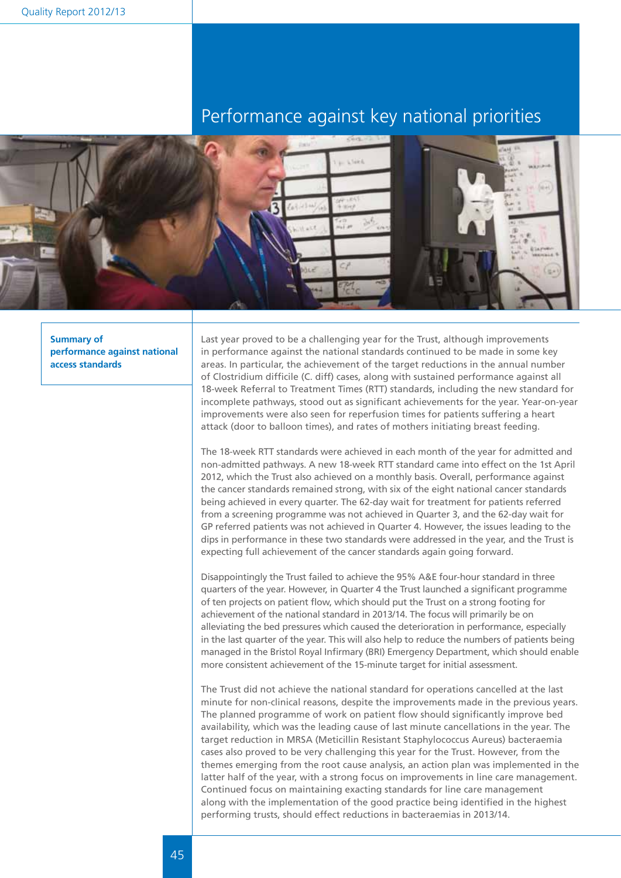## Performance against key national priorities

![](_page_45_Picture_2.jpeg)

**Summary of performance against national access standards**

Last year proved to be a challenging year for the Trust, although improvements in performance against the national standards continued to be made in some key areas. In particular, the achievement of the target reductions in the annual number of Clostridium difficile (C. diff) cases, along with sustained performance against all 18-week Referral to Treatment Times (RTT) standards, including the new standard for incomplete pathways, stood out as significant achievements for the year. Year-on-year improvements were also seen for reperfusion times for patients suffering a heart attack (door to balloon times), and rates of mothers initiating breast feeding.

The 18-week RTT standards were achieved in each month of the year for admitted and non-admitted pathways. A new 18-week RTT standard came into effect on the 1st April 2012, which the Trust also achieved on a monthly basis. Overall, performance against the cancer standards remained strong, with six of the eight national cancer standards being achieved in every quarter. The 62-day wait for treatment for patients referred from a screening programme was not achieved in Quarter 3, and the 62-day wait for GP referred patients was not achieved in Quarter 4. However, the issues leading to the dips in performance in these two standards were addressed in the year, and the Trust is expecting full achievement of the cancer standards again going forward.

Disappointingly the Trust failed to achieve the 95% A&E four-hour standard in three quarters of the year. However, in Quarter 4 the Trust launched a significant programme of ten projects on patient flow, which should put the Trust on a strong footing for achievement of the national standard in 2013/14. The focus will primarily be on alleviating the bed pressures which caused the deterioration in performance, especially in the last quarter of the year. This will also help to reduce the numbers of patients being managed in the Bristol Royal Infirmary (BRI) Emergency Department, which should enable more consistent achievement of the 15-minute target for initial assessment.

The Trust did not achieve the national standard for operations cancelled at the last minute for non-clinical reasons, despite the improvements made in the previous years. The planned programme of work on patient flow should significantly improve bed availability, which was the leading cause of last minute cancellations in the year. The target reduction in MRSA (Meticillin Resistant Staphylococcus Aureus) bacteraemia cases also proved to be very challenging this year for the Trust. However, from the themes emerging from the root cause analysis, an action plan was implemented in the latter half of the year, with a strong focus on improvements in line care management. Continued focus on maintaining exacting standards for line care management along with the implementation of the good practice being identified in the highest performing trusts, should effect reductions in bacteraemias in 2013/14.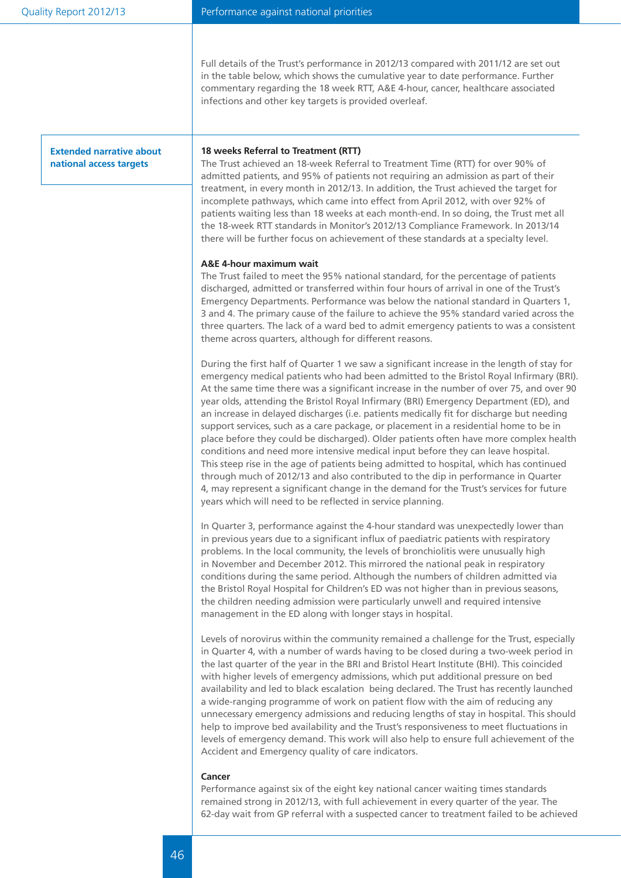Full details of the Trust's performance in 2012/13 compared with 2011/12 are set out in the table below, which shows the cumulative year to date performance. Further commentary regarding the 18 week RTT, A&E 4-hour, cancer, healthcare associated infections and other key targets is provided overleaf.

**Extended narrative about national access targets**

#### **18 weeks Referral to Treatment (RTT)**

The Trust achieved an 18-week Referral to Treatment Time (RTT) for over 90% of admitted patients, and 95% of patients not requiring an admission as part of their treatment, in every month in 2012/13. In addition, the Trust achieved the target for incomplete pathways, which came into effect from April 2012, with over 92% of patients waiting less than 18 weeks at each month-end. In so doing, the Trust met all the 18-week RTT standards in Monitor's 2012/13 Compliance Framework. In 2013/14 there will be further focus on achievement of these standards at a specialty level.

#### **A&E 4-hour maximum wait**

The Trust failed to meet the 95% national standard, for the percentage of patients discharged, admitted or transferred within four hours of arrival in one of the Trust's Emergency Departments. Performance was below the national standard in Quarters 1, 3 and 4. The primary cause of the failure to achieve the 95% standard varied across the three quarters. The lack of a ward bed to admit emergency patients to was a consistent theme across quarters, although for different reasons.

During the first half of Quarter 1 we saw a significant increase in the length of stay for emergency medical patients who had been admitted to the Bristol Royal Infirmary (BRI). At the same time there was a significant increase in the number of over 75, and over 90 year olds, attending the Bristol Royal Infirmary (BRI) Emergency Department (ED), and an increase in delayed discharges (i.e. patients medically fit for discharge but needing support services, such as a care package, or placement in a residential home to be in place before they could be discharged). Older patients often have more complex health conditions and need more intensive medical input before they can leave hospital. This steep rise in the age of patients being admitted to hospital, which has continued through much of 2012/13 and also contributed to the dip in performance in Quarter 4, may represent a significant change in the demand for the Trust's services for future years which will need to be reflected in service planning.

In Quarter 3, performance against the 4-hour standard was unexpectedly lower than in previous years due to a significant influx of paediatric patients with respiratory problems. In the local community, the levels of bronchiolitis were unusually high in November and December 2012. This mirrored the national peak in respiratory conditions during the same period. Although the numbers of children admitted via the Bristol Royal Hospital for Children's ED was not higher than in previous seasons, the children needing admission were particularly unwell and required intensive management in the ED along with longer stays in hospital.

Levels of norovirus within the community remained a challenge for the Trust, especially in Quarter 4, with a number of wards having to be closed during a two-week period in the last quarter of the year in the BRI and Bristol Heart Institute (BHI). This coincided with higher levels of emergency admissions, which put additional pressure on bed availability and led to black escalation being declared. The Trust has recently launched a wide-ranging programme of work on patient flow with the aim of reducing any unnecessary emergency admissions and reducing lengths of stay in hospital. This should help to improve bed availability and the Trust's responsiveness to meet fluctuations in levels of emergency demand. This work will also help to ensure full achievement of the Accident and Emergency quality of care indicators.

#### **Cancer**

Performance against six of the eight key national cancer waiting times standards remained strong in 2012/13, with full achievement in every quarter of the year. The 62-day wait from GP referral with a suspected cancer to treatment failed to be achieved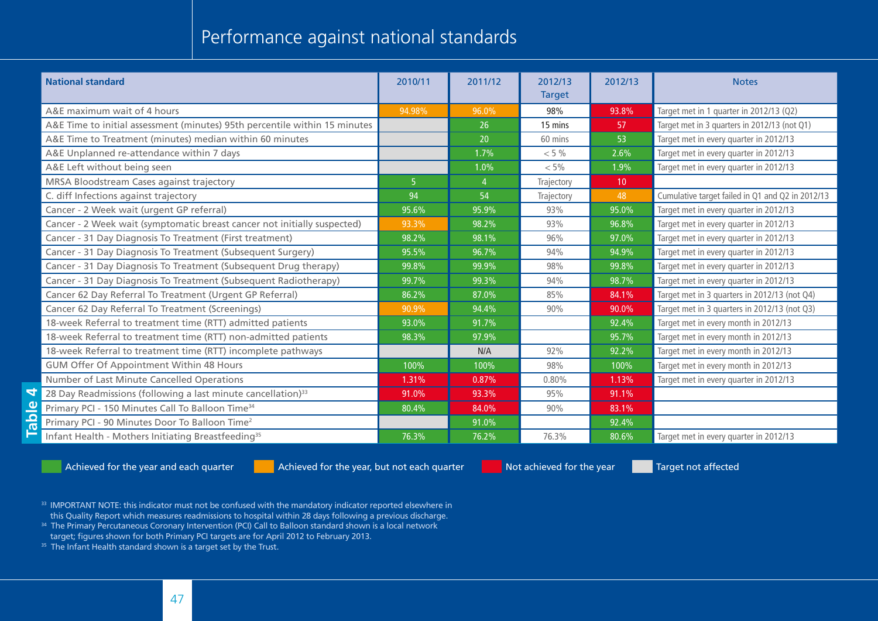## Performance against national standards

| <b>National standard</b>                                                   | 2010/11        | 2011/12        | 2012/13<br><b>Target</b> | 2012/13         | <b>Notes</b>                                     |
|----------------------------------------------------------------------------|----------------|----------------|--------------------------|-----------------|--------------------------------------------------|
| A&E maximum wait of 4 hours                                                | 94.98%         | 96.0%          | 98%                      | 93.8%           | Target met in 1 quarter in 2012/13 (Q2)          |
| A&E Time to initial assessment (minutes) 95th percentile within 15 minutes |                | 26             | 15 mins                  | 57              | Target met in 3 quarters in 2012/13 (not Q1)     |
| A&E Time to Treatment (minutes) median within 60 minutes                   |                | 20             | 60 mins                  | 53              | Target met in every quarter in 2012/13           |
| A&E Unplanned re-attendance within 7 days                                  |                | 1.7%           | $< 5\%$                  | 2.6%            | Target met in every quarter in 2012/13           |
| A&E Left without being seen                                                |                | 1.0%           | $< 5\%$                  | 1.9%            | Target met in every quarter in 2012/13           |
| MRSA Bloodstream Cases against trajectory                                  | 5 <sup>1</sup> | $\overline{4}$ | Trajectory               | 10 <sup>°</sup> |                                                  |
| C. diff Infections against trajectory                                      | 94             | 54             | Trajectory               | 48              | Cumulative target failed in Q1 and Q2 in 2012/13 |
| Cancer - 2 Week wait (urgent GP referral)                                  | 95.6%          | 95.9%          | 93%                      | 95.0%           | Target met in every quarter in 2012/13           |
| Cancer - 2 Week wait (symptomatic breast cancer not initially suspected)   | 93.3%          | 98.2%          | 93%                      | 96.8%           | Target met in every quarter in 2012/13           |
| Cancer - 31 Day Diagnosis To Treatment (First treatment)                   | 98.2%          | 98.1%          | 96%                      | 97.0%           | Target met in every quarter in 2012/13           |
| Cancer - 31 Day Diagnosis To Treatment (Subsequent Surgery)                | 95.5%          | 96.7%          | 94%                      | 94.9%           | Target met in every quarter in 2012/13           |
| Cancer - 31 Day Diagnosis To Treatment (Subsequent Drug therapy)           | 99.8%          | 99.9%          | 98%                      | 99.8%           | Target met in every quarter in 2012/13           |
| Cancer - 31 Day Diagnosis To Treatment (Subsequent Radiotherapy)           | 99.7%          | 99.3%          | 94%                      | 98.7%           | Target met in every quarter in 2012/13           |
| Cancer 62 Day Referral To Treatment (Urgent GP Referral)                   | 86.2%          | 87.0%          | 85%                      | 84.1%           | Target met in 3 quarters in 2012/13 (not Q4)     |
| Cancer 62 Day Referral To Treatment (Screenings)                           | 90.9%          | 94.4%          | 90%                      | 90.0%           | Target met in 3 quarters in 2012/13 (not Q3)     |
| 18-week Referral to treatment time (RTT) admitted patients                 | 93.0%          | 91.7%          |                          | 92.4%           | Target met in every month in 2012/13             |
| 18-week Referral to treatment time (RTT) non-admitted patients             | 98.3%          | 97.9%          |                          | 95.7%           | Target met in every month in 2012/13             |
| 18-week Referral to treatment time (RTT) incomplete pathways               |                | N/A            | 92%                      | 92.2%           | Target met in every month in 2012/13             |
| GUM Offer Of Appointment Within 48 Hours                                   | 100%           | 100%           | 98%                      | 100%            | Target met in every month in 2012/13             |
| Number of Last Minute Cancelled Operations                                 | 1.31%          | 0.87%          | 0.80%                    | 1.13%           | Target met in every quarter in 2012/13           |
| 28 Day Readmissions (following a last minute cancellation) <sup>33</sup>   | 91.0%          | 93.3%          | 95%                      | 91.1%           |                                                  |
| Primary PCI - 150 Minutes Call To Balloon Time <sup>34</sup>               | 80.4%          | 84.0%          | 90%                      | 83.1%           |                                                  |
| Primary PCI - 90 Minutes Door To Balloon Time <sup>2</sup>                 |                | 91.0%          |                          | 92.4%           |                                                  |
| Infant Health - Mothers Initiating Breastfeeding <sup>35</sup>             | 76.3%          | 76.2%          | 76.3%                    | 80.6%           | Target met in every quarter in 2012/13           |

**Table 4**

Achieved for the year and each quarter **Achieved for the year, but not each quarter** Not achieved for the year Target not affected

- 33 IMPORTANT NOTE: this indicator must not be confused with the mandatory indicator reported elsewhere in this Quality Report which measures readmissions to hospital within 28 days following a previous discharge.
- 34 The Primary Percutaneous Coronary Intervention (PCI) Call to Balloon standard shown is a local network target; figures shown for both Primary PCI targets are for April 2012 to February 2013.
- $35$  The Infant Health standard shown is a target set by the Trust.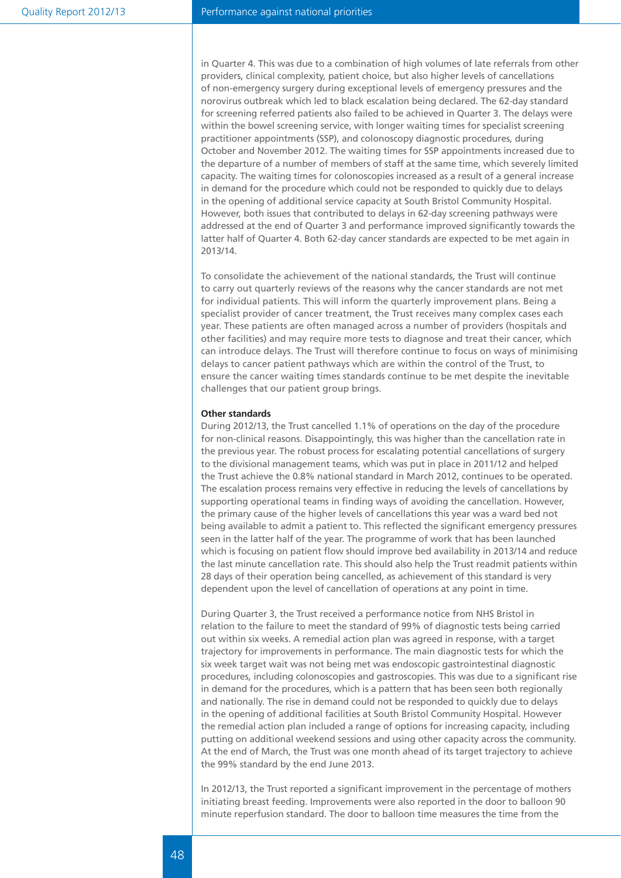in Quarter 4. This was due to a combination of high volumes of late referrals from other providers, clinical complexity, patient choice, but also higher levels of cancellations of non-emergency surgery during exceptional levels of emergency pressures and the norovirus outbreak which led to black escalation being declared. The 62-day standard for screening referred patients also failed to be achieved in Quarter 3. The delays were within the bowel screening service, with longer waiting times for specialist screening practitioner appointments (SSP), and colonoscopy diagnostic procedures, during October and November 2012. The waiting times for SSP appointments increased due to the departure of a number of members of staff at the same time, which severely limited capacity. The waiting times for colonoscopies increased as a result of a general increase in demand for the procedure which could not be responded to quickly due to delays in the opening of additional service capacity at South Bristol Community Hospital. However, both issues that contributed to delays in 62-day screening pathways were addressed at the end of Quarter 3 and performance improved significantly towards the latter half of Quarter 4. Both 62-day cancer standards are expected to be met again in 2013/14.

To consolidate the achievement of the national standards, the Trust will continue to carry out quarterly reviews of the reasons why the cancer standards are not met for individual patients. This will inform the quarterly improvement plans. Being a specialist provider of cancer treatment, the Trust receives many complex cases each year. These patients are often managed across a number of providers (hospitals and other facilities) and may require more tests to diagnose and treat their cancer, which can introduce delays. The Trust will therefore continue to focus on ways of minimising delays to cancer patient pathways which are within the control of the Trust, to ensure the cancer waiting times standards continue to be met despite the inevitable challenges that our patient group brings.

#### **Other standards**

During 2012/13, the Trust cancelled 1.1% of operations on the day of the procedure for non-clinical reasons. Disappointingly, this was higher than the cancellation rate in the previous year. The robust process for escalating potential cancellations of surgery to the divisional management teams, which was put in place in 2011/12 and helped the Trust achieve the 0.8% national standard in March 2012, continues to be operated. The escalation process remains very effective in reducing the levels of cancellations by supporting operational teams in finding ways of avoiding the cancellation. However, the primary cause of the higher levels of cancellations this year was a ward bed not being available to admit a patient to. This reflected the significant emergency pressures seen in the latter half of the year. The programme of work that has been launched which is focusing on patient flow should improve bed availability in 2013/14 and reduce the last minute cancellation rate. This should also help the Trust readmit patients within 28 days of their operation being cancelled, as achievement of this standard is very dependent upon the level of cancellation of operations at any point in time.

During Quarter 3, the Trust received a performance notice from NHS Bristol in relation to the failure to meet the standard of 99% of diagnostic tests being carried out within six weeks. A remedial action plan was agreed in response, with a target trajectory for improvements in performance. The main diagnostic tests for which the six week target wait was not being met was endoscopic gastrointestinal diagnostic procedures, including colonoscopies and gastroscopies. This was due to a significant rise in demand for the procedures, which is a pattern that has been seen both regionally and nationally. The rise in demand could not be responded to quickly due to delays in the opening of additional facilities at South Bristol Community Hospital. However the remedial action plan included a range of options for increasing capacity, including putting on additional weekend sessions and using other capacity across the community. At the end of March, the Trust was one month ahead of its target trajectory to achieve the 99% standard by the end June 2013.

In 2012/13, the Trust reported a significant improvement in the percentage of mothers initiating breast feeding. Improvements were also reported in the door to balloon 90 minute reperfusion standard. The door to balloon time measures the time from the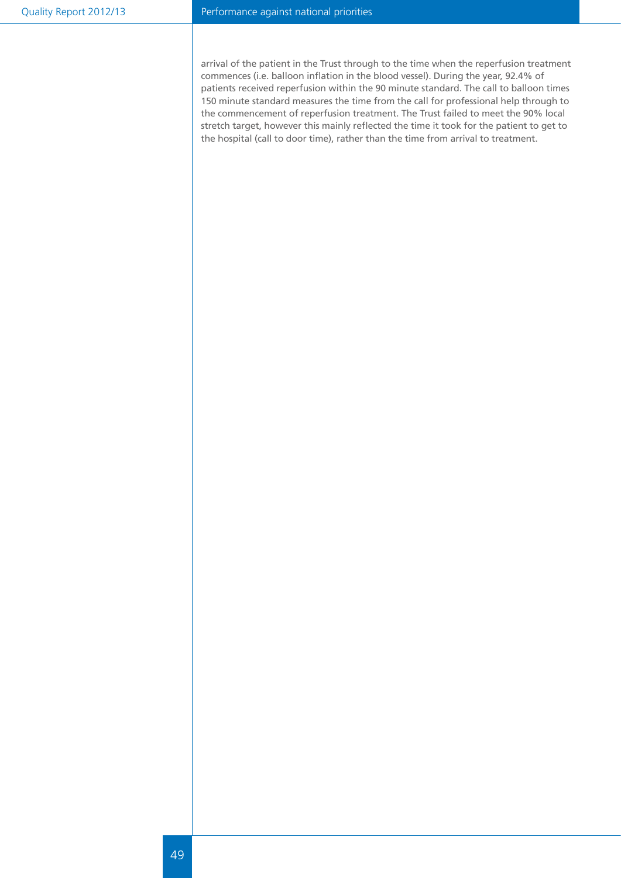#### Performance against national priorities

arrival of the patient in the Trust through to the time when the reperfusion treatment commences (i.e. balloon inflation in the blood vessel). During the year, 92.4% of patients received reperfusion within the 90 minute standard. The call to balloon times 150 minute standard measures the time from the call for professional help through to the commencement of reperfusion treatment. The Trust failed to meet the 90% local stretch target, however this mainly reflected the time it took for the patient to get to the hospital (call to door time), rather than the time from arrival to treatment.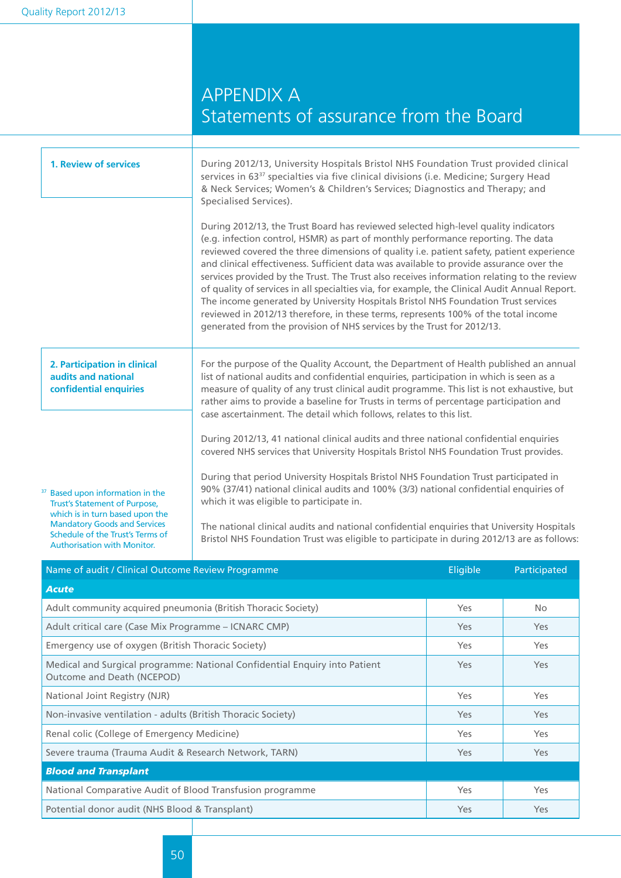## APPENDIX A Statements of assurance from the Board

| 1. Review of services                                                                                                                                                                      | During 2012/13, University Hospitals Bristol NHS Foundation Trust provided clinical<br>services in 63 <sup>37</sup> specialties via five clinical divisions (i.e. Medicine; Surgery Head<br>& Neck Services; Women's & Children's Services; Diagnostics and Therapy; and<br>Specialised Services).<br>During 2012/13, the Trust Board has reviewed selected high-level quality indicators<br>(e.g. infection control, HSMR) as part of monthly performance reporting. The data<br>reviewed covered the three dimensions of quality i.e. patient safety, patient experience<br>and clinical effectiveness. Sufficient data was available to provide assurance over the<br>services provided by the Trust. The Trust also receives information relating to the review<br>of quality of services in all specialties via, for example, the Clinical Audit Annual Report.<br>The income generated by University Hospitals Bristol NHS Foundation Trust services<br>reviewed in 2012/13 therefore, in these terms, represents 100% of the total income<br>generated from the provision of NHS services by the Trust for 2012/13. |           |              |  |  |
|--------------------------------------------------------------------------------------------------------------------------------------------------------------------------------------------|----------------------------------------------------------------------------------------------------------------------------------------------------------------------------------------------------------------------------------------------------------------------------------------------------------------------------------------------------------------------------------------------------------------------------------------------------------------------------------------------------------------------------------------------------------------------------------------------------------------------------------------------------------------------------------------------------------------------------------------------------------------------------------------------------------------------------------------------------------------------------------------------------------------------------------------------------------------------------------------------------------------------------------------------------------------------------------------------------------------------------|-----------|--------------|--|--|
| 2. Participation in clinical<br>audits and national<br>confidential enquiries                                                                                                              | For the purpose of the Quality Account, the Department of Health published an annual<br>list of national audits and confidential enquiries, participation in which is seen as a<br>measure of quality of any trust clinical audit programme. This list is not exhaustive, but<br>rather aims to provide a baseline for Trusts in terms of percentage participation and<br>case ascertainment. The detail which follows, relates to this list.                                                                                                                                                                                                                                                                                                                                                                                                                                                                                                                                                                                                                                                                              |           |              |  |  |
| <sup>37</sup> Based upon information in the<br>Trust's Statement of Purpose,<br>which is in turn based upon the<br><b>Mandatory Goods and Services</b><br>Schedule of the Trust's Terms of | During 2012/13, 41 national clinical audits and three national confidential enquiries<br>covered NHS services that University Hospitals Bristol NHS Foundation Trust provides.<br>During that period University Hospitals Bristol NHS Foundation Trust participated in<br>90% (37/41) national clinical audits and 100% (3/3) national confidential enquiries of<br>which it was eligible to participate in.<br>The national clinical audits and national confidential enquiries that University Hospitals                                                                                                                                                                                                                                                                                                                                                                                                                                                                                                                                                                                                                 |           |              |  |  |
| <b>Authorisation with Monitor.</b><br>Name of audit / Clinical Outcome Review Programme                                                                                                    | Bristol NHS Foundation Trust was eligible to participate in during 2012/13 are as follows:                                                                                                                                                                                                                                                                                                                                                                                                                                                                                                                                                                                                                                                                                                                                                                                                                                                                                                                                                                                                                                 | Eligible  | Participated |  |  |
| <b>Acute</b>                                                                                                                                                                               |                                                                                                                                                                                                                                                                                                                                                                                                                                                                                                                                                                                                                                                                                                                                                                                                                                                                                                                                                                                                                                                                                                                            |           |              |  |  |
| Adult community acquired pneumonia (British Thoracic Society)                                                                                                                              |                                                                                                                                                                                                                                                                                                                                                                                                                                                                                                                                                                                                                                                                                                                                                                                                                                                                                                                                                                                                                                                                                                                            | Yes       | No.          |  |  |
| $\lambda$ is the set of $\lambda$ and $\lambda$                                                                                                                                            | 1611100001111                                                                                                                                                                                                                                                                                                                                                                                                                                                                                                                                                                                                                                                                                                                                                                                                                                                                                                                                                                                                                                                                                                              | $\lambda$ | $\sqrt{2}$   |  |  |

| Adult critical care (Case Mix Programme – ICNARC CMP)                                                    | Yes        | Yes |  |
|----------------------------------------------------------------------------------------------------------|------------|-----|--|
| Emergency use of oxygen (British Thoracic Society)                                                       | <b>Yes</b> | Yes |  |
| Medical and Surgical programme: National Confidential Enguiry into Patient<br>Outcome and Death (NCEPOD) | <b>Yes</b> | Yes |  |
| National Joint Registry (NJR)                                                                            | <b>Yes</b> | Yes |  |
| Non-invasive ventilation - adults (British Thoracic Society)                                             | <b>Yes</b> | Yes |  |
| Renal colic (College of Emergency Medicine)                                                              | <b>Yes</b> | Yes |  |
| Severe trauma (Trauma Audit & Research Network, TARN)                                                    | Yes        | Yes |  |
| <b>Blood and Transplant</b>                                                                              |            |     |  |
| National Comparative Audit of Blood Transfusion programme                                                | <b>Yes</b> | Yes |  |
| Potential donor audit (NHS Blood & Transplant)                                                           | Yes        | Yes |  |
|                                                                                                          |            |     |  |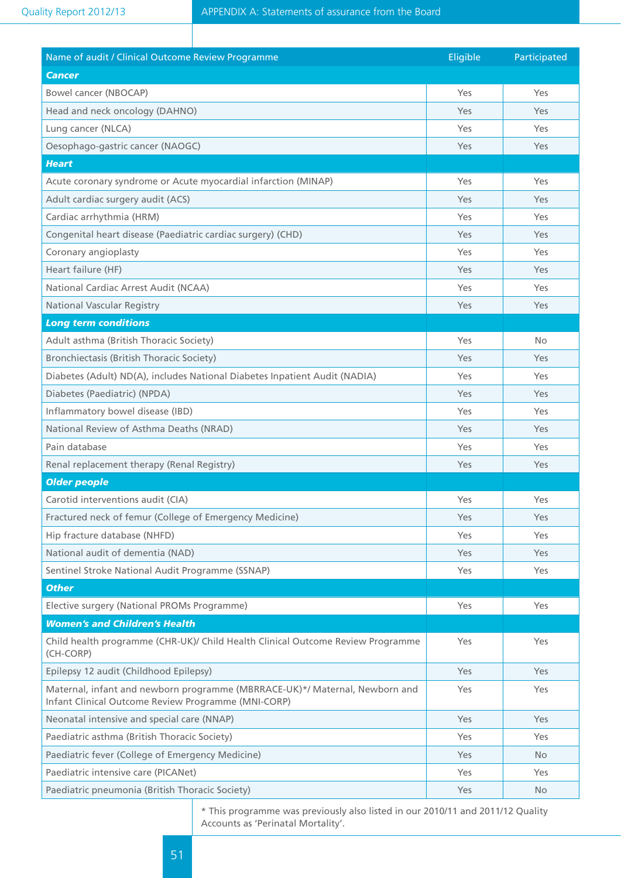| Name of audit / Clinical Outcome Review Programme                                                                                  | Eligible | Participated   |  |
|------------------------------------------------------------------------------------------------------------------------------------|----------|----------------|--|
| <b>Cancer</b>                                                                                                                      |          |                |  |
| Bowel cancer (NBOCAP)                                                                                                              | Yes      | Yes            |  |
| Head and neck oncology (DAHNO)                                                                                                     | Yes      | Yes            |  |
| Lung cancer (NLCA)                                                                                                                 | Yes      | Yes            |  |
| Oesophago-gastric cancer (NAOGC)                                                                                                   | Yes      | Yes            |  |
| <b>Heart</b>                                                                                                                       |          |                |  |
| Acute coronary syndrome or Acute myocardial infarction (MINAP)                                                                     | Yes      | Yes            |  |
| Adult cardiac surgery audit (ACS)                                                                                                  | Yes      | Yes            |  |
| Cardiac arrhythmia (HRM)                                                                                                           | Yes      | Yes            |  |
| Congenital heart disease (Paediatric cardiac surgery) (CHD)                                                                        | Yes      | Yes            |  |
| Coronary angioplasty                                                                                                               | Yes      | Yes            |  |
| Heart failure (HF)                                                                                                                 | Yes      | Yes            |  |
| National Cardiac Arrest Audit (NCAA)                                                                                               | Yes      | Yes            |  |
| <b>National Vascular Registry</b>                                                                                                  | Yes      | Yes            |  |
| <b>Long term conditions</b>                                                                                                        |          |                |  |
| Adult asthma (British Thoracic Society)                                                                                            | Yes      | N <sub>o</sub> |  |
| Bronchiectasis (British Thoracic Society)                                                                                          | Yes      | Yes            |  |
| Diabetes (Adult) ND(A), includes National Diabetes Inpatient Audit (NADIA)                                                         | Yes      | Yes            |  |
| Diabetes (Paediatric) (NPDA)                                                                                                       | Yes      | Yes            |  |
| Inflammatory bowel disease (IBD)                                                                                                   | Yes      | Yes            |  |
| National Review of Asthma Deaths (NRAD)                                                                                            | Yes      | Yes            |  |
| Pain database                                                                                                                      | Yes      | Yes            |  |
| Renal replacement therapy (Renal Registry)                                                                                         | Yes      | Yes            |  |
| <b>Older people</b>                                                                                                                |          |                |  |
| Carotid interventions audit (CIA)                                                                                                  | Yes      | Yes            |  |
| Fractured neck of femur (College of Emergency Medicine)                                                                            | Yes      | Yes            |  |
| Hip fracture database (NHFD)                                                                                                       | Yes      | Yes            |  |
| National audit of dementia (NAD)                                                                                                   | Yes      | <b>Yes</b>     |  |
| Sentinel Stroke National Audit Programme (SSNAP)                                                                                   | Yes      | Yes            |  |
| <b>Other</b>                                                                                                                       |          |                |  |
| Elective surgery (National PROMs Programme)                                                                                        | Yes      | Yes            |  |
| <b>Women's and Children's Health</b>                                                                                               |          |                |  |
| Child health programme (CHR-UK)/ Child Health Clinical Outcome Review Programme<br>(CH-CORP)                                       | Yes      | Yes            |  |
| Epilepsy 12 audit (Childhood Epilepsy)                                                                                             | Yes      | Yes            |  |
| Maternal, infant and newborn programme (MBRRACE-UK)*/ Maternal, Newborn and<br>Infant Clinical Outcome Review Programme (MNI-CORP) | Yes      | Yes            |  |
| Neonatal intensive and special care (NNAP)                                                                                         | Yes      | Yes            |  |
| Paediatric asthma (British Thoracic Society)                                                                                       | Yes      | Yes            |  |
| Paediatric fever (College of Emergency Medicine)                                                                                   | Yes      | No.            |  |
| Paediatric intensive care (PICANet)                                                                                                | Yes      | Yes            |  |
| Paediatric pneumonia (British Thoracic Society)                                                                                    | Yes      | No.            |  |

\* This programme was previously also listed in our 2010/11 and 2011/12 Quality Accounts as 'Perinatal Mortality'.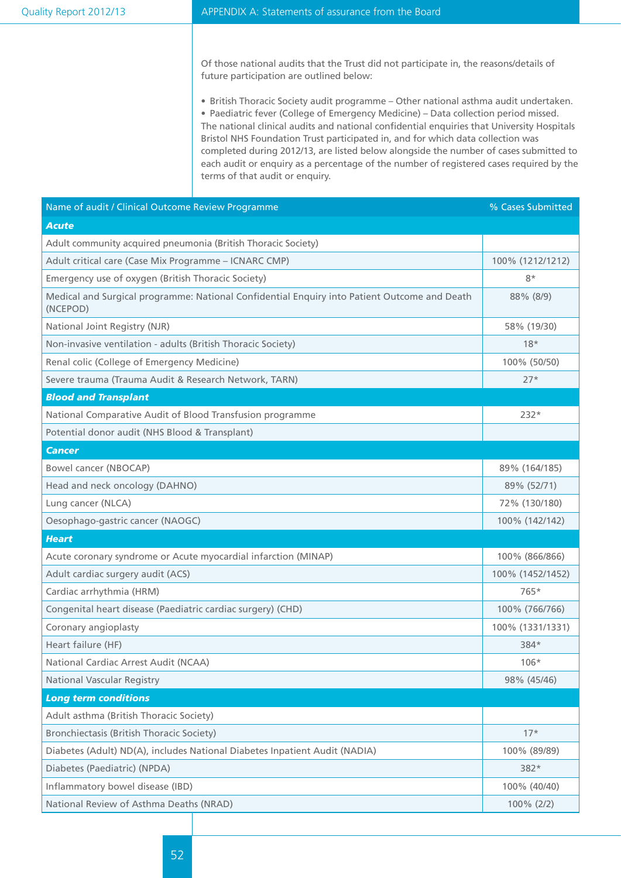Of those national audits that the Trust did not participate in, the reasons/details of future participation are outlined below:

• British Thoracic Society audit programme – Other national asthma audit undertaken. • Paediatric fever (College of Emergency Medicine) – Data collection period missed. The national clinical audits and national confidential enquiries that University Hospitals Bristol NHS Foundation Trust participated in, and for which data collection was completed during 2012/13, are listed below alongside the number of cases submitted to each audit or enquiry as a percentage of the number of registered cases required by the terms of that audit or enquiry.

| Name of audit / Clinical Outcome Review Programme                                                        | % Cases Submitted |
|----------------------------------------------------------------------------------------------------------|-------------------|
| <b>Acute</b>                                                                                             |                   |
| Adult community acquired pneumonia (British Thoracic Society)                                            |                   |
| Adult critical care (Case Mix Programme - ICNARC CMP)                                                    | 100% (1212/1212)  |
| Emergency use of oxygen (British Thoracic Society)                                                       | $8*$              |
| Medical and Surgical programme: National Confidential Enquiry into Patient Outcome and Death<br>(NCEPOD) | 88% (8/9)         |
| National Joint Registry (NJR)                                                                            | 58% (19/30)       |
| Non-invasive ventilation - adults (British Thoracic Society)                                             | $18*$             |
| Renal colic (College of Emergency Medicine)                                                              | 100% (50/50)      |
| Severe trauma (Trauma Audit & Research Network, TARN)                                                    | $27*$             |
| <b>Blood and Transplant</b>                                                                              |                   |
| National Comparative Audit of Blood Transfusion programme                                                | $232*$            |
| Potential donor audit (NHS Blood & Transplant)                                                           |                   |
| <b>Cancer</b>                                                                                            |                   |
| Bowel cancer (NBOCAP)                                                                                    | 89% (164/185)     |
| Head and neck oncology (DAHNO)                                                                           | 89% (52/71)       |
| Lung cancer (NLCA)                                                                                       | 72% (130/180)     |
| Oesophago-gastric cancer (NAOGC)                                                                         | 100% (142/142)    |
| <b>Heart</b>                                                                                             |                   |
| Acute coronary syndrome or Acute myocardial infarction (MINAP)                                           | 100% (866/866)    |
| Adult cardiac surgery audit (ACS)                                                                        | 100% (1452/1452)  |
| Cardiac arrhythmia (HRM)                                                                                 | 765*              |
| Congenital heart disease (Paediatric cardiac surgery) (CHD)                                              | 100% (766/766)    |
| Coronary angioplasty                                                                                     | 100% (1331/1331)  |
| Heart failure (HF)                                                                                       | 384*              |
| National Cardiac Arrest Audit (NCAA)                                                                     | $106*$            |
| <b>National Vascular Registry</b>                                                                        | 98% (45/46)       |
| <b>Long term conditions</b>                                                                              |                   |
| Adult asthma (British Thoracic Society)                                                                  |                   |
| Bronchiectasis (British Thoracic Society)                                                                | $17*$             |
| Diabetes (Adult) ND(A), includes National Diabetes Inpatient Audit (NADIA)                               | 100% (89/89)      |
| Diabetes (Paediatric) (NPDA)                                                                             | 382*              |
| Inflammatory bowel disease (IBD)                                                                         | 100% (40/40)      |
| National Review of Asthma Deaths (NRAD)                                                                  | 100% (2/2)        |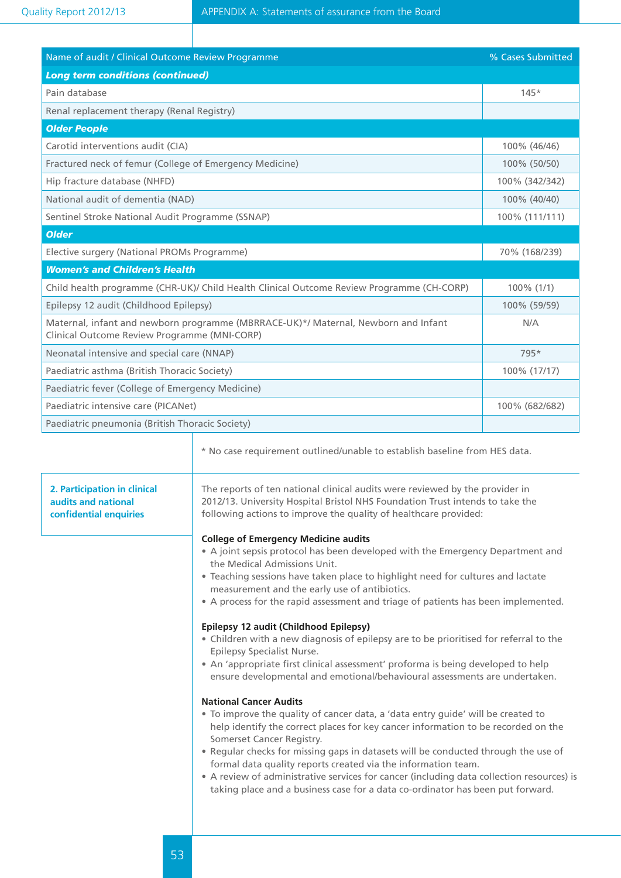| Name of audit / Clinical Outcome Review Programme                                                                                                                                                                                                                                                                                                                                                                                                                                                                                                                                                                                                                                                                                                                                                                                                                                                            |                                                                                                                                                                                                                                                                                                                                                                                                                                                                                                                                             | % Cases Submitted |
|--------------------------------------------------------------------------------------------------------------------------------------------------------------------------------------------------------------------------------------------------------------------------------------------------------------------------------------------------------------------------------------------------------------------------------------------------------------------------------------------------------------------------------------------------------------------------------------------------------------------------------------------------------------------------------------------------------------------------------------------------------------------------------------------------------------------------------------------------------------------------------------------------------------|---------------------------------------------------------------------------------------------------------------------------------------------------------------------------------------------------------------------------------------------------------------------------------------------------------------------------------------------------------------------------------------------------------------------------------------------------------------------------------------------------------------------------------------------|-------------------|
| <b>Long term conditions (continued)</b>                                                                                                                                                                                                                                                                                                                                                                                                                                                                                                                                                                                                                                                                                                                                                                                                                                                                      |                                                                                                                                                                                                                                                                                                                                                                                                                                                                                                                                             |                   |
| Pain database                                                                                                                                                                                                                                                                                                                                                                                                                                                                                                                                                                                                                                                                                                                                                                                                                                                                                                |                                                                                                                                                                                                                                                                                                                                                                                                                                                                                                                                             | $145*$            |
|                                                                                                                                                                                                                                                                                                                                                                                                                                                                                                                                                                                                                                                                                                                                                                                                                                                                                                              | Renal replacement therapy (Renal Registry)                                                                                                                                                                                                                                                                                                                                                                                                                                                                                                  |                   |
| <b>Older People</b>                                                                                                                                                                                                                                                                                                                                                                                                                                                                                                                                                                                                                                                                                                                                                                                                                                                                                          |                                                                                                                                                                                                                                                                                                                                                                                                                                                                                                                                             |                   |
| Carotid interventions audit (CIA)                                                                                                                                                                                                                                                                                                                                                                                                                                                                                                                                                                                                                                                                                                                                                                                                                                                                            |                                                                                                                                                                                                                                                                                                                                                                                                                                                                                                                                             | 100% (46/46)      |
| Fractured neck of femur (College of Emergency Medicine)                                                                                                                                                                                                                                                                                                                                                                                                                                                                                                                                                                                                                                                                                                                                                                                                                                                      |                                                                                                                                                                                                                                                                                                                                                                                                                                                                                                                                             | 100% (50/50)      |
| Hip fracture database (NHFD)                                                                                                                                                                                                                                                                                                                                                                                                                                                                                                                                                                                                                                                                                                                                                                                                                                                                                 |                                                                                                                                                                                                                                                                                                                                                                                                                                                                                                                                             | 100% (342/342)    |
| National audit of dementia (NAD)                                                                                                                                                                                                                                                                                                                                                                                                                                                                                                                                                                                                                                                                                                                                                                                                                                                                             |                                                                                                                                                                                                                                                                                                                                                                                                                                                                                                                                             | 100% (40/40)      |
| Sentinel Stroke National Audit Programme (SSNAP)                                                                                                                                                                                                                                                                                                                                                                                                                                                                                                                                                                                                                                                                                                                                                                                                                                                             |                                                                                                                                                                                                                                                                                                                                                                                                                                                                                                                                             | 100% (111/111)    |
| <b>Older</b>                                                                                                                                                                                                                                                                                                                                                                                                                                                                                                                                                                                                                                                                                                                                                                                                                                                                                                 |                                                                                                                                                                                                                                                                                                                                                                                                                                                                                                                                             |                   |
| Elective surgery (National PROMs Programme)                                                                                                                                                                                                                                                                                                                                                                                                                                                                                                                                                                                                                                                                                                                                                                                                                                                                  |                                                                                                                                                                                                                                                                                                                                                                                                                                                                                                                                             | 70% (168/239)     |
| <b>Women's and Children's Health</b>                                                                                                                                                                                                                                                                                                                                                                                                                                                                                                                                                                                                                                                                                                                                                                                                                                                                         |                                                                                                                                                                                                                                                                                                                                                                                                                                                                                                                                             |                   |
|                                                                                                                                                                                                                                                                                                                                                                                                                                                                                                                                                                                                                                                                                                                                                                                                                                                                                                              | Child health programme (CHR-UK)/ Child Health Clinical Outcome Review Programme (CH-CORP)                                                                                                                                                                                                                                                                                                                                                                                                                                                   | 100% (1/1)        |
| Epilepsy 12 audit (Childhood Epilepsy)                                                                                                                                                                                                                                                                                                                                                                                                                                                                                                                                                                                                                                                                                                                                                                                                                                                                       |                                                                                                                                                                                                                                                                                                                                                                                                                                                                                                                                             | 100% (59/59)      |
| Clinical Outcome Review Programme (MNI-CORP)                                                                                                                                                                                                                                                                                                                                                                                                                                                                                                                                                                                                                                                                                                                                                                                                                                                                 | Maternal, infant and newborn programme (MBRRACE-UK)*/ Maternal, Newborn and Infant                                                                                                                                                                                                                                                                                                                                                                                                                                                          | N/A               |
| Neonatal intensive and special care (NNAP)                                                                                                                                                                                                                                                                                                                                                                                                                                                                                                                                                                                                                                                                                                                                                                                                                                                                   |                                                                                                                                                                                                                                                                                                                                                                                                                                                                                                                                             | 795*              |
| Paediatric asthma (British Thoracic Society)                                                                                                                                                                                                                                                                                                                                                                                                                                                                                                                                                                                                                                                                                                                                                                                                                                                                 |                                                                                                                                                                                                                                                                                                                                                                                                                                                                                                                                             | 100% (17/17)      |
| Paediatric fever (College of Emergency Medicine)                                                                                                                                                                                                                                                                                                                                                                                                                                                                                                                                                                                                                                                                                                                                                                                                                                                             |                                                                                                                                                                                                                                                                                                                                                                                                                                                                                                                                             |                   |
| Paediatric intensive care (PICANet)                                                                                                                                                                                                                                                                                                                                                                                                                                                                                                                                                                                                                                                                                                                                                                                                                                                                          |                                                                                                                                                                                                                                                                                                                                                                                                                                                                                                                                             | 100% (682/682)    |
| Paediatric pneumonia (British Thoracic Society)                                                                                                                                                                                                                                                                                                                                                                                                                                                                                                                                                                                                                                                                                                                                                                                                                                                              |                                                                                                                                                                                                                                                                                                                                                                                                                                                                                                                                             |                   |
| 2. Participation in clinical                                                                                                                                                                                                                                                                                                                                                                                                                                                                                                                                                                                                                                                                                                                                                                                                                                                                                 | * No case requirement outlined/unable to establish baseline from HES data.<br>The reports of ten national clinical audits were reviewed by the provider in                                                                                                                                                                                                                                                                                                                                                                                  |                   |
| audits and national<br>confidential enquiries                                                                                                                                                                                                                                                                                                                                                                                                                                                                                                                                                                                                                                                                                                                                                                                                                                                                | 2012/13. University Hospital Bristol NHS Foundation Trust intends to take the<br>following actions to improve the quality of healthcare provided:<br><b>College of Emergency Medicine audits</b><br>• A joint sepsis protocol has been developed with the Emergency Department and<br>the Medical Admissions Unit.<br>• Teaching sessions have taken place to highlight need for cultures and lactate<br>measurement and the early use of antibiotics.<br>• A process for the rapid assessment and triage of patients has been implemented. |                   |
| Epilepsy 12 audit (Childhood Epilepsy)<br>• Children with a new diagnosis of epilepsy are to be prioritised for referral to the<br>Epilepsy Specialist Nurse.<br>• An 'appropriate first clinical assessment' proforma is being developed to help<br>ensure developmental and emotional/behavioural assessments are undertaken.<br><b>National Cancer Audits</b><br>• To improve the quality of cancer data, a 'data entry guide' will be created to<br>help identify the correct places for key cancer information to be recorded on the<br>Somerset Cancer Registry.<br>. Regular checks for missing gaps in datasets will be conducted through the use of<br>formal data quality reports created via the information team.<br>• A review of administrative services for cancer (including data collection resources) is<br>taking place and a business case for a data co-ordinator has been put forward. |                                                                                                                                                                                                                                                                                                                                                                                                                                                                                                                                             |                   |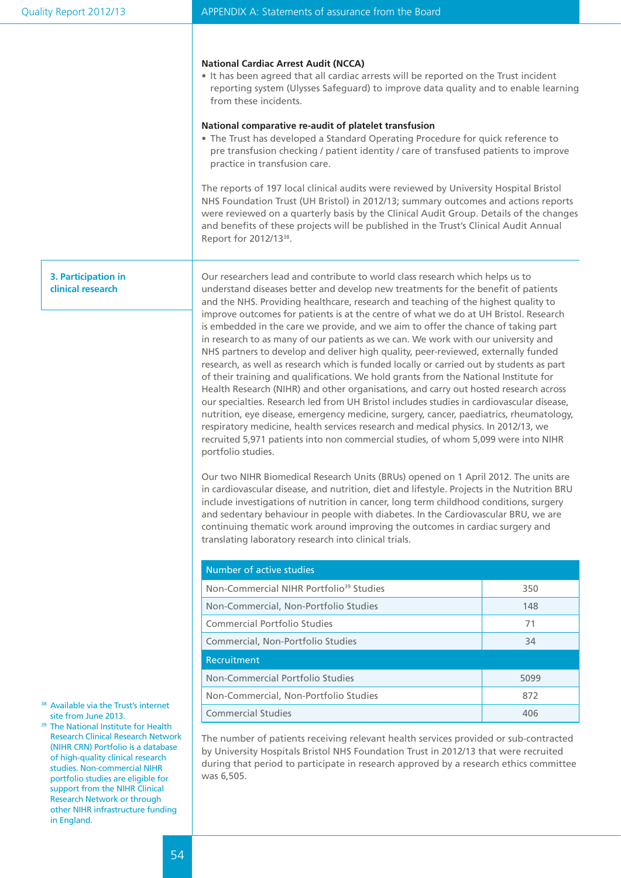#### **National Cardiac Arrest Audit (NCCA)**

• It has been agreed that all cardiac arrests will be reported on the Trust incident reporting system (Ulysses Safeguard) to improve data quality and to enable learning from these incidents.

#### **National comparative re-audit of platelet transfusion**

• The Trust has developed a Standard Operating Procedure for quick reference to pre transfusion checking / patient identity / care of transfused patients to improve practice in transfusion care.

The reports of 197 local clinical audits were reviewed by University Hospital Bristol NHS Foundation Trust (UH Bristol) in 2012/13; summary outcomes and actions reports were reviewed on a quarterly basis by the Clinical Audit Group. Details of the changes and benefits of these projects will be published in the Trust's Clinical Audit Annual Report for 2012/1338.

#### **3. Participation in clinical research**

Our researchers lead and contribute to world class research which helps us to understand diseases better and develop new treatments for the benefit of patients and the NHS. Providing healthcare, research and teaching of the highest quality to improve outcomes for patients is at the centre of what we do at UH Bristol. Research is embedded in the care we provide, and we aim to offer the chance of taking part in research to as many of our patients as we can. We work with our university and NHS partners to develop and deliver high quality, peer-reviewed, externally funded research, as well as research which is funded locally or carried out by students as part of their training and qualifications. We hold grants from the National Institute for Health Research (NIHR) and other organisations, and carry out hosted research across our specialties. Research led from UH Bristol includes studies in cardiovascular disease, nutrition, eye disease, emergency medicine, surgery, cancer, paediatrics, rheumatology, respiratory medicine, health services research and medical physics. In 2012/13, we recruited 5,971 patients into non commercial studies, of whom 5,099 were into NIHR portfolio studies.

Our two NIHR Biomedical Research Units (BRUs) opened on 1 April 2012. The units are in cardiovascular disease, and nutrition, diet and lifestyle. Projects in the Nutrition BRU include investigations of nutrition in cancer, long term childhood conditions, surgery and sedentary behaviour in people with diabetes. In the Cardiovascular BRU, we are continuing thematic work around improving the outcomes in cardiac surgery and translating laboratory research into clinical trials.

| Number of active studies                            |      |  |  |
|-----------------------------------------------------|------|--|--|
| Non-Commercial NIHR Portfolio <sup>39</sup> Studies | 350  |  |  |
| Non-Commercial, Non-Portfolio Studies               | 148  |  |  |
| Commercial Portfolio Studies                        | 71   |  |  |
| Commercial, Non-Portfolio Studies<br>34             |      |  |  |
| Recruitment                                         |      |  |  |
| Non-Commercial Portfolio Studies                    | 5099 |  |  |
| Non-Commercial, Non-Portfolio Studies               | 872  |  |  |
| <b>Commercial Studies</b>                           | 406  |  |  |

The number of patients receiving relevant health services provided or sub-contracted by University Hospitals Bristol NHS Foundation Trust in 2012/13 that were recruited during that period to participate in research approved by a research ethics committee was 6,505.

<sup>38</sup> Available via the Trust's internet site from June 2013.

<sup>39</sup> The National Institute for Health Research Clinical Research Network (NIHR CRN) Portfolio is a database of high-quality clinical research studies. Non-commercial NIHR portfolio studies are eligible for support from the NIHR Clinical Research Network or through other NIHR infrastructure funding in England.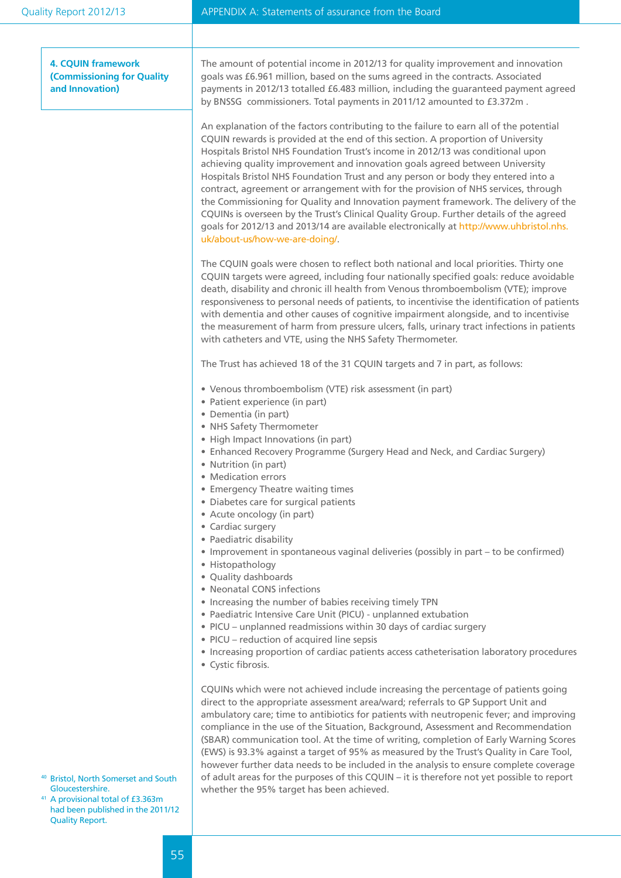| Quality Report 2012/13                                                                                                                                                             | APPENDIX A: Statements of assurance from the Board                                                                                                                                                                                                                                                                                                                                                                                                                                                                                                                                                                                                                                                                                                                                                                                                                                                                                                                                                                 |
|------------------------------------------------------------------------------------------------------------------------------------------------------------------------------------|--------------------------------------------------------------------------------------------------------------------------------------------------------------------------------------------------------------------------------------------------------------------------------------------------------------------------------------------------------------------------------------------------------------------------------------------------------------------------------------------------------------------------------------------------------------------------------------------------------------------------------------------------------------------------------------------------------------------------------------------------------------------------------------------------------------------------------------------------------------------------------------------------------------------------------------------------------------------------------------------------------------------|
|                                                                                                                                                                                    |                                                                                                                                                                                                                                                                                                                                                                                                                                                                                                                                                                                                                                                                                                                                                                                                                                                                                                                                                                                                                    |
| <b>4. CQUIN framework</b><br><b>(Commissioning for Quality</b><br>and Innovation)                                                                                                  | The amount of potential income in 2012/13 for quality improvement and innovation<br>goals was £6.961 million, based on the sums agreed in the contracts. Associated<br>payments in 2012/13 totalled £6.483 million, including the guaranteed payment agreed<br>by BNSSG commissioners. Total payments in 2011/12 amounted to £3.372m.                                                                                                                                                                                                                                                                                                                                                                                                                                                                                                                                                                                                                                                                              |
|                                                                                                                                                                                    | An explanation of the factors contributing to the failure to earn all of the potential<br>CQUIN rewards is provided at the end of this section. A proportion of University<br>Hospitals Bristol NHS Foundation Trust's income in 2012/13 was conditional upon<br>achieving quality improvement and innovation goals agreed between University<br>Hospitals Bristol NHS Foundation Trust and any person or body they entered into a<br>contract, agreement or arrangement with for the provision of NHS services, through<br>the Commissioning for Quality and Innovation payment framework. The delivery of the<br>CQUINs is overseen by the Trust's Clinical Quality Group. Further details of the agreed<br>goals for 2012/13 and 2013/14 are available electronically at http://www.uhbristol.nhs.<br>uk/about-us/how-we-are-doing/.                                                                                                                                                                            |
|                                                                                                                                                                                    | The CQUIN goals were chosen to reflect both national and local priorities. Thirty one<br>CQUIN targets were agreed, including four nationally specified goals: reduce avoidable<br>death, disability and chronic ill health from Venous thromboembolism (VTE); improve<br>responsiveness to personal needs of patients, to incentivise the identification of patients<br>with dementia and other causes of cognitive impairment alongside, and to incentivise<br>the measurement of harm from pressure ulcers, falls, urinary tract infections in patients<br>with catheters and VTE, using the NHS Safety Thermometer.                                                                                                                                                                                                                                                                                                                                                                                            |
|                                                                                                                                                                                    | The Trust has achieved 18 of the 31 CQUIN targets and 7 in part, as follows:                                                                                                                                                                                                                                                                                                                                                                                                                                                                                                                                                                                                                                                                                                                                                                                                                                                                                                                                       |
|                                                                                                                                                                                    | • Venous thromboembolism (VTE) risk assessment (in part)<br>• Patient experience (in part)<br>· Dementia (in part)<br>• NHS Safety Thermometer<br>• High Impact Innovations (in part)<br>• Enhanced Recovery Programme (Surgery Head and Neck, and Cardiac Surgery)<br>• Nutrition (in part)<br>• Medication errors<br>• Emergency Theatre waiting times<br>• Diabetes care for surgical patients<br>• Acute oncology (in part)<br>• Cardiac surgery<br>• Paediatric disability<br>• Improvement in spontaneous vaginal deliveries (possibly in part – to be confirmed)<br>• Histopathology<br>• Quality dashboards<br>• Neonatal CONS infections<br>• Increasing the number of babies receiving timely TPN<br>• Paediatric Intensive Care Unit (PICU) - unplanned extubation<br>• PICU - unplanned readmissions within 30 days of cardiac surgery<br>• PICU - reduction of acquired line sepsis<br>• Increasing proportion of cardiac patients access catheterisation laboratory procedures<br>• Cystic fibrosis. |
| <sup>40</sup> Bristol, North Somerset and South<br>Gloucestershire.<br><sup>41</sup> A provisional total of £3.363m<br>had been published in the 2011/12<br><b>Quality Report.</b> | CQUINs which were not achieved include increasing the percentage of patients going<br>direct to the appropriate assessment area/ward; referrals to GP Support Unit and<br>ambulatory care; time to antibiotics for patients with neutropenic fever; and improving<br>compliance in the use of the Situation, Background, Assessment and Recommendation<br>(SBAR) communication tool. At the time of writing, completion of Early Warning Scores<br>(EWS) is 93.3% against a target of 95% as measured by the Trust's Quality in Care Tool,<br>however further data needs to be included in the analysis to ensure complete coverage<br>of adult areas for the purposes of this CQUIN - it is therefore not yet possible to report<br>whether the 95% target has been achieved.                                                                                                                                                                                                                                     |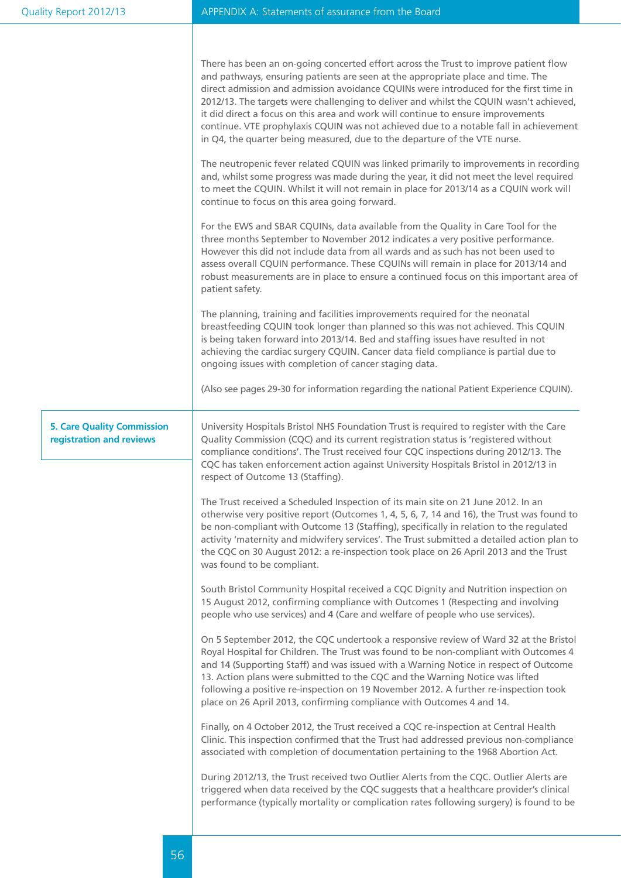|                                                               | There has been an on-going concerted effort across the Trust to improve patient flow<br>and pathways, ensuring patients are seen at the appropriate place and time. The<br>direct admission and admission avoidance CQUINs were introduced for the first time in<br>2012/13. The targets were challenging to deliver and whilst the CQUIN wasn't achieved,<br>it did direct a focus on this area and work will continue to ensure improvements<br>continue. VTE prophylaxis CQUIN was not achieved due to a notable fall in achievement<br>in Q4, the quarter being measured, due to the departure of the VTE nurse.<br>The neutropenic fever related CQUIN was linked primarily to improvements in recording<br>and, whilst some progress was made during the year, it did not meet the level required<br>to meet the CQUIN. Whilst it will not remain in place for 2013/14 as a CQUIN work will<br>continue to focus on this area going forward.<br>For the EWS and SBAR CQUINs, data available from the Quality in Care Tool for the<br>three months September to November 2012 indicates a very positive performance.<br>However this did not include data from all wards and as such has not been used to<br>assess overall CQUIN performance. These CQUINs will remain in place for 2013/14 and<br>robust measurements are in place to ensure a continued focus on this important area of<br>patient safety.<br>The planning, training and facilities improvements required for the neonatal<br>breastfeeding CQUIN took longer than planned so this was not achieved. This CQUIN<br>is being taken forward into 2013/14. Bed and staffing issues have resulted in not |
|---------------------------------------------------------------|------------------------------------------------------------------------------------------------------------------------------------------------------------------------------------------------------------------------------------------------------------------------------------------------------------------------------------------------------------------------------------------------------------------------------------------------------------------------------------------------------------------------------------------------------------------------------------------------------------------------------------------------------------------------------------------------------------------------------------------------------------------------------------------------------------------------------------------------------------------------------------------------------------------------------------------------------------------------------------------------------------------------------------------------------------------------------------------------------------------------------------------------------------------------------------------------------------------------------------------------------------------------------------------------------------------------------------------------------------------------------------------------------------------------------------------------------------------------------------------------------------------------------------------------------------------------------------------------------------------------------------------------------------------------------|
|                                                               | achieving the cardiac surgery CQUIN. Cancer data field compliance is partial due to<br>ongoing issues with completion of cancer staging data.<br>(Also see pages 29-30 for information regarding the national Patient Experience CQUIN).                                                                                                                                                                                                                                                                                                                                                                                                                                                                                                                                                                                                                                                                                                                                                                                                                                                                                                                                                                                                                                                                                                                                                                                                                                                                                                                                                                                                                                     |
| <b>5. Care Quality Commission</b><br>registration and reviews | University Hospitals Bristol NHS Foundation Trust is required to register with the Care<br>Quality Commission (CQC) and its current registration status is 'registered without<br>compliance conditions'. The Trust received four CQC inspections during 2012/13. The<br>CQC has taken enforcement action against University Hospitals Bristol in 2012/13 in<br>respect of Outcome 13 (Staffing).                                                                                                                                                                                                                                                                                                                                                                                                                                                                                                                                                                                                                                                                                                                                                                                                                                                                                                                                                                                                                                                                                                                                                                                                                                                                            |
|                                                               | The Trust received a Scheduled Inspection of its main site on 21 June 2012. In an<br>otherwise very positive report (Outcomes 1, 4, 5, 6, 7, 14 and 16), the Trust was found to<br>be non-compliant with Outcome 13 (Staffing), specifically in relation to the regulated<br>activity 'maternity and midwifery services'. The Trust submitted a detailed action plan to<br>the CQC on 30 August 2012: a re-inspection took place on 26 April 2013 and the Trust<br>was found to be compliant.                                                                                                                                                                                                                                                                                                                                                                                                                                                                                                                                                                                                                                                                                                                                                                                                                                                                                                                                                                                                                                                                                                                                                                                |
|                                                               | South Bristol Community Hospital received a CQC Dignity and Nutrition inspection on<br>15 August 2012, confirming compliance with Outcomes 1 (Respecting and involving<br>people who use services) and 4 (Care and welfare of people who use services).                                                                                                                                                                                                                                                                                                                                                                                                                                                                                                                                                                                                                                                                                                                                                                                                                                                                                                                                                                                                                                                                                                                                                                                                                                                                                                                                                                                                                      |
|                                                               | On 5 September 2012, the CQC undertook a responsive review of Ward 32 at the Bristol<br>Royal Hospital for Children. The Trust was found to be non-compliant with Outcomes 4<br>and 14 (Supporting Staff) and was issued with a Warning Notice in respect of Outcome<br>13. Action plans were submitted to the CQC and the Warning Notice was lifted<br>following a positive re-inspection on 19 November 2012. A further re-inspection took<br>place on 26 April 2013, confirming compliance with Outcomes 4 and 14.                                                                                                                                                                                                                                                                                                                                                                                                                                                                                                                                                                                                                                                                                                                                                                                                                                                                                                                                                                                                                                                                                                                                                        |
|                                                               | Finally, on 4 October 2012, the Trust received a CQC re-inspection at Central Health<br>Clinic. This inspection confirmed that the Trust had addressed previous non-compliance<br>associated with completion of documentation pertaining to the 1968 Abortion Act.                                                                                                                                                                                                                                                                                                                                                                                                                                                                                                                                                                                                                                                                                                                                                                                                                                                                                                                                                                                                                                                                                                                                                                                                                                                                                                                                                                                                           |
|                                                               | During 2012/13, the Trust received two Outlier Alerts from the CQC. Outlier Alerts are<br>triggered when data received by the CQC suggests that a healthcare provider's clinical<br>performance (typically mortality or complication rates following surgery) is found to be                                                                                                                                                                                                                                                                                                                                                                                                                                                                                                                                                                                                                                                                                                                                                                                                                                                                                                                                                                                                                                                                                                                                                                                                                                                                                                                                                                                                 |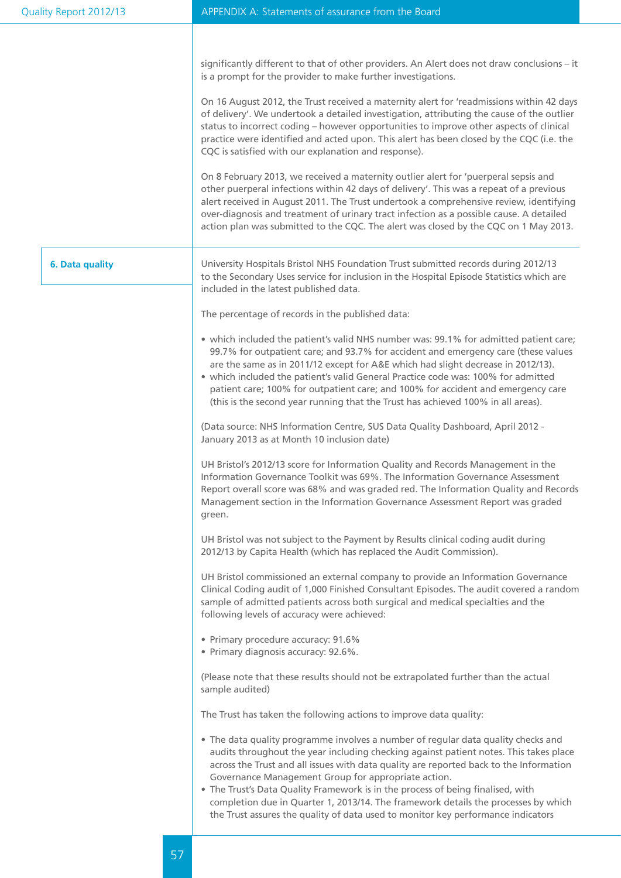| Quality Report 2012/13 | APPENDIX A: Statements of assurance from the Board                                                                                                                                                                                                                                                                                                                                                                                                                                                                                                                                       |
|------------------------|------------------------------------------------------------------------------------------------------------------------------------------------------------------------------------------------------------------------------------------------------------------------------------------------------------------------------------------------------------------------------------------------------------------------------------------------------------------------------------------------------------------------------------------------------------------------------------------|
|                        | significantly different to that of other providers. An Alert does not draw conclusions - it<br>is a prompt for the provider to make further investigations.                                                                                                                                                                                                                                                                                                                                                                                                                              |
|                        | On 16 August 2012, the Trust received a maternity alert for 'readmissions within 42 days<br>of delivery'. We undertook a detailed investigation, attributing the cause of the outlier<br>status to incorrect coding - however opportunities to improve other aspects of clinical<br>practice were identified and acted upon. This alert has been closed by the CQC (i.e. the<br>CQC is satisfied with our explanation and response).                                                                                                                                                     |
|                        | On 8 February 2013, we received a maternity outlier alert for 'puerperal sepsis and<br>other puerperal infections within 42 days of delivery'. This was a repeat of a previous<br>alert received in August 2011. The Trust undertook a comprehensive review, identifying<br>over-diagnosis and treatment of urinary tract infection as a possible cause. A detailed<br>action plan was submitted to the CQC. The alert was closed by the CQC on 1 May 2013.                                                                                                                              |
| 6. Data quality        | University Hospitals Bristol NHS Foundation Trust submitted records during 2012/13<br>to the Secondary Uses service for inclusion in the Hospital Episode Statistics which are<br>included in the latest published data.                                                                                                                                                                                                                                                                                                                                                                 |
|                        | The percentage of records in the published data:                                                                                                                                                                                                                                                                                                                                                                                                                                                                                                                                         |
|                        | • which included the patient's valid NHS number was: 99.1% for admitted patient care;<br>99.7% for outpatient care; and 93.7% for accident and emergency care (these values<br>are the same as in 2011/12 except for A&E which had slight decrease in 2012/13).<br>• which included the patient's valid General Practice code was: 100% for admitted<br>patient care; 100% for outpatient care; and 100% for accident and emergency care<br>(this is the second year running that the Trust has achieved 100% in all areas).                                                             |
|                        | (Data source: NHS Information Centre, SUS Data Quality Dashboard, April 2012 -<br>January 2013 as at Month 10 inclusion date)                                                                                                                                                                                                                                                                                                                                                                                                                                                            |
|                        | UH Bristol's 2012/13 score for Information Quality and Records Management in the<br>Information Governance Toolkit was 69%. The Information Governance Assessment<br>Report overall score was 68% and was graded red. The Information Quality and Records<br>Management section in the Information Governance Assessment Report was graded<br>green.                                                                                                                                                                                                                                     |
|                        | UH Bristol was not subject to the Payment by Results clinical coding audit during<br>2012/13 by Capita Health (which has replaced the Audit Commission).                                                                                                                                                                                                                                                                                                                                                                                                                                 |
|                        | UH Bristol commissioned an external company to provide an Information Governance<br>Clinical Coding audit of 1,000 Finished Consultant Episodes. The audit covered a random<br>sample of admitted patients across both surgical and medical specialties and the<br>following levels of accuracy were achieved:                                                                                                                                                                                                                                                                           |
|                        | • Primary procedure accuracy: 91.6%<br>• Primary diagnosis accuracy: 92.6%.                                                                                                                                                                                                                                                                                                                                                                                                                                                                                                              |
|                        | (Please note that these results should not be extrapolated further than the actual<br>sample audited)                                                                                                                                                                                                                                                                                                                                                                                                                                                                                    |
|                        | The Trust has taken the following actions to improve data quality:                                                                                                                                                                                                                                                                                                                                                                                                                                                                                                                       |
|                        | • The data quality programme involves a number of regular data quality checks and<br>audits throughout the year including checking against patient notes. This takes place<br>across the Trust and all issues with data quality are reported back to the Information<br>Governance Management Group for appropriate action.<br>• The Trust's Data Quality Framework is in the process of being finalised, with<br>completion due in Quarter 1, 2013/14. The framework details the processes by which<br>the Trust assures the quality of data used to monitor key performance indicators |
|                        |                                                                                                                                                                                                                                                                                                                                                                                                                                                                                                                                                                                          |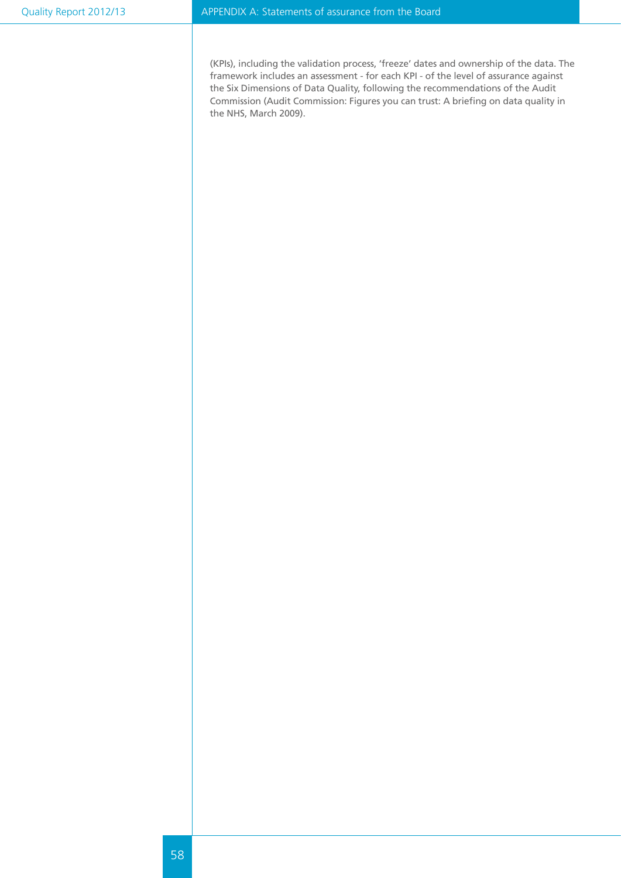(KPIs), including the validation process, 'freeze' dates and ownership of the data. The framework includes an assessment - for each KPI - of the level of assurance against the Six Dimensions of Data Quality, following the recommendations of the Audit Commission (Audit Commission: Figures you can trust: A briefing on data quality in the NHS, March 2009).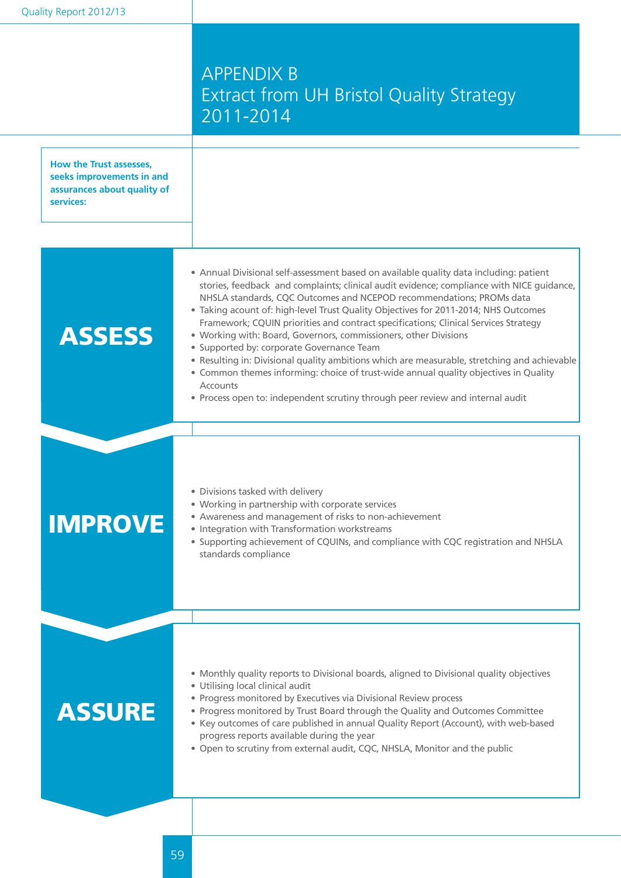## APPENDIX B Extract from UH Bristol Quality Strategy 2011-2014

| How the Trust assesses,<br>seeks improvements in and<br>assurances about quality of<br>services: |                                                                                                                                                                                                                                                                                                                                                                                                                                                                                                                                                                                                                                                                                                                                                                                                                                                         |
|--------------------------------------------------------------------------------------------------|---------------------------------------------------------------------------------------------------------------------------------------------------------------------------------------------------------------------------------------------------------------------------------------------------------------------------------------------------------------------------------------------------------------------------------------------------------------------------------------------------------------------------------------------------------------------------------------------------------------------------------------------------------------------------------------------------------------------------------------------------------------------------------------------------------------------------------------------------------|
| <b>ASSESS</b>                                                                                    | • Annual Divisional self-assessment based on available quality data including: patient<br>stories, feedback and complaints; clinical audit evidence; compliance with NICE guidance,<br>NHSLA standards, CQC Outcomes and NCEPOD recommendations; PROMs data<br>• Taking acount of: high-level Trust Quality Objectives for 2011-2014; NHS Outcomes<br>Framework; CQUIN priorities and contract specifications; Clinical Services Strategy<br>• Working with: Board, Governors, commissioners, other Divisions<br>• Supported by: corporate Governance Team<br>. Resulting in: Divisional quality ambitions which are measurable, stretching and achievable<br>• Common themes informing: choice of trust-wide annual quality objectives in Quality<br><b>Accounts</b><br>• Process open to: independent scrutiny through peer review and internal audit |
| <b>IMPROVE</b>                                                                                   | · Divisions tasked with delivery<br>• Working in partnership with corporate services<br>• Awareness and management of risks to non-achievement<br>• Integration with Transformation workstreams<br>• Supporting achievement of CQUINs, and compliance with CQC registration and NHSLA<br>standards compliance                                                                                                                                                                                                                                                                                                                                                                                                                                                                                                                                           |
| <b>ASSURE</b>                                                                                    | • Monthly quality reports to Divisional boards, aligned to Divisional quality objectives<br>· Utilising local clinical audit<br>• Progress monitored by Executives via Divisional Review process<br>• Progress monitored by Trust Board through the Quality and Outcomes Committee<br>• Key outcomes of care published in annual Quality Report (Account), with web-based<br>progress reports available during the year<br>. Open to scrutiny from external audit, CQC, NHSLA, Monitor and the public                                                                                                                                                                                                                                                                                                                                                   |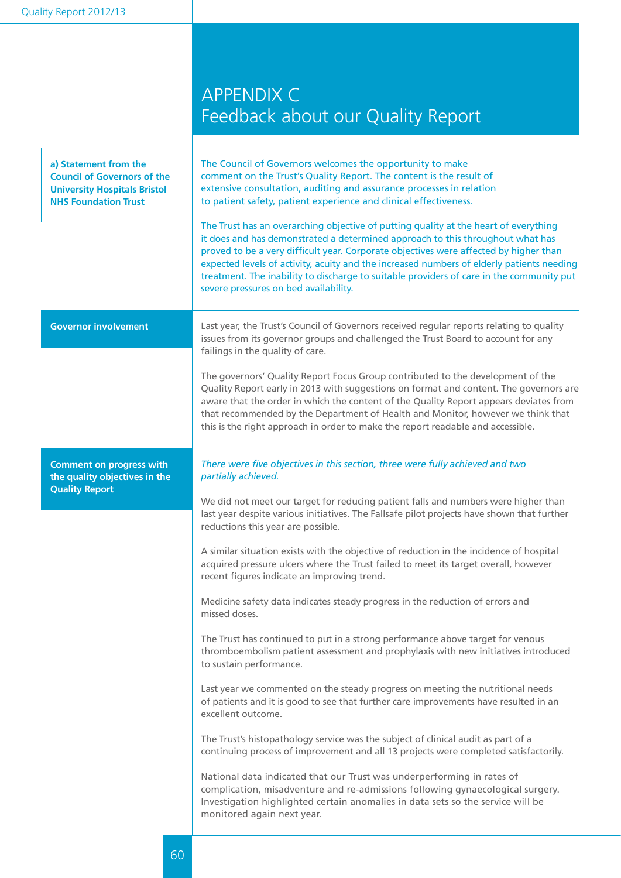## APPENDIX C Feedback about our Quality Report

| a) Statement from the<br><b>Council of Governors of the</b><br><b>University Hospitals Bristol</b><br><b>NHS Foundation Trust</b> | The Council of Governors welcomes the opportunity to make<br>comment on the Trust's Quality Report. The content is the result of<br>extensive consultation, auditing and assurance processes in relation<br>to patient safety, patient experience and clinical effectiveness.<br>The Trust has an overarching objective of putting quality at the heart of everything<br>it does and has demonstrated a determined approach to this throughout what has<br>proved to be a very difficult year. Corporate objectives were affected by higher than<br>expected levels of activity, acuity and the increased numbers of elderly patients needing<br>treatment. The inability to discharge to suitable providers of care in the community put<br>severe pressures on bed availability.                                                                                                                                                                                                                                                                                                                                                                                                                                                                                                                                                                                                                                                                                                                                             |
|-----------------------------------------------------------------------------------------------------------------------------------|--------------------------------------------------------------------------------------------------------------------------------------------------------------------------------------------------------------------------------------------------------------------------------------------------------------------------------------------------------------------------------------------------------------------------------------------------------------------------------------------------------------------------------------------------------------------------------------------------------------------------------------------------------------------------------------------------------------------------------------------------------------------------------------------------------------------------------------------------------------------------------------------------------------------------------------------------------------------------------------------------------------------------------------------------------------------------------------------------------------------------------------------------------------------------------------------------------------------------------------------------------------------------------------------------------------------------------------------------------------------------------------------------------------------------------------------------------------------------------------------------------------------------------|
| <b>Governor involvement</b>                                                                                                       | Last year, the Trust's Council of Governors received regular reports relating to quality<br>issues from its governor groups and challenged the Trust Board to account for any<br>failings in the quality of care.<br>The governors' Quality Report Focus Group contributed to the development of the<br>Quality Report early in 2013 with suggestions on format and content. The governors are<br>aware that the order in which the content of the Quality Report appears deviates from<br>that recommended by the Department of Health and Monitor, however we think that<br>this is the right approach in order to make the report readable and accessible.                                                                                                                                                                                                                                                                                                                                                                                                                                                                                                                                                                                                                                                                                                                                                                                                                                                                  |
| <b>Comment on progress with</b><br>the quality objectives in the<br><b>Quality Report</b>                                         | There were five objectives in this section, three were fully achieved and two<br>partially achieved.<br>We did not meet our target for reducing patient falls and numbers were higher than<br>last year despite various initiatives. The Fallsafe pilot projects have shown that further<br>reductions this year are possible.<br>A similar situation exists with the objective of reduction in the incidence of hospital<br>acquired pressure ulcers where the Trust failed to meet its target overall, however<br>recent figures indicate an improving trend.<br>Medicine safety data indicates steady progress in the reduction of errors and<br>missed doses.<br>The Trust has continued to put in a strong performance above target for venous<br>thromboembolism patient assessment and prophylaxis with new initiatives introduced<br>to sustain performance.<br>Last year we commented on the steady progress on meeting the nutritional needs<br>of patients and it is good to see that further care improvements have resulted in an<br>excellent outcome.<br>The Trust's histopathology service was the subject of clinical audit as part of a<br>continuing process of improvement and all 13 projects were completed satisfactorily.<br>National data indicated that our Trust was underperforming in rates of<br>complication, misadventure and re-admissions following gynaecological surgery.<br>Investigation highlighted certain anomalies in data sets so the service will be<br>monitored again next year. |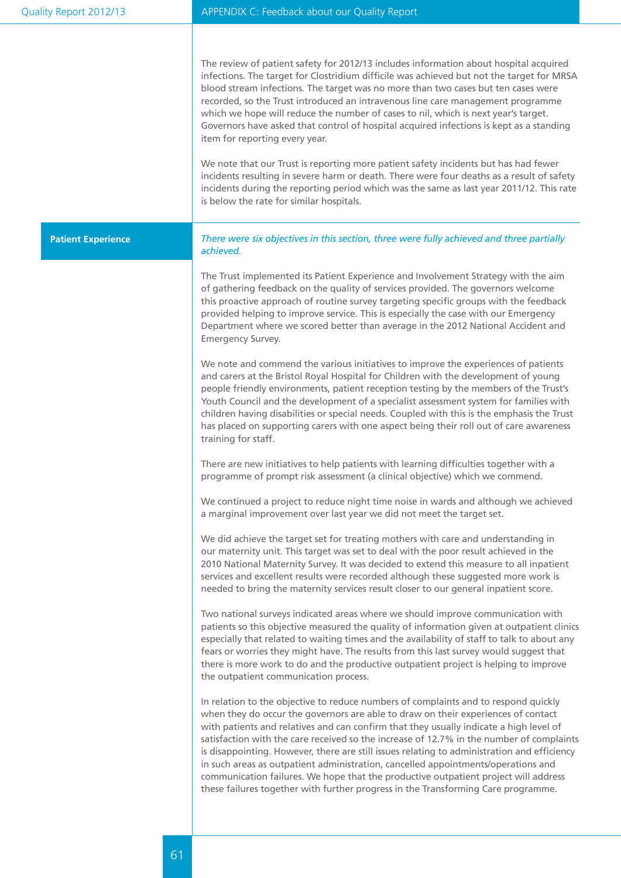| Quality Report 2012/13    | APPENDIX C: Feedback about our Quality Report                                                                                                                                                                                                                                                                                                                                                                                                                                                                                                                                                                                                                                                                                                                                                                                                                                                                                                                                                                                                                                                                                                                                                                                                                                                                                                                                                                                                                                                                                                                                                                                                                                                                                                                                                                                                                                                                                                                                                                                                                                                                                                                                                                                                                                                                                                                                                                                                                                                                                                                                                                                                                                                                                                                                                                                                                                                                                                                                                                                                                                                                                                                                                     |
|---------------------------|---------------------------------------------------------------------------------------------------------------------------------------------------------------------------------------------------------------------------------------------------------------------------------------------------------------------------------------------------------------------------------------------------------------------------------------------------------------------------------------------------------------------------------------------------------------------------------------------------------------------------------------------------------------------------------------------------------------------------------------------------------------------------------------------------------------------------------------------------------------------------------------------------------------------------------------------------------------------------------------------------------------------------------------------------------------------------------------------------------------------------------------------------------------------------------------------------------------------------------------------------------------------------------------------------------------------------------------------------------------------------------------------------------------------------------------------------------------------------------------------------------------------------------------------------------------------------------------------------------------------------------------------------------------------------------------------------------------------------------------------------------------------------------------------------------------------------------------------------------------------------------------------------------------------------------------------------------------------------------------------------------------------------------------------------------------------------------------------------------------------------------------------------------------------------------------------------------------------------------------------------------------------------------------------------------------------------------------------------------------------------------------------------------------------------------------------------------------------------------------------------------------------------------------------------------------------------------------------------------------------------------------------------------------------------------------------------------------------------------------------------------------------------------------------------------------------------------------------------------------------------------------------------------------------------------------------------------------------------------------------------------------------------------------------------------------------------------------------------------------------------------------------------------------------------------------------------|
|                           | The review of patient safety for 2012/13 includes information about hospital acquired<br>infections. The target for Clostridium difficile was achieved but not the target for MRSA<br>blood stream infections. The target was no more than two cases but ten cases were<br>recorded, so the Trust introduced an intravenous line care management programme<br>which we hope will reduce the number of cases to nil, which is next year's target.<br>Governors have asked that control of hospital acquired infections is kept as a standing<br>item for reporting every year.<br>We note that our Trust is reporting more patient safety incidents but has had fewer<br>incidents resulting in severe harm or death. There were four deaths as a result of safety<br>incidents during the reporting period which was the same as last year 2011/12. This rate<br>is below the rate for similar hospitals.                                                                                                                                                                                                                                                                                                                                                                                                                                                                                                                                                                                                                                                                                                                                                                                                                                                                                                                                                                                                                                                                                                                                                                                                                                                                                                                                                                                                                                                                                                                                                                                                                                                                                                                                                                                                                                                                                                                                                                                                                                                                                                                                                                                                                                                                                         |
| <b>Patient Experience</b> | There were six objectives in this section, three were fully achieved and three partially<br>achieved.<br>The Trust implemented its Patient Experience and Involvement Strategy with the aim<br>of gathering feedback on the quality of services provided. The governors welcome<br>this proactive approach of routine survey targeting specific groups with the feedback<br>provided helping to improve service. This is especially the case with our Emergency<br>Department where we scored better than average in the 2012 National Accident and<br>Emergency Survey.<br>We note and commend the various initiatives to improve the experiences of patients<br>and carers at the Bristol Royal Hospital for Children with the development of young<br>people friendly environments, patient reception testing by the members of the Trust's<br>Youth Council and the development of a specialist assessment system for families with<br>children having disabilities or special needs. Coupled with this is the emphasis the Trust<br>has placed on supporting carers with one aspect being their roll out of care awareness<br>training for staff.<br>There are new initiatives to help patients with learning difficulties together with a<br>programme of prompt risk assessment (a clinical objective) which we commend.<br>We continued a project to reduce night time noise in wards and although we achieved<br>a marginal improvement over last year we did not meet the target set.<br>We did achieve the target set for treating mothers with care and understanding in<br>our maternity unit. This target was set to deal with the poor result achieved in the<br>2010 National Maternity Survey. It was decided to extend this measure to all inpatient<br>services and excellent results were recorded although these suggested more work is<br>needed to bring the maternity services result closer to our general inpatient score.<br>Two national surveys indicated areas where we should improve communication with<br>patients so this objective measured the quality of information given at outpatient clinics<br>especially that related to waiting times and the availability of staff to talk to about any<br>fears or worries they might have. The results from this last survey would suggest that<br>there is more work to do and the productive outpatient project is helping to improve<br>the outpatient communication process.<br>In relation to the objective to reduce numbers of complaints and to respond quickly<br>when they do occur the governors are able to draw on their experiences of contact<br>with patients and relatives and can confirm that they usually indicate a high level of<br>satisfaction with the care received so the increase of 12.7% in the number of complaints<br>is disappointing. However, there are still issues relating to administration and efficiency<br>in such areas as outpatient administration, cancelled appointments/operations and<br>communication failures. We hope that the productive outpatient project will address<br>these failures together with further progress in the Transforming Care programme. |
|                           |                                                                                                                                                                                                                                                                                                                                                                                                                                                                                                                                                                                                                                                                                                                                                                                                                                                                                                                                                                                                                                                                                                                                                                                                                                                                                                                                                                                                                                                                                                                                                                                                                                                                                                                                                                                                                                                                                                                                                                                                                                                                                                                                                                                                                                                                                                                                                                                                                                                                                                                                                                                                                                                                                                                                                                                                                                                                                                                                                                                                                                                                                                                                                                                                   |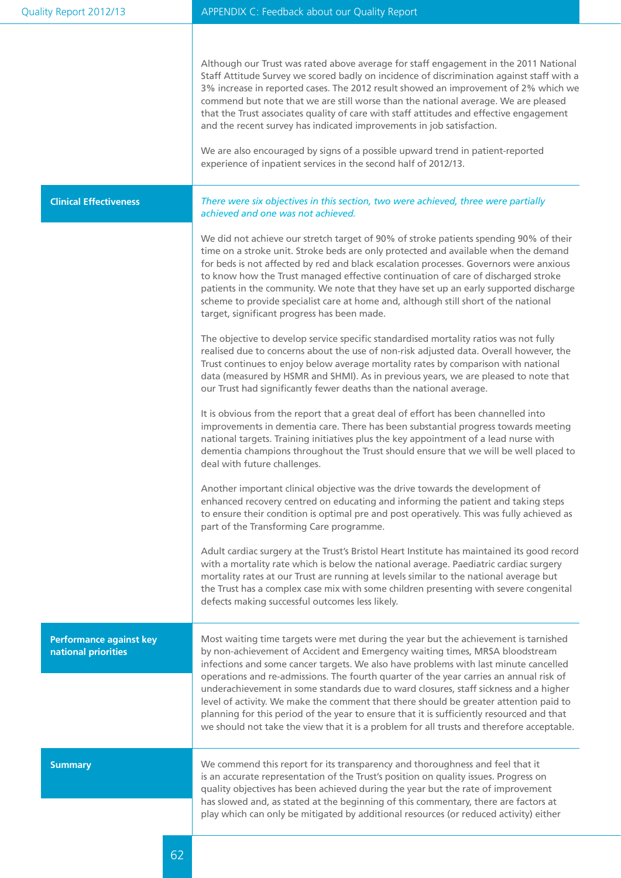| Quality Report 2012/13                                | APPENDIX C: Feedback about our Quality Report                                                                                                                                                                                                                                                                                                                                                                                                                                                                                                                                                                                                                                                                                    |
|-------------------------------------------------------|----------------------------------------------------------------------------------------------------------------------------------------------------------------------------------------------------------------------------------------------------------------------------------------------------------------------------------------------------------------------------------------------------------------------------------------------------------------------------------------------------------------------------------------------------------------------------------------------------------------------------------------------------------------------------------------------------------------------------------|
|                                                       | Although our Trust was rated above average for staff engagement in the 2011 National<br>Staff Attitude Survey we scored badly on incidence of discrimination against staff with a<br>3% increase in reported cases. The 2012 result showed an improvement of 2% which we<br>commend but note that we are still worse than the national average. We are pleased<br>that the Trust associates quality of care with staff attitudes and effective engagement<br>and the recent survey has indicated improvements in job satisfaction.<br>We are also encouraged by signs of a possible upward trend in patient-reported<br>experience of inpatient services in the second half of 2012/13.                                          |
| <b>Clinical Effectiveness</b>                         | There were six objectives in this section, two were achieved, three were partially<br>achieved and one was not achieved.                                                                                                                                                                                                                                                                                                                                                                                                                                                                                                                                                                                                         |
|                                                       | We did not achieve our stretch target of 90% of stroke patients spending 90% of their<br>time on a stroke unit. Stroke beds are only protected and available when the demand<br>for beds is not affected by red and black escalation processes. Governors were anxious<br>to know how the Trust managed effective continuation of care of discharged stroke<br>patients in the community. We note that they have set up an early supported discharge<br>scheme to provide specialist care at home and, although still short of the national<br>target, significant progress has been made.                                                                                                                                       |
|                                                       | The objective to develop service specific standardised mortality ratios was not fully<br>realised due to concerns about the use of non-risk adjusted data. Overall however, the<br>Trust continues to enjoy below average mortality rates by comparison with national<br>data (measured by HSMR and SHMI). As in previous years, we are pleased to note that<br>our Trust had significantly fewer deaths than the national average.                                                                                                                                                                                                                                                                                              |
|                                                       | It is obvious from the report that a great deal of effort has been channelled into<br>improvements in dementia care. There has been substantial progress towards meeting<br>national targets. Training initiatives plus the key appointment of a lead nurse with<br>dementia champions throughout the Trust should ensure that we will be well placed to<br>deal with future challenges.                                                                                                                                                                                                                                                                                                                                         |
|                                                       | Another important clinical objective was the drive towards the development of<br>enhanced recovery centred on educating and informing the patient and taking steps<br>to ensure their condition is optimal pre and post operatively. This was fully achieved as<br>part of the Transforming Care programme.                                                                                                                                                                                                                                                                                                                                                                                                                      |
|                                                       | Adult cardiac surgery at the Trust's Bristol Heart Institute has maintained its good record<br>with a mortality rate which is below the national average. Paediatric cardiac surgery<br>mortality rates at our Trust are running at levels similar to the national average but<br>the Trust has a complex case mix with some children presenting with severe congenital<br>defects making successful outcomes less likely.                                                                                                                                                                                                                                                                                                       |
| <b>Performance against key</b><br>national priorities | Most waiting time targets were met during the year but the achievement is tarnished<br>by non-achievement of Accident and Emergency waiting times, MRSA bloodstream<br>infections and some cancer targets. We also have problems with last minute cancelled<br>operations and re-admissions. The fourth quarter of the year carries an annual risk of<br>underachievement in some standards due to ward closures, staff sickness and a higher<br>level of activity. We make the comment that there should be greater attention paid to<br>planning for this period of the year to ensure that it is sufficiently resourced and that<br>we should not take the view that it is a problem for all trusts and therefore acceptable. |
| <b>Summary</b>                                        | We commend this report for its transparency and thoroughness and feel that it<br>is an accurate representation of the Trust's position on quality issues. Progress on<br>quality objectives has been achieved during the year but the rate of improvement<br>has slowed and, as stated at the beginning of this commentary, there are factors at<br>play which can only be mitigated by additional resources (or reduced activity) either                                                                                                                                                                                                                                                                                        |
|                                                       |                                                                                                                                                                                                                                                                                                                                                                                                                                                                                                                                                                                                                                                                                                                                  |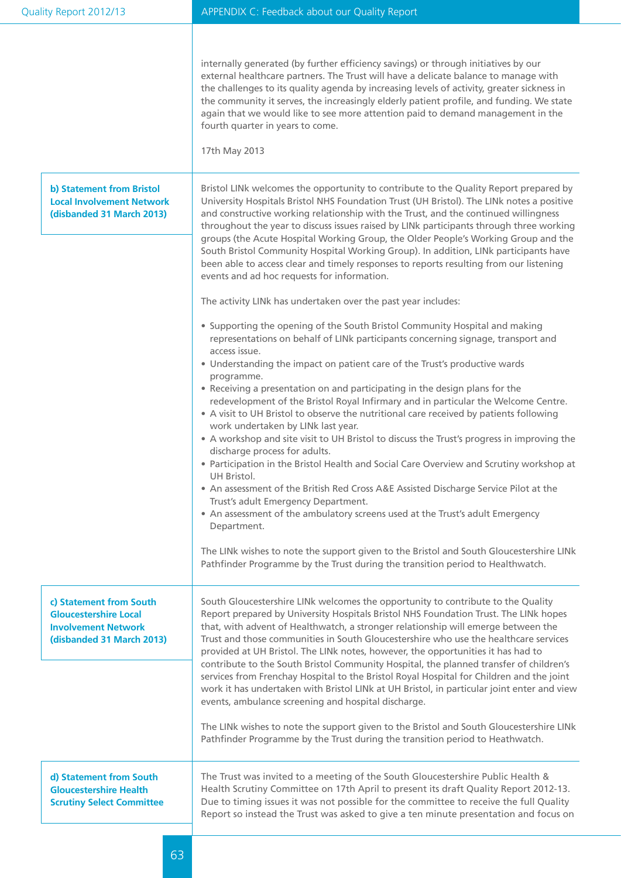|                                                                                                                    | internally generated (by further efficiency savings) or through initiatives by our<br>external healthcare partners. The Trust will have a delicate balance to manage with<br>the challenges to its quality agenda by increasing levels of activity, greater sickness in<br>the community it serves, the increasingly elderly patient profile, and funding. We state<br>again that we would like to see more attention paid to demand management in the<br>fourth quarter in years to come.<br>17th May 2013                                                                                                                                                                                                                                                                                                                                                                                                                                                                                                                                                                                                                                                                                                                                                                                             |
|--------------------------------------------------------------------------------------------------------------------|---------------------------------------------------------------------------------------------------------------------------------------------------------------------------------------------------------------------------------------------------------------------------------------------------------------------------------------------------------------------------------------------------------------------------------------------------------------------------------------------------------------------------------------------------------------------------------------------------------------------------------------------------------------------------------------------------------------------------------------------------------------------------------------------------------------------------------------------------------------------------------------------------------------------------------------------------------------------------------------------------------------------------------------------------------------------------------------------------------------------------------------------------------------------------------------------------------------------------------------------------------------------------------------------------------|
| <b>b) Statement from Bristol</b><br><b>Local Involvement Network</b><br>(disbanded 31 March 2013)                  | Bristol LINk welcomes the opportunity to contribute to the Quality Report prepared by<br>University Hospitals Bristol NHS Foundation Trust (UH Bristol). The LINk notes a positive<br>and constructive working relationship with the Trust, and the continued willingness<br>throughout the year to discuss issues raised by LINk participants through three working<br>groups (the Acute Hospital Working Group, the Older People's Working Group and the<br>South Bristol Community Hospital Working Group). In addition, LINk participants have<br>been able to access clear and timely responses to reports resulting from our listening<br>events and ad hoc requests for information.                                                                                                                                                                                                                                                                                                                                                                                                                                                                                                                                                                                                             |
|                                                                                                                    | The activity LINk has undertaken over the past year includes:<br>• Supporting the opening of the South Bristol Community Hospital and making<br>representations on behalf of LINk participants concerning signage, transport and<br>access issue.<br>• Understanding the impact on patient care of the Trust's productive wards<br>programme.<br>• Receiving a presentation on and participating in the design plans for the<br>redevelopment of the Bristol Royal Infirmary and in particular the Welcome Centre.<br>• A visit to UH Bristol to observe the nutritional care received by patients following<br>work undertaken by LINk last year.<br>• A workshop and site visit to UH Bristol to discuss the Trust's progress in improving the<br>discharge process for adults.<br>• Participation in the Bristol Health and Social Care Overview and Scrutiny workshop at<br>UH Bristol.<br>• An assessment of the British Red Cross A&E Assisted Discharge Service Pilot at the<br>Trust's adult Emergency Department.<br>• An assessment of the ambulatory screens used at the Trust's adult Emergency<br>Department.<br>The LINk wishes to note the support given to the Bristol and South Gloucestershire LINk<br>Pathfinder Programme by the Trust during the transition period to Healthwatch. |
| c) Statement from South<br><b>Gloucestershire Local</b><br><b>Involvement Network</b><br>(disbanded 31 March 2013) | South Gloucestershire LINk welcomes the opportunity to contribute to the Quality<br>Report prepared by University Hospitals Bristol NHS Foundation Trust. The LINk hopes<br>that, with advent of Healthwatch, a stronger relationship will emerge between the<br>Trust and those communities in South Gloucestershire who use the healthcare services<br>provided at UH Bristol. The LINk notes, however, the opportunities it has had to<br>contribute to the South Bristol Community Hospital, the planned transfer of children's<br>services from Frenchay Hospital to the Bristol Royal Hospital for Children and the joint<br>work it has undertaken with Bristol LINk at UH Bristol, in particular joint enter and view<br>events, ambulance screening and hospital discharge.<br>The LINk wishes to note the support given to the Bristol and South Gloucestershire LINk<br>Pathfinder Programme by the Trust during the transition period to Heathwatch.                                                                                                                                                                                                                                                                                                                                        |
| d) Statement from South<br><b>Gloucestershire Health</b><br><b>Scrutiny Select Committee</b>                       | The Trust was invited to a meeting of the South Gloucestershire Public Health &<br>Health Scrutiny Committee on 17th April to present its draft Quality Report 2012-13.<br>Due to timing issues it was not possible for the committee to receive the full Quality<br>Report so instead the Trust was asked to give a ten minute presentation and focus on                                                                                                                                                                                                                                                                                                                                                                                                                                                                                                                                                                                                                                                                                                                                                                                                                                                                                                                                               |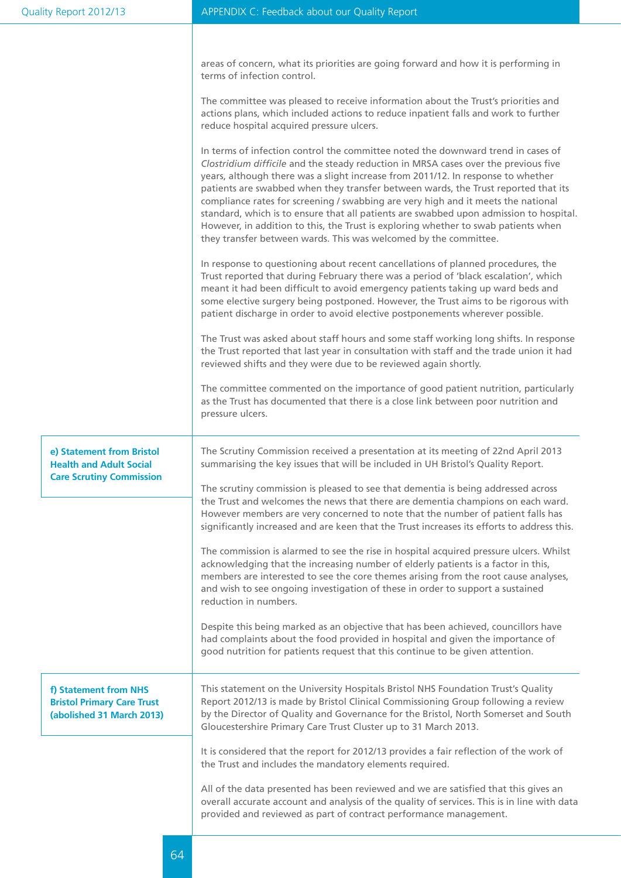|                                                                                                | areas of concern, what its priorities are going forward and how it is performing in<br>terms of infection control.                                                                                                                                                                                                                                                                                                                                                                                                                                                                                                                                                                         |
|------------------------------------------------------------------------------------------------|--------------------------------------------------------------------------------------------------------------------------------------------------------------------------------------------------------------------------------------------------------------------------------------------------------------------------------------------------------------------------------------------------------------------------------------------------------------------------------------------------------------------------------------------------------------------------------------------------------------------------------------------------------------------------------------------|
|                                                                                                | The committee was pleased to receive information about the Trust's priorities and<br>actions plans, which included actions to reduce inpatient falls and work to further<br>reduce hospital acquired pressure ulcers.                                                                                                                                                                                                                                                                                                                                                                                                                                                                      |
|                                                                                                | In terms of infection control the committee noted the downward trend in cases of<br>Clostridium difficile and the steady reduction in MRSA cases over the previous five<br>years, although there was a slight increase from 2011/12. In response to whether<br>patients are swabbed when they transfer between wards, the Trust reported that its<br>compliance rates for screening / swabbing are very high and it meets the national<br>standard, which is to ensure that all patients are swabbed upon admission to hospital.<br>However, in addition to this, the Trust is exploring whether to swab patients when<br>they transfer between wards. This was welcomed by the committee. |
|                                                                                                | In response to questioning about recent cancellations of planned procedures, the<br>Trust reported that during February there was a period of 'black escalation', which<br>meant it had been difficult to avoid emergency patients taking up ward beds and<br>some elective surgery being postponed. However, the Trust aims to be rigorous with<br>patient discharge in order to avoid elective postponements wherever possible.                                                                                                                                                                                                                                                          |
|                                                                                                | The Trust was asked about staff hours and some staff working long shifts. In response<br>the Trust reported that last year in consultation with staff and the trade union it had<br>reviewed shifts and they were due to be reviewed again shortly.                                                                                                                                                                                                                                                                                                                                                                                                                                        |
|                                                                                                | The committee commented on the importance of good patient nutrition, particularly<br>as the Trust has documented that there is a close link between poor nutrition and<br>pressure ulcers.                                                                                                                                                                                                                                                                                                                                                                                                                                                                                                 |
| e) Statement from Bristol<br><b>Health and Adult Social</b><br><b>Care Scrutiny Commission</b> | The Scrutiny Commission received a presentation at its meeting of 22nd April 2013<br>summarising the key issues that will be included in UH Bristol's Quality Report.                                                                                                                                                                                                                                                                                                                                                                                                                                                                                                                      |
|                                                                                                | The scrutiny commission is pleased to see that dementia is being addressed across<br>the Trust and welcomes the news that there are dementia champions on each ward.<br>However members are very concerned to note that the number of patient falls has<br>significantly increased and are keen that the Trust increases its efforts to address this.                                                                                                                                                                                                                                                                                                                                      |
|                                                                                                | The commission is alarmed to see the rise in hospital acquired pressure ulcers. Whilst<br>acknowledging that the increasing number of elderly patients is a factor in this,<br>members are interested to see the core themes arising from the root cause analyses,<br>and wish to see ongoing investigation of these in order to support a sustained<br>reduction in numbers.                                                                                                                                                                                                                                                                                                              |
|                                                                                                | Despite this being marked as an objective that has been achieved, councillors have<br>had complaints about the food provided in hospital and given the importance of<br>good nutrition for patients request that this continue to be given attention.                                                                                                                                                                                                                                                                                                                                                                                                                                      |
| f) Statement from NHS<br><b>Bristol Primary Care Trust</b><br>(abolished 31 March 2013)        | This statement on the University Hospitals Bristol NHS Foundation Trust's Quality<br>Report 2012/13 is made by Bristol Clinical Commissioning Group following a review<br>by the Director of Quality and Governance for the Bristol, North Somerset and South<br>Gloucestershire Primary Care Trust Cluster up to 31 March 2013.                                                                                                                                                                                                                                                                                                                                                           |
|                                                                                                | It is considered that the report for 2012/13 provides a fair reflection of the work of<br>the Trust and includes the mandatory elements required.                                                                                                                                                                                                                                                                                                                                                                                                                                                                                                                                          |
|                                                                                                | All of the data presented has been reviewed and we are satisfied that this gives an<br>overall accurate account and analysis of the quality of services. This is in line with data<br>provided and reviewed as part of contract performance management.                                                                                                                                                                                                                                                                                                                                                                                                                                    |
|                                                                                                |                                                                                                                                                                                                                                                                                                                                                                                                                                                                                                                                                                                                                                                                                            |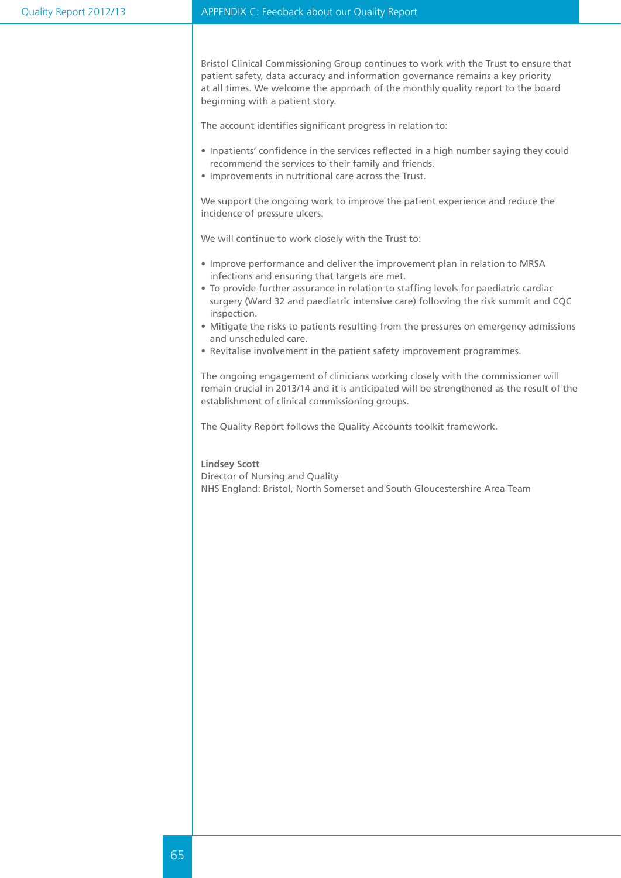Bristol Clinical Commissioning Group continues to work with the Trust to ensure that patient safety, data accuracy and information governance remains a key priority at all times. We welcome the approach of the monthly quality report to the board beginning with a patient story.

The account identifies significant progress in relation to:

- • Inpatients' confidence in the services reflected in a high number saying they could recommend the services to their family and friends.
- Improvements in nutritional care across the Trust.

We support the ongoing work to improve the patient experience and reduce the incidence of pressure ulcers.

We will continue to work closely with the Trust to:

- Improve performance and deliver the improvement plan in relation to MRSA infections and ensuring that targets are met.
- To provide further assurance in relation to staffing levels for paediatric cardiac surgery (Ward 32 and paediatric intensive care) following the risk summit and CQC inspection.
- Mitigate the risks to patients resulting from the pressures on emergency admissions and unscheduled care.
- Revitalise involvement in the patient safety improvement programmes.

The ongoing engagement of clinicians working closely with the commissioner will remain crucial in 2013/14 and it is anticipated will be strengthened as the result of the establishment of clinical commissioning groups.

The Quality Report follows the Quality Accounts toolkit framework.

#### **Lindsey Scott**

Director of Nursing and Quality NHS England: Bristol, North Somerset and South Gloucestershire Area Team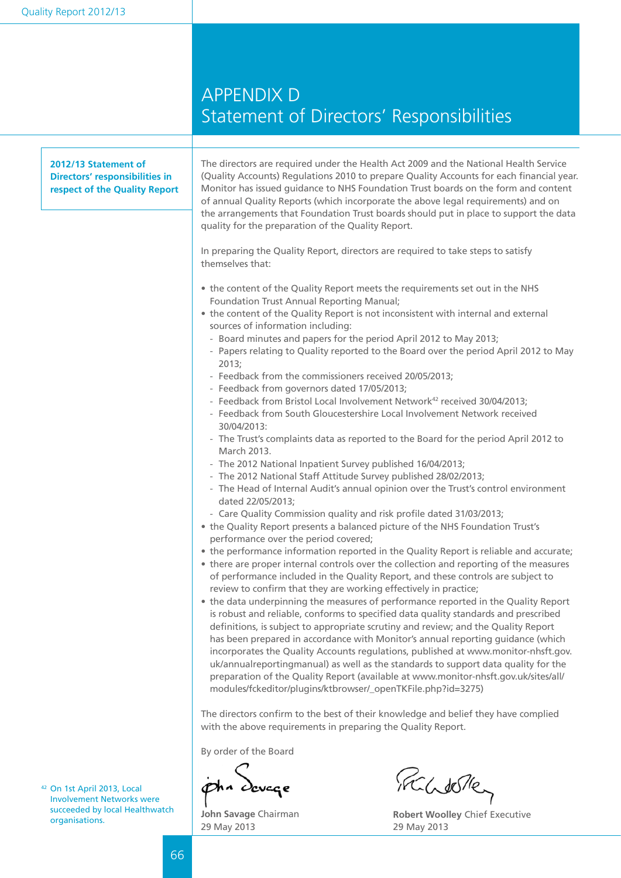## APPENDIX D Statement of Directors' Responsibilities

| 2012/13 Statement of<br>Directors' responsibilities in<br>respect of the Quality Report | The directors are required under the Health Act 2009 and the National Health Service<br>(Quality Accounts) Regulations 2010 to prepare Quality Accounts for each financial year.<br>Monitor has issued guidance to NHS Foundation Trust boards on the form and content<br>of annual Quality Reports (which incorporate the above legal requirements) and on<br>the arrangements that Foundation Trust boards should put in place to support the data<br>quality for the preparation of the Quality Report.                                                                                                                                                                                                                                                                                                                                                                                                                                                                                                                        |
|-----------------------------------------------------------------------------------------|-----------------------------------------------------------------------------------------------------------------------------------------------------------------------------------------------------------------------------------------------------------------------------------------------------------------------------------------------------------------------------------------------------------------------------------------------------------------------------------------------------------------------------------------------------------------------------------------------------------------------------------------------------------------------------------------------------------------------------------------------------------------------------------------------------------------------------------------------------------------------------------------------------------------------------------------------------------------------------------------------------------------------------------|
|                                                                                         | In preparing the Quality Report, directors are required to take steps to satisfy<br>themselves that:                                                                                                                                                                                                                                                                                                                                                                                                                                                                                                                                                                                                                                                                                                                                                                                                                                                                                                                              |
|                                                                                         | • the content of the Quality Report meets the requirements set out in the NHS<br>Foundation Trust Annual Reporting Manual;<br>• the content of the Quality Report is not inconsistent with internal and external                                                                                                                                                                                                                                                                                                                                                                                                                                                                                                                                                                                                                                                                                                                                                                                                                  |
|                                                                                         | sources of information including:<br>- Board minutes and papers for the period April 2012 to May 2013;<br>- Papers relating to Quality reported to the Board over the period April 2012 to May<br>2013;                                                                                                                                                                                                                                                                                                                                                                                                                                                                                                                                                                                                                                                                                                                                                                                                                           |
|                                                                                         | - Feedback from the commissioners received 20/05/2013;<br>- Feedback from governors dated 17/05/2013;<br>- Feedback from Bristol Local Involvement Network <sup>42</sup> received 30/04/2013;<br>- Feedback from South Gloucestershire Local Involvement Network received                                                                                                                                                                                                                                                                                                                                                                                                                                                                                                                                                                                                                                                                                                                                                         |
|                                                                                         | 30/04/2013:<br>- The Trust's complaints data as reported to the Board for the period April 2012 to<br>March 2013.<br>- The 2012 National Inpatient Survey published 16/04/2013;                                                                                                                                                                                                                                                                                                                                                                                                                                                                                                                                                                                                                                                                                                                                                                                                                                                   |
|                                                                                         | - The 2012 National Staff Attitude Survey published 28/02/2013;<br>- The Head of Internal Audit's annual opinion over the Trust's control environment<br>dated 22/05/2013;                                                                                                                                                                                                                                                                                                                                                                                                                                                                                                                                                                                                                                                                                                                                                                                                                                                        |
|                                                                                         | - Care Quality Commission quality and risk profile dated 31/03/2013;<br>• the Quality Report presents a balanced picture of the NHS Foundation Trust's<br>performance over the period covered;                                                                                                                                                                                                                                                                                                                                                                                                                                                                                                                                                                                                                                                                                                                                                                                                                                    |
|                                                                                         | • the performance information reported in the Quality Report is reliable and accurate;<br>• there are proper internal controls over the collection and reporting of the measures<br>of performance included in the Quality Report, and these controls are subject to<br>review to confirm that they are working effectively in practice;<br>• the data underpinning the measures of performance reported in the Quality Report<br>is robust and reliable, conforms to specified data quality standards and prescribed<br>definitions, is subject to appropriate scrutiny and review; and the Quality Report<br>has been prepared in accordance with Monitor's annual reporting guidance (which<br>incorporates the Quality Accounts regulations, published at www.monitor-nhsft.gov.<br>uk/annualreportingmanual) as well as the standards to support data quality for the<br>preparation of the Quality Report (available at www.monitor-nhsft.gov.uk/sites/all/<br>modules/fckeditor/plugins/ktbrowser/_openTKFile.php?id=3275) |
|                                                                                         | The directors confirm to the best of their knowledge and belief they have complied<br>with the above requirements in preparing the Quality Report.                                                                                                                                                                                                                                                                                                                                                                                                                                                                                                                                                                                                                                                                                                                                                                                                                                                                                |
|                                                                                         | By order of the Board                                                                                                                                                                                                                                                                                                                                                                                                                                                                                                                                                                                                                                                                                                                                                                                                                                                                                                                                                                                                             |
| <sup>42</sup> On 1st April 2013, Local<br><b>Involvement Networks were</b>              | pha Scucce<br>FCLIOTE                                                                                                                                                                                                                                                                                                                                                                                                                                                                                                                                                                                                                                                                                                                                                                                                                                                                                                                                                                                                             |

<sup>42</sup> On 1st April 2013, Local Involvement Networks were succeeded by local Healthwatch<br>organisations.

**John Savage** Chairman 29 May 2013

iradore

**Robert Woolley Chief Executive** 29 May 2013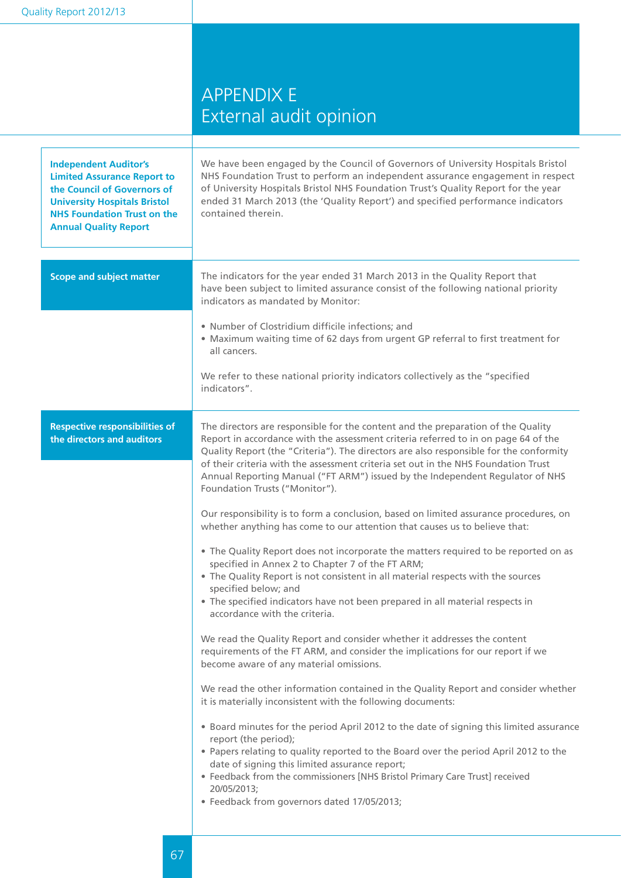|  |  | Quality Report 2012/13 |
|--|--|------------------------|
|  |  |                        |

## APPENDIX E External audit opinion

| <b>Independent Auditor's</b><br><b>Limited Assurance Report to</b><br>the Council of Governors of<br><b>University Hospitals Bristol</b><br><b>NHS Foundation Trust on the</b><br><b>Annual Quality Report</b> | We have been engaged by the Council of Governors of University Hospitals Bristol<br>NHS Foundation Trust to perform an independent assurance engagement in respect<br>of University Hospitals Bristol NHS Foundation Trust's Quality Report for the year<br>ended 31 March 2013 (the 'Quality Report') and specified performance indicators<br>contained therein.                                                                                                         |
|----------------------------------------------------------------------------------------------------------------------------------------------------------------------------------------------------------------|---------------------------------------------------------------------------------------------------------------------------------------------------------------------------------------------------------------------------------------------------------------------------------------------------------------------------------------------------------------------------------------------------------------------------------------------------------------------------|
| <b>Scope and subject matter</b>                                                                                                                                                                                | The indicators for the year ended 31 March 2013 in the Quality Report that<br>have been subject to limited assurance consist of the following national priority<br>indicators as mandated by Monitor:                                                                                                                                                                                                                                                                     |
|                                                                                                                                                                                                                | • Number of Clostridium difficile infections; and<br>• Maximum waiting time of 62 days from urgent GP referral to first treatment for<br>all cancers.                                                                                                                                                                                                                                                                                                                     |
|                                                                                                                                                                                                                | We refer to these national priority indicators collectively as the "specified<br>indicators".                                                                                                                                                                                                                                                                                                                                                                             |
| <b>Respective responsibilities of</b><br>the directors and auditors                                                                                                                                            | The directors are responsible for the content and the preparation of the Quality<br>Report in accordance with the assessment criteria referred to in on page 64 of the<br>Quality Report (the "Criteria"). The directors are also responsible for the conformity<br>of their criteria with the assessment criteria set out in the NHS Foundation Trust<br>Annual Reporting Manual ("FT ARM") issued by the Independent Regulator of NHS<br>Foundation Trusts ("Monitor"). |
|                                                                                                                                                                                                                | Our responsibility is to form a conclusion, based on limited assurance procedures, on<br>whether anything has come to our attention that causes us to believe that:                                                                                                                                                                                                                                                                                                       |
|                                                                                                                                                                                                                | • The Quality Report does not incorporate the matters required to be reported on as<br>specified in Annex 2 to Chapter 7 of the FT ARM;<br>• The Quality Report is not consistent in all material respects with the sources<br>specified below; and<br>• The specified indicators have not been prepared in all material respects in<br>accordance with the criteria.                                                                                                     |
|                                                                                                                                                                                                                | We read the Quality Report and consider whether it addresses the content<br>requirements of the FT ARM, and consider the implications for our report if we<br>become aware of any material omissions.                                                                                                                                                                                                                                                                     |
|                                                                                                                                                                                                                | We read the other information contained in the Quality Report and consider whether<br>it is materially inconsistent with the following documents:                                                                                                                                                                                                                                                                                                                         |
|                                                                                                                                                                                                                | • Board minutes for the period April 2012 to the date of signing this limited assurance<br>report (the period);<br>. Papers relating to quality reported to the Board over the period April 2012 to the<br>date of signing this limited assurance report;<br>• Feedback from the commissioners [NHS Bristol Primary Care Trust] received<br>20/05/2013;<br>• Feedback from governors dated 17/05/2013;                                                                    |
|                                                                                                                                                                                                                |                                                                                                                                                                                                                                                                                                                                                                                                                                                                           |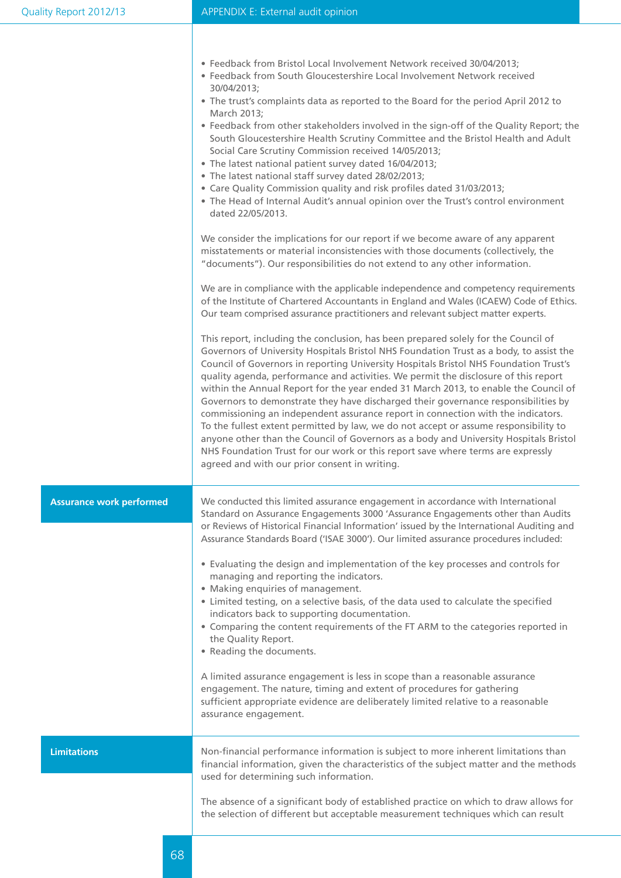|  |  |  | • Feedback from Bristol Local Involvement Network received 30/04/2013; |  |
|--|--|--|------------------------------------------------------------------------|--|
|--|--|--|------------------------------------------------------------------------|--|

- Feedback from South Gloucestershire Local Involvement Network received 30/04/2013;
- The trust's complaints data as reported to the Board for the period April 2012 to March 2013;
- • Feedback from other stakeholders involved in the sign-off of the Quality Report; the South Gloucestershire Health Scrutiny Committee and the Bristol Health and Adult Social Care Scrutiny Commission received 14/05/2013;
- The latest national patient survey dated 16/04/2013;
- The latest national staff survey dated 28/02/2013;
- Care Quality Commission quality and risk profiles dated 31/03/2013;
- The Head of Internal Audit's annual opinion over the Trust's control environment dated 22/05/2013.

We consider the implications for our report if we become aware of any apparent misstatements or material inconsistencies with those documents (collectively, the "documents"). Our responsibilities do not extend to any other information.

We are in compliance with the applicable independence and competency requirements of the Institute of Chartered Accountants in England and Wales (ICAEW) Code of Ethics. Our team comprised assurance practitioners and relevant subject matter experts.

This report, including the conclusion, has been prepared solely for the Council of Governors of University Hospitals Bristol NHS Foundation Trust as a body, to assist the Council of Governors in reporting University Hospitals Bristol NHS Foundation Trust's quality agenda, performance and activities. We permit the disclosure of this report within the Annual Report for the year ended 31 March 2013, to enable the Council of Governors to demonstrate they have discharged their governance responsibilities by commissioning an independent assurance report in connection with the indicators. To the fullest extent permitted by law, we do not accept or assume responsibility to anyone other than the Council of Governors as a body and University Hospitals Bristol NHS Foundation Trust for our work or this report save where terms are expressly agreed and with our prior consent in writing.

#### We conducted this limited assurance engagement in accordance with International Standard on Assurance Engagements 3000 'Assurance Engagements other than Audits or Reviews of Historical Financial Information' issued by the International Auditing and Assurance Standards Board ('ISAE 3000'). Our limited assurance procedures included: • Evaluating the design and implementation of the key processes and controls for managing and reporting the indicators. • Making enquiries of management. • Limited testing, on a selective basis, of the data used to calculate the specified indicators back to supporting documentation. • Comparing the content requirements of the FT ARM to the categories reported in **Assurance work performed**

- the Quality Report.
- • Reading the documents.

A limited assurance engagement is less in scope than a reasonable assurance engagement. The nature, timing and extent of procedures for gathering sufficient appropriate evidence are deliberately limited relative to a reasonable assurance engagement.

**Limitations**

Non-financial performance information is subject to more inherent limitations than financial information, given the characteristics of the subject matter and the methods used for determining such information.

The absence of a significant body of established practice on which to draw allows for the selection of different but acceptable measurement techniques which can result